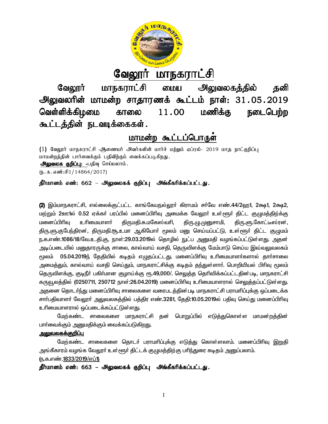

# <u>வேலூர் மாநகராட்சி</u>

வேலூர் மாநகராட்சி மைய அலுவலகத்தில் தனி வேலூர் மாநகராட்சி மைய அலுவலகத்தில் தனி<br>அலுவலரின் மாமன்ற சாதாரணக் கூட்டம் நாள்: 31 . 05 . 2019 வெள்ளிக்கிழமை காலை கூட்டத்தின் நடவடிக்கைகள்.  $11.00$  மணிக்கு நடைபெற்ற

## <u>மாமன்ற கூட்டப்பொருள்</u>

(1) வேலூர் மாநகராட்சி ஆணையர் அவர்களின் மார்ச் மற்றும் ஏப்ரல்- 2019 மாத நாட்குறிப்பு மாமன்றத்தின் பார்வைக்கும் பதிவிற்கும் வைக்கப்படுகிறது. அலுவலக குறிப்பு: -பதிவு செய்யலாம்.  $(5.5.5.5\text{...})$ 

## தீர்மானம் எண்: 662 – அலுவலகக் குறிப்பு அங்கீகரிக்கப்பட்டது.

**(2)** இம்மாநகராட்சி, எல்லைக்குட்பட்ட காங்கேயநல்லூா் கிராமம் சா்வே எண்.44/2ஹ1, 2க்ஷ1, 2க்ஷ2, மற்றும் 2ஊ1ல் 0.52 ஏக்கா் பரப்பில் மனைப்பிாிவு அமைக்க வேலூா் உள்ளூா் திட்ட குழுமத்திற்க்கு<br>மனைப்பிாிவு உாிமையாளா் திருமதி.சு.மகேஸ்வாி, திரு.ழு.முனுசாமி, திரு.ளு.கோட்டீஸ்ரன், மனைப்பிரிவு உரிமையாளர் கிருமதி.சு.மகேஸ்வரி, திரு.ளு.குபேந்திரன், திருமதி.சூ.உமா ஆகியோா் மூலம் மனு செய்யப்பட்டு, உள்ளூா் திட்ட குழுமம் திரு.ளு.குபேந்திரன், திருமதி.சூ.உமா ஆகியோா் மூலம் மனு செய்யப்பட்டு, உள்ளூா் திட்ட குழுமம்<br>ந.க.எண்.1086/18/வே.உ.தி.கு, நாள்:29.03.2019ல் தொழில் நுட்ப அனுமதி வழங்கப்பட்டுள்ளது. அதன் அடிப்படையில் மனுதாரருக்கு சாலை, கால்வாய் வசதி, தெருவிளக்கு மேம்பாடு செய்ய இவ்வலுவலகம்  $_{\rm c}$ மலம்  $\,$  05.04.2019ந் தேதியில் கடிதம் எழுதப்பட்டது. மனைப்பிரிவு உரிமையாளர்களால் தார்சாலை அமைத்தும், கால்வாய் வசதி செய்தும், மாநகராட்சிக்கு கடிதம் தந்துள்ளாா். பொறியியல் பிாிவு மூலம் தெருவிளக்கு, குடிநீா் பகிா்மான குழாய்க்கு ரூ.49,000/. செலுத்த தொிவிக்கப்பட்டதின்படி, மாநகராட்சி கருவூலத்தில் (0250711, 250712 நாள்:26.04.2019) மனைப்பிரிவு உரிமையாளரால் செலுத்தப்பட்டுள்ளது. அதனை தொடா்ந்து மனைப்பிாிவு சாலைகளை வரைபடத்தின்படி மாநகராட்சி பராமாிப்புக்கு ஒப்படைக்க அதனை தொடா்ந்து மனைப்பிாிவு சாலைகளை வரைபடத்தின்படி மாநகராட்சி பராமாிப்புக்கு ஒப்படைக்க<br>சாா்பதிவாளா் வேலூா் அலுவலகத்தில் பத்திர எண்.3281, தேதி:10.05.2019ல் பதிவு செய்து மனைப்பிாிவு உரிமையாளரால் ஒப்படைக்கப்பட்டுள்ளது. அடிப்படையில் மனுதாரருக்கு சாலை, கால்வாய் வசதி, தெருவிளக்கு மேம்பாடு செய்ய இவ்வலுவலகம்<br>மூலம் 05.04.2019ந் தேதியில் கடிதம் எழுதப்பட்டது. மனைப்பிரிவு உரிமையாளர்களால் தார்சாலை<br>அமைத்தும், கால்வாய் வசதி செய்தும், மாநகராட திரு.மு.முனுசாமி, திரு.ளு.கோட்டீஸ்ரன், திரு.ளு.குபேந்திரன், திருமதி.சூ.உமா ஆகியோர் மூலம் மனு செய்யப்பட்டு, உள்ளூர் திட்ட குழுமம்<br>ந.க.எண்.1086/18/வே.உ.தி.கு, நாள்:29.03.2019ல் தொழில் நுட்ப அனுமதி வழங்கப்பட்டுள்ளது. அதன்<br>அடிப்படையில் மனுதாரருக்கு சாலை, கால்வாய்

மேற்கண்ட சாலைகளை மாநகராட்சி கன் பொறுப்பில் எடுக்குகொள்ள மாமன்றக்கின் பாா்வைக்கும் அனுமதிக்கும் வைக்கப்படுகிறது.

## <u>அலுவலகக்குறிப்பு</u>

மேற்கண்ட சாலைகளை தொடர் பராமரிப்புக்கு எடுத்து கொள்ளலாம். மனைப்பிரிவு <u>இறு</u>தி அங்கீகாரம் வழங்க வேலூா் உள்ளூா் திட்டக் குழுமத்திற்கு பாிந்துரை கடிதம் அனுப்பலாம். (ந.க.எண்.1833/2019/எப்1)

தீர்மானம் எண்: 663 – அலுவலகக் குறிப்பு அங்கீகரிக்கப்பட்டது.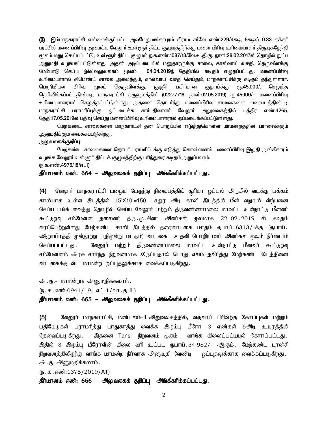(3) இம்மாநகராட்சி எல்லைக்குட்பட்ட அலமேலுமங்காபுரம் கிராம சர்வே எண்.229/4க்ஷ, 5க்ஷல் 0.33 ஏக்கர் பாப்பில் மனைப்பிரிவு அமைக்க வேலார் உள்ளூர் கிட்ட குமுமக்கிற்க்கு மனை பிரிவு உரிமையாளர் கிரு.புகமேந்தி <u>மூலம் மனு செய்யப்பட்டு, உள்ளூர் திட்ட குழுமம் ந.க.எண்.1087/18/வே.உ.தி.கு, நாள்:28.02.2017ல் தொழில் நுட்ப</u> அனுமதி வழங்கப்பட்டுள்ளது. அதன் அடிப்படையில் மனுதாரருக்கு சாலை, கால்வாய் வசதி, தெருவிளக்கு மேம்பாடு செய்ய இவ்வலுவலகம் மூலம் 04.04.2019ந் தேதியில் கடிதம் எழுதப்பட்டது. மனைப்பிரிவு உரிமையாரால் சிமெண்ட் சாலை அமைத்தும், கால்வாய் வசதி செய்தும், மாநகராட்சிக்கு கடிதம் தந்துள்ளார். பொறியியல் பிரிவு மூலம் தெருவிளக்கு, குடிநீர் பகிர்மான குழாய்க்கு ரூ.45,000/. செலுத்த தெரிவிக்கப்பட்டதின்படி, மாநகராட்சி கருவூலத்தில் (02277718, நாள்:02.05.2019) ரூ.45000/— மனைப்பிரிவு உரிமையாளரால் செ<u>லுத்த</u>ப்பட்டுள்ளது. அதனை தொடா்ந்து மனைப்பிரிவு சாலைகளை வரைபடத்தின்படி மாநகராட்சி பராமரிப்புக்கு ஒப்படைக்க சாா்பதிவாளா் வேலூா் அலுவலகத்தில் பத்திர எண்.4265, தேதி:17.05.2019ல் பதிவு செய்து மனைப்பிரிவு உரிமையாளரால் ஒப்படைக்கப்பட்டுள்ளது.

மேற்கண்ட சாலைகளை மாநகராட்சி தன் பொறுப்பில் எடுத்துகொள்ள மாமன்றத்தின் பார்வைக்கும் அனுமதிக்கும் வைக்கப்படுகி<u>றத</u>ு.

#### <u>அலுவலகக்குறிப்பு</u>

மேற்கண்ட சாலைகளை தொடா் பராமாிப்புக்கு எடுத்து கொள்ளலாம். மனைப்பிாிவு <u>இறு</u>தி அங்கீகாரம் வழங்க வேலூர் உள்ளூர் திட்டக் குழுமத்திற்கு பரிந்துரை கடிதம் அனுப்பலாம்.

(ந.க.எண்.4975/18/எப்1)

தீர்மானம் எண்: 664 – அலுவலகக் குறிப்பு அங்கீகரிக்கப்பட்டது.

(4) மேலூர் மாநகராட்சி பழைய பேருந்து நிலையத்தில் சூரியா ஓட்டல் அருகில் வடக்கு பக்கம் காலியாக உள்ள இடத்தில் 15'X10'=150 சதுர அடி காலி இடத்தில் மீன் வறுவல் விற்பனை செய்ய பங்க் வைத்து தொழில் செய்ய வேலூர் மற்றும் திருவண்ணாமலை மாவட்ட உள்நாட்டு மீனவர் கூட்டுறவு சம்மேளன தலைவர் திரு..மு.சிவா அவர்கள் முலமாக 22.02.2019 ல் கடிதம் வரப்பெற்றுள்ளது மேற்கண்ட காலி இடத்தில் தரைவாடகை மாதம் ருபாய்.6313/-க்கு (ருபாய். அூராயிரத்தி முன்நூற்று பதிமுன்று மட்டும்) வாடகை உதவி பொறியாளர் அவர்கள் மூலம் நிர்ணயம் செய்யப்பட்டது . வேலூர் மற்றும் திருவண்ணாமலை மாவட்ட உள்நாட்டு மீனவர் கூட்டுறவு சம்மேளனம் அரசு சார்ந்த நிறுவனமாக இருப்பதால் பொது ஏலம் தவிர்த்து மேற்கண்ட இடத்தினை வாடகைக்கு விட மாமன்ற ஒப்புதலுக்காக வைக்கப்படுகிறது.

அ. கு:- மாமன்றம் அனுமதிக்கலாம்.

 $(\mathfrak{g.5.5.6}$ ன்:0941/19, எப்-1/வா.கு-II.)

## தீர்மானம் எண்: 665 – அலுவலகக் குறிப்பு அங்கீகரிக்கப்பட்டது.

(5) வேலூர் மாநகராட்சி, மண்டலம்-II அலுவலகத்தில், வருவாய் பிரிவிற்கு கோப்புகள் மற்றும் பதிவேடுகள் பராமரித்து பாதுகாத்து வைக்க இரும்பு பீரோ 3 எண்கள் 6அடி உயரத்தில் தேவைப்படுகிறது . இதனை Tansi நிறுவனம் முலம் வாங்க விலைப்பட்டியல் கோரப்பட்டது. இதில் 3 இரும்பு பீரோவின் விலை வரி உட்பட ரூபாய்.34,982/- ஆகும். மேற்கண்ட டான்சி நிறுவனத்திலிருந்து வாங்க மாமன்ற நிர்வாக அனுமதி வேண்டி வப்புதலுக்காக வைக்கப்படுகிறது. அ. கு. அனுமதிக்கலாம்.

 $(\mathfrak{h}.\mathfrak{g}.\mathfrak{g}.$ ள்  $\mathfrak{m}:1375/2019/A1)$ 

தீர்மானம் எண்: 666 – அலுவலகக் குறிப்பு அங்கீகரிக்கப்பட்டது.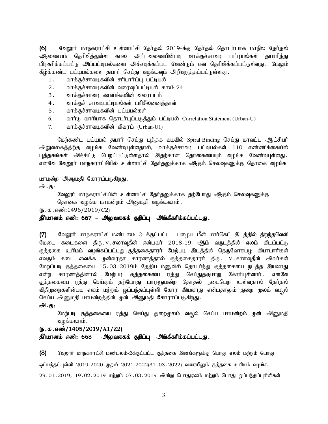$(6)$  வேலூர் மாநகராட்சி உள்ளாட்சி தேர்தல் 2019-க்கு தேர்தல் தொடர்பாக மாநில தேர்தல் <u>ஆ</u>ணையம் தெரிவித்துள்ள கால அட்டவணையின்படி வாக்குச்சாவடி பட்டியல்கள் தயாரித்து பிரசுரிக்கப்பட்டு அப்பட்டியல்களை அச்சடிக்கப்பட வேண்டும் என தெரிவிக்கப்பட்டுள்ளது. மேலும் கீழ்க்கண்ட பட்டியல்களை தயார் செய்து வழங்கவும் அிிவுறுத்தப்பட்டுள்ளது.

- 1. வாக்குச்சாவடிகளின் சரிபார்ப்பு பட்டியல்
- $2.$  வாக்குச்சாவடிகளின் வரைவுப்பட்டியல் கலம்-24
- 3. வாக்குச்சாவடி மையங்களின் வரைபடம்
- 4. வாக்குச் சாவடிபட்டியல்கள் பரிசீலனைத்தாள்
- 5. வாக்குச்சாவடிகளின் பட்டியல்கள்
- 6. வார்டு வாரியாக தொடர்புப்படுத்தும் பட்டியல் Correlation Statement (Urban-U)
- $7.$  வாக்குச்சாவடிகளின் விவரம் (Urban-U1)

மேற்கண்ட பட்டியல் தயார் செய்து புத்தக வடிவில் Spiral Binding செய்து மாவட்ட ஆட்சியர் .<br>அலுவலகத்திற்கு வழங்க வேண்டியுள்ளதால், வாக்குச்சாவடி பட்டியல்கள் 110 எண்ணிக்கையில் புத்தகங்கள் அச்சிட்டு பெறப்பட்டுள்ளதால் இதற்கான தொகையையும் வழங்க வேண்டியுள்ளது. எனவே வேலூர் மாநகராட்சியில் உள்ளாட்சி தேர்தலுக்காக ஆகும் செலவுகளுக்கு தொகை வழங்க

மாமன்ற அனுமதி கோரப்படுகிறது.

அ.கு:

வேலூர் மாநகராட்சியின் உள்ளாட்சி தேர்தலுக்காக தற்போது ஆகும் செலவுகளுக்கு

தொகை வழங்க மாமன்றம் அனுமதி வழங்கலாம்.

 $(\mathfrak{h}.\mathfrak{g}.\mathfrak{g}.$  எண்: 1496/2019/C2)

#### தீர்மானம் எண்: 667 – அலுவலகக் குறிப்பு அங்கீகரிக்கப்பட்டது.

(7) வேலூர் மாநகராட்சி மண்டலம 2- க்குட்பட்ட பழைய மீன் மார்கெட் இடத்தில் திறந்தவெளி மேடை கடைகளை திரு.V.சலாவுதீன் என்பவர் 2018-19 ஆம் வருடத்தில் ஏலம் விடப்பட்டு குத்தகை உரிமம் வழங்கப்பட்டது.குத்தகைதாரர் மேற்படி இடத்தில் தெருவோரபழ வியாபாரிகள் எவரும் கடை வைக்க முன்வரதா காரணத்தால் குத்தகைதாரர் திரு. V.சலாவுதீன் அவர்கள் மேறப்படி குத்தகையை 15.03.2019ம் தேதிய மனுவில் தொடர்ந்து குத்தகையை நடத்த இயலாது என்ற காரணத்தினால் மேற்படி குத்தகையை ரத்து செய்துதருமாறு கோரியுள்ளார். எனவே குத்தகையை ரத்து செய்தும் தற்போது பாரளுமன்ற தோதல் நடைபெற உள்ளதால் தேர்தல் விதிமுறைகளின்படி ஏலம் மற்றும் ஒப்பந்தப்புள்ளி கோர இயலாது என்பதாலும் துறை முலம் வசூல் செய்ய அனுமதி மாமன்றத்தின் முன் அனுமதி கோராப்படுகிறது.

#### அ.கு:

மேற்படி குத்தகையை ரத்து செய்து துறைமுலம் வசூல் செய்ய மாமன்றம் முன் அனுமதி வழங்கலாம்.

#### (ந.க.எண்/1405/2019/A1/Z2)

தீர்மானம் எண்: 668 – அலுவலகக் குறிப்பு அங்கீகரிக்கப்பட்டது.

(8) கேலூர் மாநகராட்சி மண்டலம்-2க்குட்பட்ட குத்தகை இனங்களுக்கு பொது ஏலம் மற்றும் பொது <u>ஓ</u>ப்பந்தப்புள்ளி 2019-2020 முதல் 2021-2022(31.03.2022) வரையிலும் குத்தகை உரிமம் வழங்க 29.01.2019, 19.02.2019 மற்றும் 07.03.2019 அின்று பொதுஏலம் மற்றும் பொது ஒப்பந்தப்புள்ளிகள்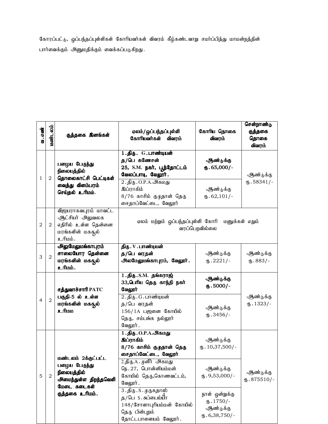கோரப்பட்டு, ஒப்பந்தப்புள்ளிகள் கோரியவர்கள் விவரம் கீழ்கண்டவாறு சமா்ப்பித்து மாமன்றத்தின் பார்வைக்கும் அனுமதிக்கும் வைக்கப்படுகிறது.

|                |                |                                                                                                               |                                                                                                                                                                                                                                                                                                     |                                                                                                                                                          | சென்றாண்டு                         |
|----------------|----------------|---------------------------------------------------------------------------------------------------------------|-----------------------------------------------------------------------------------------------------------------------------------------------------------------------------------------------------------------------------------------------------------------------------------------------------|----------------------------------------------------------------------------------------------------------------------------------------------------------|------------------------------------|
| வ. எண்         | மண்டலம்        | குத்தகை இனங்கள்                                                                                               | ஏலம்/ ஒப்பந்தப்புள்ளி<br>கோரியவர்கள்<br>விவரம்                                                                                                                                                                                                                                                      | கோரிய தொகை<br>விவரம்                                                                                                                                     | குத்தகை<br>தொகை<br>விவரம்          |
| 1              | 2              | பழைய பேருந்து<br>நிலையத்தில்<br>தொலைகாட்சி பெட்டிகள்<br>வைத்து விளம்பரம்<br>செப்தல் உரிமம்.                   | 1.திரு. G.பாண்டியன்<br>த/பெ கணேசன்<br>25, S.M. நகர், பூந்தோட்டம்<br>வேலப்பாடி, வேலூர்.<br>2.திரு.O.P.A.அகமது<br>இப்ராகிம்<br>8/76 காசிம் குழதான் தெரு<br>சைதாப்வேட்டை, வேலூர்                                                                                                                       | ஆண்டுக்கு<br>$\Phi$ .65,000/-<br>ஆண்டுக்கு<br>$\mathbf{t}$ .62,101/-                                                                                     | ஆண்டுக்கு<br>$\text{I}58341/-$     |
| 2              | $\overline{2}$ | விஜயராகவபுரம் மாவட்ட<br>ஆட்சியர் அலுவலக<br>எதிரில் உள்ள தென்னை<br>மரங்களின் மகசூல்<br>. ம்யிடீ                | ஏலம் மற்றும் ஒப்பந்தப்புள்ளி கோரி                                                                                                                                                                                                                                                                   | வரப்பெறவில்லை                                                                                                                                            | மனுக்கள் எதும்                     |
| 3              | $\overline{2}$ | <u> அலுமேலுமங்காபுரம்</u><br>சாலையோர தென்னை<br>மரங்களின் மகதல்<br>உரிமம்.                                     | திரு . V . பாண்டியன்<br>த/பெ வரதன்<br>அலமேலுமங்காபுரம், வேலூர்.                                                                                                                                                                                                                                     | ஆண்டுக்கு<br>$\mathbf{0.2221}/$                                                                                                                          | ஆண்டுக்கு<br>$(B.883/-$            |
| $\overline{4}$ | $\overline{2}$ | சத்துவாச்சாரி PATC<br>பகுதி-5 ல் உள்ள<br>மரங்களின் மகதல்<br><u>aufh_e</u>                                     | $1.$ திரு. S.M. தங்கராஜ்<br>33,பெரிய தெரு காந்தி நகர்<br>வேலூர்<br>2.திரு.G.பாண்டியன்<br>த/பெ வரதன்<br>$156/1$ A பஜனை கோயில்<br>தெரு, சம்பங்க நல்லூர்<br>வேலூர் .                                                                                                                                   | ஆண்டுக்கு<br>$\omega$ .5000/-<br>ஆண்டுக்கு<br>$\omega$ .3456/-                                                                                           | ஆண்டுக்கு<br>$\mathbf{L}$ . 1323/- |
| 5              | $\overline{2}$ | மண்டலம் 2க்கட்பட்ட<br>பழைய பேருந்து<br>நிலையத்தில்<br>அமைந்துள்ள திறந்தவெளி<br>மேடை கடைகள்<br>குத்தகை உரிமம். | 1.திரு. O.P.A.அகமது<br>இப்ராகிம்<br>8/76 காசிம் குழதான் தெரு<br>சைதாப்வேட்டை, வேலூர்<br>2.திரு.A . முனீர்   அகமது<br>நெ. 27, பொன்னியம்மன்<br>கோயில் தெரு,கொணவட்டம்,<br>வேலூர்.<br>3.திரு. S. முருகதாஸ்<br>த/பெ S.சுப்பைய்யா்<br>148/சோளாபுரியம்மன் கோயில்<br>தெரு பின்புறம்<br>தோட்டபாளையம் வேலூர். | ஆண்டுக்கு<br>$\text{I}0,37,500$ /-<br>ஆண்டுக்கு<br>$_{66}$ . 9,53,000/-<br>நாள் ஒன்றுக்கு<br>$\mathbf{\Phi}$ . 1750/-<br>ஆண்டுக்கு<br>$(D.6, 38, 750)$ - | ஆண்டுக்கு<br>$\text{I}5.875510/-$  |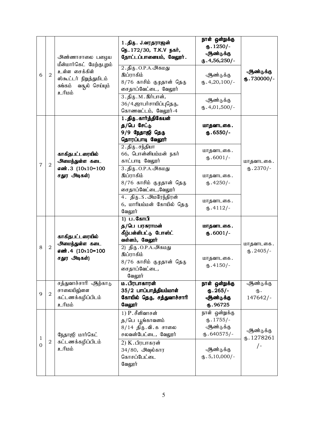| 6              | $\overline{a}$ | அண்ணாசாலை பழைய<br>மீன்மார்கெட் மேற்குபுறம்<br>உள்ள சைக்கிள்<br>ஸ்கூட்டர் நிறுத்துமிடம்<br>சுங்கம்<br>வசூல் செய்யும்<br><u>ப்பரி உ</u> | 1.திரு. J.வரதராஜன்<br>நெ. 172/30, T.K.V நகர்,<br>தோட்டப்பாளையம், வேலூர்.<br>2.திரு. O.P.A. அகமது<br>இப்ராகிம்<br>8/76 காசிம் குழதான் தெரு<br>சைதாப்வேட்டை, வேலூர்<br>3.திரு. M. இர்பான்,<br>36/4,ஜாபர்சாயிப்புதெரு,<br>கொணவட்டம், வேலூர்-4                 | நாள் ஒன்றுக்கு<br>$\omega$ . 1250/-<br>ஆண்டுக்கு<br>$\times$ .4,56,250/-<br>ஆண்டுக்கு<br>$(D.4,20,100)$ -<br>ஆண்டுக்கு<br>$\mathbf{0.4,}01,500/-$ | ஆண்டுக்கு<br>$\omega$ .730000/-        |
|----------------|----------------|---------------------------------------------------------------------------------------------------------------------------------------|------------------------------------------------------------------------------------------------------------------------------------------------------------------------------------------------------------------------------------------------------------|---------------------------------------------------------------------------------------------------------------------------------------------------|----------------------------------------|
| $\overline{7}$ | $\overline{a}$ | காகிதபட்டரையில்<br>அமைந்துள்ள கடை<br>எண்.3 (10x10=100<br>சதுர அடிகள்)                                                                 | 1.திரு. கார்த்திகேயன்<br>த/பெ சேட்டு<br>9/9 நேதாஜி தெரு<br>தொரப்பாடி வேலூர்<br>2.திரு.சந்தியா<br>66, பொன்னியம்மன் நகர்<br>காட்பாடி வேலூர்<br>3.திரு.O.P.A.அகமது<br>இப்ராகிம்<br>8/76 காசிம் குழதான் தெரு<br>சைதாப்வேட்டை,வேலூர்<br>4. திரு. S. அமரேந்திரன் | மாதவாடகை.<br>$\omega$ .6550/-<br>மாதவாடகை.<br>$\text{I}$ .6001/-<br>மாதவாடகை.<br>$(D.4250/-$<br>மாதவாடகை.                                         | மாதவாடகை.<br>$\omega$ .2370/-          |
| 8              | $\overline{2}$ | காகிதபட்டரையில்<br>அமைந்துள்ள கடை<br>எண். 4 (10x10=100<br>சதுர அடிகள்)                                                                | 6, மாரியம்மன் கோயில் தெரு<br>வேலூர்<br>1) ப. கோபி<br>த/பெ பரசுராமன்<br>கீழ்பள்ளிபட்டு போஸ்ட்<br>வள்ளம், வேலூர்<br>2) திரு. O.P.A.அகமது<br>இப்ராகிம்<br>8/76 காசிம் குழதான் தெரு<br>சைதாப்வேட்டை,<br>வேலூர்                                                 | $\mathbf{L}$ .4112/-<br>மாதவாடகை.<br>$\omega$ .6001/-<br>மாதவாடகை.<br>$(D.4150/-$                                                                 | மாதவாடகை.<br>$\text{I}3.2405/-$        |
| 9              | $\sqrt{2}$     | சத்துவாச்சாரி ஆற்காடு<br>சாலையிலு்ளள<br>கட்டணக்கழிப்பிடம்<br><u>ப்பரி உ</u>                                                           | <b>ம. பிரபாகாரன்</b><br>35/2 பாப்பாத்தியம்மாள்<br>கோயில் தெரு, சத்துவாச்சாரி<br>வேலூர்                                                                                                                                                                     | நாள் ஒன்றுக்கு<br>$\omega$ . 265/-<br>ஆண்டுக்கு<br>6.96725                                                                                        | ஆண்டுக்கு<br>ரு.<br>147642/-           |
| 1<br>0         | $\mathbf 2$    | நேதாஜி மார்கெட்<br>கட்டணக்கழிப்பிடம்<br><u>ப்பரி உ</u>                                                                                | $1)$ $P.$ சீனிவாசன்<br>த/பெ பூங்காவனம்<br>8/14 திரு. வி. கசாலை<br>சலவன்பேட்டை, வேலூர்<br>2) K. பிரபாகரன்<br>34/80, அவுல்கார<br>கொசப்பேட்டை<br>வேலூர்                                                                                                       | நாள் ஒன்றுக்கு<br>$\mathbf{L}$ . 1755/-<br>ஆண்டுக்கு<br>$(D.640575)$ -<br>ஆண்டுக்கு<br>$\text{I}5,10,000$ /-                                      | ஆண்டுக்கு<br>$\times 1278261$<br>$/$ - |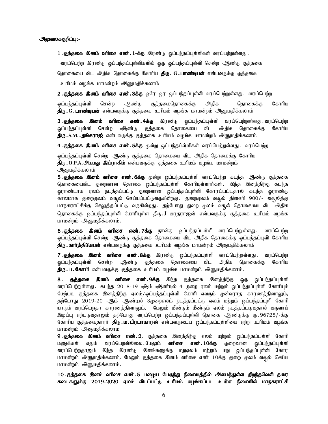#### அலுவலககுறிப்பு:-

1. குத்தகை இனம் வரிசை எண். 1-க்கு இரண்டு ஒப்பந்தப்புள்ளிகள் வரப்பற்றுள்ளது. வரப்பெற்ற இரண்டு ஒப்பந்தப்புள்ளிகளில் ஒரு ஒப்பந்தப்புள்ளி சென்ற ஆண்டு குத்தகை தொகையை விட அதிக தொகைக்கு கோரிய **திரு. G. பாண்டியன்** என்பவருக்கு குத்தகை உரிமம் வழங்க மாமன்றம் அனுமதிக்கலாம்

2. குத்தகை இனம் வரிசை எண்.3க்கு ஒரே ஒர ஒப்பந்தப்புள்ளி வரப்பெற்றுள்ளது. வரப்பெற்ற ஒப்பந்தப்புள்ளி சென்ற அண்<sub>ம்</sub> குத்தகைதொகைக்கு அதிக தொகைக்கு கோரிய

**திரு.G.பாண்டியன்** என்பவருக்கு குத்தகை உரிமம் வழங்க மாமன்றம் அனுமதிக்கலாம்

3**. குத்தகை இனம் வரிசை எண். 4க்கு** இரண்டு ஒப்பந்தப்புள்ளி வரப்பெற்றுள்ளது. வரப்பெற்ற ஒப்பந்தப்புள்ளி சென்ற ஆண்டு குத்தகை தொகையை விட அதிக தொகைக்கு கோரிய **திரு.S.M..தங்கராஜ்** என்பவருக்கு குத்தகை உரிமம் வழங்க மாமன்றம் அனுமதிக்கலாம்

4.**குத்தகை இனம் வரிசை எண். 5க்கு** முன்று ஒப்பந்தப்ள்ளிகள் வரப்பெற்றுள்ளது. வரப்பெற்ற

ஒப்பந்தப்புள்ளி சென்ற ஆண்டு குத்தகை தொகையை விட அதிக தொகைக்கு கோரிய **திரு.O.P.A.அகமது இப்ராகிம்** என்பவருக்கு குத்தகை உரிமம் வழங்க மாமன்றம் அனுமதிக்கலாம்

5**. குத்தகை இனம் வரிசை எண். 6க்கு** முன்று ஒப்பந்தப்புள்ளி வரப்பெற்று கடந்த ஆண்டு குத்தகை தொகையைவிட குறைவான தொகை ஒப்பந்தப்புள்ளி கோரியுள்ளார்கள். இந்த இனத்திற்கு கடந்த ஓராண்டாக ஏலம் நடத்தப்பட்டு குறைவான ஒப்பந்தப்புள்ளி கோரப்பட்டதால் கடந்த ஓராண்டு காலமாக துறைமுலம் வசூல் செய்யப்பட்டுவருகின்றது .துறைமுலம் வசூல் தினசரி 900/- வசூலித்து மாநகராட்சிக்கு செலுத்தப்பட்டு வருகின்றது. தற்போது துறை மூலம் வசூல் தொகையை விட அதிக தொகைக்கு ஒப்பந்தப்புள்ளி கோரியுள்ள திரு.J.வரதராஜன் என்பவருக்கு குத்தகை உரிமம் வழங்க மாமன்றம் அனுமதிக்கலாம்.

6. குத்தகை இனம் வரிசை எண். 7க்கு நான்கு ஒப்பந்தப்புள்ளி வரப்பெற்றுள்ளது. வரப்பெற்ற ஒப்பந்தப்புள்ளி சென்ற ஆண்டு குத்தகை தொகையை விட அதிக தொகைக்கு ஒப்பந்தப்புளி கோரிய **திரு. கார்த்திகேயன்** என்பவருக்கு குத்தகை உரிமம் வழங்க மாமன்றம் அனுமதிக்கலாம்

**7. குத்தகை இனம் வரிசை எண். 8க்கு** இரண்டு ஒப்பந்தப்புள்ளி வரப்பெற்றுள்ளது. வரப்பெற்ற ஒப்பந்தப்புள்ளி சென்ற ஆண்டு குத்தகை தொகையை விட அதிக தொகைக்கு கோரிய **திரு.ப.கோபி** என்பவருக்கு குத்தகை உரிமம் வழங்க மாமன்றம் அனுமதிக்கலாம்.

8. குத்தகை இனம் வரிசை எண்.9க்கு இந்த குத்தகை இனத்திற்கு ஒரு ஒப்பந்தப்புள்ளி வரப்பெற்றுள்ளது . கடந்த 2018-19 ஆம் ஆண்டில் 4 முறை ஏலம் மற்றும் ஒப்பந்தப்புள்ளி கோரியும் மேற்படி குத்தகை இனத்திற்கு ஏலம்/ஒப்பந்தப்புள்ளி கோரி எவரும் முன்வராத காரணத்தினாலும், தற்போது 2019-20 ஆம் ஆண்டில் 3முறைஏலம் நடத்தப்பட்டு ஏலம் மற்றும் ஒப்பந்தப்புளி கோரி யாரும் வரப்பெறதா காரணத்தினாலும், மேலும் மீண்டும் மீண்டும் ஏலம் நடத்தப்படுவதால் வருவாய் இழப்பு ஏற்படுவதாலும் தற்போது வரப்பெற்ற ஒப்பந்தப்புள்ளி தொகை ஆண்டுக்கு ரு. 96725/-க்கு கோரிய குத்தகைதாரர் **திரு.ம.பிரபாகாரன்** என்பவருடைய ஒப்பந்தப்புள்ளியை ஏற்று உரிமம் வழங்க மாமன்றம் அனுமதிக்கலாம

**9.குத்தகை இனம் வரிசை எண்.2,** குத்தகை இனத்திற்கு ஏலம் மற்றும் ஒப்பந்தப்புள்ளி கோரி மனுக்கள் எதும் வரப்பெறவில்லை.மேலும் **வரிசை எண்.10க்கு** குறைவான ஒப்பந்தப்புள்ளி வரப்பெற்றதாலும் இந்த இரண்டு இனங்களுக்கு மறுஏலம் மற்றும் மறு ஒப்பந்தப்புள்ளி கோர மாமன்றம் அனுமதிக்கலாம், மேலும் குத்தகை இனம் வரிசை எண் 10க்கு துறை முலம் வசூல் செய்ய மாமன்றம் அனுமதிக்கலாம்.

10. குத்தகை இனம் வரிசை எண். 5 பழைய பேருந்து நிலையத்தில் அமைந்துள்ள திறந்தவெளி தரை கடைகளுக்கு 2019-2020 ஏலம் விடப்பட்டு உரிமம் வழங்கப்பட உள்ள நிலையில் மாநகராட்சி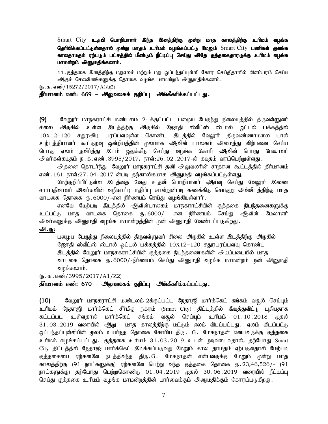Smart City உதவி பொறியாளர் இந்த இனத்திற்கு மூன்று மாத காலத்திற்கு உரிமம் வழங்க தெரிவிக்கப்பட்டுள்ளதால் மூன்று மாதம் உரிமம் வழங்கப்பட்டு மேலும் Smart City பணிகள் துவங்க காலதாமதம் ஏற்படும் பட்சத்தில் மீண்டும் நீட்டிப்பு செய்து அதே குத்தகைதாரருக்கு உரிமம் வழங்க மாமன்றம் அனுமதிக்கலாம்.

11. குத்தகை இனத்திற்கு மறுஏலம் மற்றும் மறு ஒப்பந்தப்புள்ளி கோர செய்திதாளில் விளம்பரம் செய்ய ஆகும் செலவினங்களுக்கு தொகை வழங்க மாமன்றம் அனுமதிக்கலாம்.

 $(5.5.5 \cdot \frac{100}{15272}/2017/A1/L2)$ 

தீர்மானம் எண்: 669 – அலுவலகக் குறிப்பு அங்கீகரிக்கப்பட்டது.

(9) கேலூர் மாநகராட்சி மண்டலம 2- க்குட்பட்ட பழைய பேருந்து நிலையத்தில் திருவள்ளுவர் சிலை அருகில் உள்ள இடத்திற்கு அருகில் ஜோதி ஸ்வீட்ஸ் ஸ்டால் ஒட்டல் பக்கத்தில்  $10X12=120$  சதுரஅடி பரப்பளவுள்ள கொண்ட இடத்தில் வேலூர் திருவண்ணாமலை பால் உற்பத்தியாளர் கூட்டுறவு ஒன்றியத்தின் முலமாக ஆவின் பாலகம் அமைத்து விற்பனை செய்ய பொது ஏலம் தவிர்த்து இடம் ஒதுக்கீடு செய்து வழங்க கோரி ஆவின் பொது மேலாளர்  $\Theta$ ிவர்கள்கடிதம் ந.க.எண்.3995/2017, நாள்:26.02.2017-ல் கடிதம் வரப்பெற்றுள்ளது.

அதனை தொடர்ந்து வேலூர் மாநகராட்சி தனி அலுவலரின் சாதரன கூட்டத்தில் திர்மானம் எண்.161 நாள்:27.04.2017-ன்படி தற்காலிகமாக அனுமதி வழங்கப்பட்டுள்ளது,

மேற்குறிப்பிட்டுள்ள இடத்தை 2வது உதவி பொறியாளர் — அய்வு செய்து வேலூர் இணை சாாபதிவாளர் அவர்களின் வழிகாட்டி மதிப்பு சான்றுன்படி கணக்கிடு செயதுறு அவ்விடத்திற்கு மாத வாடகை தொகை ரு.6000/-என நிர்ணயம் செய்து வழங்கியுள்ளார்.

எனவே மேற்படி இடத்தில் ஆவின்பாலகம் மாநகராட்சியின் குத்தகை நிபந்தனைகளுக்கு உட்பட்டு மாத வாடகை தொகை ரு. 6000/- என நிர்ணயம் செய்து ஆகின் மேலாளர் அவர்களுக்கு அனுமதி வழங்க மாமன்றத்தின் முன் அனுமதி வேண்டப்படுகிறது.

## அ.கு:

பழைய பேருந்து நிலையத்தில் திருவள்ளுவர் சிலை அருகில் உள்ள இடத்திற்கு அருகில் ஜோதி ஸ்வீட்ஸ் ஸ்டால் <u>ஒ</u>ட்டல் பக்கத்தில் 10X12=120 சதுரபரப்பளவு கொண்ட இடத்தில் வேலூர் மாநசகராட்சியின் குத்தகை நிபந்தணைகளின் அடிப்படையில் மாத வாடகை தொகை ரு.6000/-நிர்ணயம் செய்து அனுமதி வழங்க மாமன்றம் முன் அனுமதி வழங்கலாம்.

 $(5.5.5.5\frac{1}{2995}/2017/A1/Z2)$ 

## தீர்மானம் எண்: 670 – அலுவலகக் குறிப்பு அங்கீகரிக்கப்பட்டது.

(10) கிஷ்வூர் மாநகராட்சி மண்டலம்-2க்குட்பட்ட நேதாஜி மார்க்கெட் சுங்கம் வசூல் செய்யும் உரிமம் நேதாஜி மார்க்கெட் சீர்மிகு நகரம் (Smart City) திட்டத்தில் இடித்துவிட்டு புதியதாக கட்டப்பட உள்ளதால் மார்க்கெட் சுங்கம் வசூல் செய்யும் உரிமம் 01.10.2018 முதல் 31.03.2019 வரையில் ஆறு மாத காலத்திற்கு மட்டும் ஏலம் விடப்பட்டது. ஏலம் விடப்பட்டு <u>ஒ</u>ப்பந்தப்புள்ளியின் மூலம் உயர்நத தொகை கோரிய திரு. G. மேகநாதன் எனபவருக்கு குத்தகை உரிமம் வழங்கப்பட்டது. குத்தகை உரிமம் 31.03.2019 உடன் முடிவடைவதால், தற்போது Smart City திட்டத்தில் நேதாஜி மார்க்கெட் இடிக்கப்படுவது மேலும் கால தாமதம் ஏற்படுவதால் மேற்படி குத்தகையை ஏற்கனவே நடத்திவந்த திரு.G. மேகநாதன் என்பவருக்கு மேலும் முன்று மாத காலத்திற்கு (91 நாட்களுக்கு) ஏற்கனவே பெற்று வந்த குத்தகை தொகை ரு.23,46,526/- (91 நாட்களுக்கு) தற்போது பெற்றுகொண்டு 01.04.2019 முதல் 30.06.2019 வரையில் நீட்டிப்பு செய்து குத்தகை உரிமம் வழங்க மாமன்றத்தின் பார்வைக்கும் அனுமதிக்கும் கோரப்படுகிறது.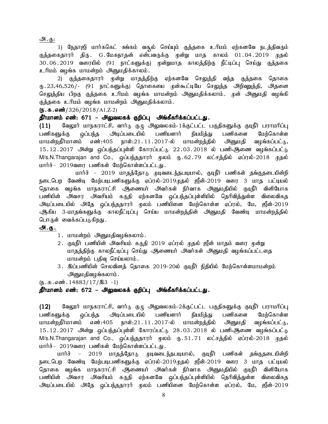<u>அ. கு:</u>

1) நேதாஜி மார்ககெட் சுங்கம் வசூல் செய்யும் குத்தகை உரிமம் ஏற்கனவே நடத்திவரும் குத்தகைதாரர் திரு. G.மேகநாதன் என்பவருக்கு முன்று மாத காலம் 01.04.2019 முதல் 30.06.2019 வரையில் (91 நாட்களுக்கு) முன்றுமாத காலத்திற்கு நீட்டிப்பு செய்து குத்தகை உரிமம் வழங்க மாமன்றம் அனுமதிக்காலம்.

2) குத்தகைதாரர் முன்று மாதத்திற்கு ஏற்கனவே செலுத்தி வந்த குத்தகை தொகை ரு.23,46,526/- (91 நாட்களுக்கு) தொகையை முன்கூட்டியே செலுத்த அிறவுறத்தி, அதனை செலுத்திய பிறகு குத்தகை உரிமம் வழங்க மாமன்றம் அனுமதிக்கலாம். முன் அனுமதி வழங்கி குத்தகை உரிமம் வழங்க மாமன்றம் அனுமதிக்கலாம்.

 $(5.5.5 \cdot \frac{1000}{2018} \cdot 326/2018)$  A1, Z-2)

தீர்மானம் எண்: 671 – அலுவலகக் குறிப்பு அங்கீகரிக்கப்பட்டது.

 $(11)$  Bிலுரா் மாநகராட்சி, வாா்டு குழு அலுவலகம்-1க்குட்பட்ட பகுதிகளுக்கு குடிநீா் பராமாிப்பு பணிகளுக்கு ஒப்பந்த அடிப்படையில் பணியளார் நியமித்து பணிகளை மேற்கொள்ள மாமன்றதீர்மானம் எண்:405 நாள்:21.11.2017-ல் மாமன்றத்தில் அனுமதி வழங்கப்பட்டு,  $15.12.2017$  அின்று ஒப்பந்தப்புள்ளி கோரப்பட்டு  $22.03.2018$  ல் பணிஆணை வழங்கப்பட்டு M/s.N.Thangarajan and Co., ஒப்பந்ததாரர் மூலம் ரு.62.79 லட்சத்தில் ஏப்ரல்-2018 முதல் மார்ச்– 2019வரை பணிகள் மேற்கொள்ளப்பட்டது.

மார்ச் – 2019 மாதத்தோடு முடிவடைந்தபடியால், குடிநீர் பணிகள் தங்குதடையின்றி நடைபெற வேண்டி மேற்படிபணிகளுக்கு ஏப்ரல்-2019முதல் ஜீன்-2019 வரை 3 மாத பட்டியல் தொகை வழங்க மாநகராட்சி ஆணையர் அவர்கள் நிர்வாக அனுமதியில் குடிநீர் வினியோக பணியின் அவசர அவசியம் கருதி ஏற்கனவே ஒப்பந்தப்புள்ளியில் தெரிவித்துள்ள விலைவிகத <u>அடிப்படையில் அதே ஒப்பந்ததாரர் முலம் பணியி</u>னை மேற்கொள்ள ஏப்ரல், மே, ஜீன்-2019 ஆகிய 3-மாதங்களுக்கு காலநீட்டிப்பு செய்ய மாமன்றத்தின் அனுமதி வேண்டி மாமன்றத்தில் பொருள் வைக்கப்படுகிறது .

#### அ.கு.

- 1. மாமன்றம் அனுமதிவழங்கலாம்.
- 2. குடிநீர் பணியின் அவசியம் கருதி 2019 ஏப்ரல் முதல் ஜீன் மாதம் வரை முன்று மாதத்திற்கு காலநீட்டிப்பு செய்து ஆணையர் அவர்கள் அனுமதி வழங்கப்பட்டதை மாமன்றம் பதிவு செய்யலாம்.
- 3. இப்பணியின் செலவினத் தொகை 2019-20ல் குடிநீர் நிதியில் மேற்கொள்ளமாமன்றம் அனுமதிவழங்கலாம்.

 $(\mathbf{b}.\mathbf{b}.\mathbf{d}.\mathbf{d}$  and  $\mathbf{c}$  14883/17/ $\mathbf{A}$ 3 -1)

## தீர்மானம் எண்: 672 – அலுவலகக் குறிப்பு அங்கீகரிக்கப்பட்டது.

 $(12)$  Bவலூர் மாநகராட்சி, வார்டு குழு அலுவலகம்-2க்குட்பட்ட பகுதிகளுக்கு குடிநீர் பராமரிப்பு பணிகளுக்கு ஒப்பந்த அடிப்படையில் பணியளார் நியமித்து பணிகளை மேற்கொள்ள மாமன்றதீர்மானம் எண்:405 நாள்:21.11.2017-ல் மாமன்றத்தில் அனுமதி வழங்கப்பட்டு,  $15.12.2017$  அின்று ஒப்பந்தப்புள்ளி கோரப்பட்டு  $28.03.2018$  ல் பணிஆணை வழங்கப்பட்டு M/s.N.Thangarajan and Co., ஒப்பந்ததாரர் முலம் ரு.51.71 லட்சத்தில் ஏப்ரல்-2018 முதல் மார்ச்– 2019வரை பணிகள் மேற்கொள்ளப்பட்டது.

மார்ச் – 2019 மாதத்தோடு முடிவடைந்தபடியால், குடிநீர் பணிகள் தங்குதடையின்றி நடைபெற வேண்டி மேற்படிபணிகளுக்கு ஏப்ரல்-2019முதல் ஜீன்-2019 வரை 3 மாத பட்டியல் தொகை வழங்க மாநகராட்சி ஆணையர் அவர்கள் நிர்வாக அனுமதியில் குடிநீர் வினியோக பணியின் அவசர அவசியம் கருதி ஏற்கனவே ஒப்பந்தப்புள்ளியில் தெரிவித்துள்ள விலைவிகத <u>அடிப்படையில் அதே ஒப்பந்ததாரர் முலம் பணியி</u>னை மேற்கொள்ள ஏப்ரல், மே, ஜீன்-2019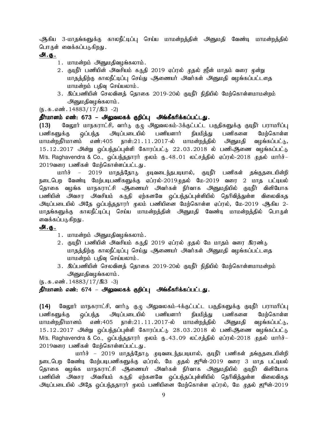ஆகிய 3-மாதங்களுக்கு காலநீட்டிப்பு செய்ய மாமன்றத்தின் அனுமதி வேண்டி மாமன்றத்தில் பொருள் வைக்கப்படுகிறது .

## அ.கு.

- 1. மாமன்றம் அனுமதிவழங்கலாம்.
- 2. குடிநீர் பணியின் அவசியம் கருதி 2019 ஏப்ரல் முதல் ஜீன் மாதம் வரை முன்று மாதத்திற்கு காலநீட்டிப்பு செய்து ஆணையர் அவர்கள் அனுமதி வழங்கப்பட்டதை மாமன்றம் பதிவு செய்யலாம்.
- 3. இப்பணியின் செலவினத் தொகை 2019-20ல் குடிநீர் நிதியில் மேற்கொள்ளமாமன்றம் அனுமதிவழங்கலாம்.

 $(n.5.5 \text{ s}) \cdot 14883/17/\text{a}3 - 2)$ 

## தீர்மானம் எண்: 673 – அலுவலகக் குறிப்பு அங்கீகரிக்கப்பட்டது.

(13) கேலூர் மாநகராட்சி, வார்டு குழு அலுவலகம்-3க்குட்பட்ட பகுதிகளுக்கு குடிநீர் பராமரிப்பு பணிகளுக்கு ஒப்பந்த அடிப்படையில் பணியளார் நியமித்து பணிகளை மேற்கொள்ள மாமன்றதீர்மானம் எண்:405 நாள்:21.11.2017-ல் மாமன்றத்தில் அனுமதி வழங்கப்பட்டு,  $15.12.2017$  அின்று ஒப்பந்தப்புள்ளி கோரப்பட்டு  $22.03.2018$  ல் பணிஅிணை வழங்கப்பட்டு M/s. Raghavendra & Co., ஒப்பந்ததாரர் மூலம் ரு. 48.01 லட்சத்தில் ஏப்ரல்-2018 முதல் மார்ச்– 2019வரை பணிகள் மேற்கொள்ளப்பட்டது.

மார்ச் – 2019 மாதத்தோடு முடிவடைந்தபடியால், குடிநீர் பணிகள் தங்குதடையின்றி .<br>நடைபெற வேண்டி மேற்படிபணிகளுக்கு ஏப்ரல்-2019முதல் மே-2019 வரை 2 மாத பட்டியல் தொகை வழங்க மாநகராட்சி ஆணையர் அவர்கள் நிர்வாக அனுமதியில் குடிநீர் வினியோக பணியின் அவசர அவசியம் கருதி ஏற்கனவே ஒப்பந்தப்புள்ளியில் தெரிவித்துள்ள விலைவிகத அடிப்படையில் அதே ஒப்பந்ததாரர் முலம் பணியினை மேற்கொள்ள ஏப்ரல், மே-2019 ஆகிய 2-மாதங்களுக்கு காலநீட்டிப்பு செய்ய மாமன்றத்தின் அனுமதி வேண்டி மாமன்றத்தில் பொருள் வைக்கப்படுகிறது .

## <u>அ.கு.</u>

- 1. மாமன்றம் அனுமதிவழங்கலாம்.
- 2. குடிநீர் பணியின் அவசியம் கருதி 2019 ஏப்ரல் முதல் மே மாதம் வரை இரண்டு மாதத்திற்கு காலநீட்டிப்பு செய்து ஆணையர் அவர்கள் அனுமதி வழங்கப்பட்டதை மாமன்றம் பதிவு செய்யலாம்.
- 3. இப்பணியின் செலவினத் தொகை 2019-20ல் குடிநீர் நிதியில் மேற்கொள்ளமாமன்றம் அனுமதிவழங்கலாம்.

 $(\mathbb{D} \cdot \mathbb{D} \cdot \mathbb{G} \cdot \mathbb{G})$  and  $(14883/17/\mathbb{A})$  -3)

## தீர்மானம் எண்: 674 – அலுவலகக் குறிப்பு அங்கீகரிக்கப்பட்டது.

(14) மேலூர் மாநகராட்சி, வார்டு குழு அலுவலகம்-4க்குட்பட்ட பகுதிகளுக்கு குடிநீர் பராமரிப்பு பணிகளுக்கு ஒப்பந்த அடிப்படையில் பணியளார் நியமித்து பணிகளை மேற்கொள்ள மாமன்றதீர்மானம் எண்:405 நாள்:21.11.2017-ல் மாமன்றத்தில் அனுமதி வழங்கப்பட்டு,  $15.12.2017$  அின்று ஒப்பந்தப்புள்ளி கோரப்பட்டு  $28.03.2018$  ல் பணிஆணை வழங்கப்பட்டு M/s. Raghavendra & Co., ஒப்பந்ததாரர் மூலம் ரு.43.09 லட்சத்தில் ஏப்ரல்-2018 முதல் மார்ச்– 2019வரை பணிகள் மேற்கொள்ளப்பட்டது.

மார்ச் – 2019 மாதத்தோடு முடிவடைந்தபடியால், குடிநீர் பணிகள் தங்குதடையின்றி நடைபெற வேண்டி மேற்படிபணிகளுக்கு ஏப்ரல், மே முதல் ஜூன்-2019 வரை 3 மாத பட்டியல் தொகை வழங்க மாநகராட்சி ஆணையர் அவர்கள் நிர்வாக அனுமதியில் குடிநீர் வினியோக பணியின் அவசர அவசியம் கருதி ஏற்கனவே ஒப்பந்தப்புள்ளியில் தெரிவித்துள்ள விலைவிகத அடிப்படையில் அதே ஒப்பந்ததாரர் முலம் பணியினை மேற்கொள்ள ஏப்ரல், மே முதல் ஜூன்-2019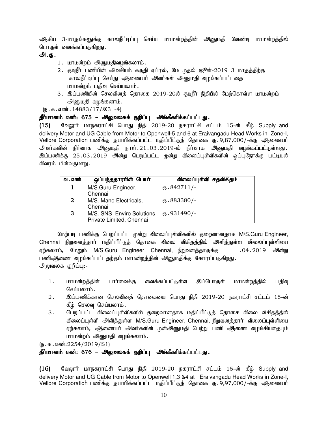ஆகிய 3-மாதங்களுக்கு காலநீட்டிப்பு செய்ய மாமன்றத்தின் அனுமதி வேண்டி மாமன்றத்தில் பொருள் வைக்கப்படுகிறது .

## அ.<u>கு .</u>

- 1. மாமன்றம் அனுமதிவழங்கலாம்.
- 2. குடிநீர் பணியின் அவசியம் கருதி ஏப்ரல், மே முதல் ஜூன்-2019 3 மாதத்திற்கு காலநீட்டிப்பு செய்து ஆணையர் அவர்கள் அனுமதி வழங்கப்பட்டதை மாமன்றம் பதிவு செய்யலாம்.
- 3. இப்பணியின் செலவினத் தொகை 2019-20ல் குடிநீர் நிதியில் மேற்கொள்ள மாமன்றம் அனுமதி வழங்கலாம்.

 $(\mathbb{F} \cdot \mathbb{F} \cdot \mathbb{F} \cdot \mathbb{F} \cdot \mathbb{F} \cdot \mathbb{F} \cdot \mathbb{F} \cdot \mathbb{F} \cdot \mathbb{F} \cdot \mathbb{F} \cdot \mathbb{F} \cdot \mathbb{F} \cdot \mathbb{F} \cdot \mathbb{F} \cdot \mathbb{F} \cdot \mathbb{F} \cdot \mathbb{F} \cdot \mathbb{F} \cdot \mathbb{F} \cdot \mathbb{F} \cdot \mathbb{F} \cdot \mathbb{F} \cdot \mathbb{F} \cdot \mathbb{F} \cdot \mathbb{F} \cdot \mathbb{F} \cdot \mathbb{F} \cdot \mathbb{$ 

## தீர்மானம் எண்: 675 – அலுவலகக் குறிப்பு அங்கீகரிக்கப்பட்டது.

 $(15)$  Bag $y$ ர் மாநகராட்சி பொது நிதி 2019-20 நகராட்சி சட்டம் 15-ன் கீழ் Supply and delivery Motor and UG Cable from Motor to Openwell-5 and 6 at Eraivangadu Head Works in Zone-I, Vellore Corporation பணிக்கு தயாரிக்கப்பட்ட மதிப்பீட்டுத் தொகை ரு. 9,87,000/-க்கு ஆணையர் அவர்களின் நிர்வாக அனுமதி நாள்.21.03.2019-ல் நிர்வாக அனுமதி வழங்கப்பட்டுள்ளது. இப்பணிக்கு 25.03.2019 அன்று பெறப்பட்ட முன்று விலைப்புள்ளிகளின் ஒப்புநோக்கு பட்டியல் விவரம் பின்வருமாறு .

| வ . எண் | ஒப்பந்ததாரரின் பெயர்                                  | விலைப்புள்ளி சதவிகிதம் |
|---------|-------------------------------------------------------|------------------------|
|         | M/S.Guru Engineer,<br>Chennai                         | $\mathbf{0.842711/-}$  |
| 2       | M/S. Mano Electricals,<br>Chennai                     | $(b.883380/-$          |
| 3       | M/S. SNS Enviro Solutions<br>Private Limited, Chennai | $(B.931490/-$          |

மேற்படி பணிக்கு பெறப்பட்ட முன்று விலைப்புள்ளிகளில் குறைவானதாக M/S.Guru Engineer, Chennai நிறுவனத்தார் மதிப்பீட்டுத் தொகை விலை விகிதத்தில் அளித்துள்ள விலைப்புள்ளியை ஏற்கலாம், மேலும் M/S.Guru Engineer, Chennai, நிறுவனத்தாருக்கு .04.2019 அன்று பணிஆிணை வழங்கப்பட்டதற்கும் மாமன்றத்தின் அனுமதிக்கு கோரப்படுகிறது. அலுவலக குறிப்பு:-

- 1. மாமன்றத்தின் பார்வைக்கு வைக்கப்பட்டுள்ள இப்பொருள் மாமன்றத்தில் பதிவு செய்யலாம்.
- 2. இப்பணிக்கான செலவினத் தொகையை பொது நிதி 2019-20 நகராட்சி சட்டம் 15-ன் கீழ் செலவு செய்யலாம்.
- 3. பெறப்பட்ட விலைப்புள்ளிகளில் குறைவானதாக மதிப்பீட்டுத் தொகை விலை விகிதத்தில் விலைப்புள்ளி அளித்துள்ள M/S.Guru Engineer, Chennai, நிறுவனத்தார் விலைப்புள்ளியை ஏற்கலாம், ஆணையர் அவர்களின் முன்அனுமதி பெற்று பணி ஆணை வழங்கியதையும் மாமன்றம் அனுமதி வழங்கலாம்.

 $(D.5.5.5\text{...}3254/2019/S1)$ 

## தீர்மானம் எண்: 676 – அலுவலகக் குறிப்பு அங்கீகரிக்கப்பட்டது.

(16) தேலூர் மாநகராட்சி பொது நிதி 2019-20 நகராட்சி சட்டம் 15-ன் கீழ் Supply and delivery Motor and UG Cable from Motor to Openwell 1,3 &4 at Eraivangadu Head Works in Zone-I, Vellore Corporation பணிக்கு தயாரிக்கப்பட்ட மதிப்பீட்டுத் தொகை ரு. 9,97,000/-க்கு ஆணையா்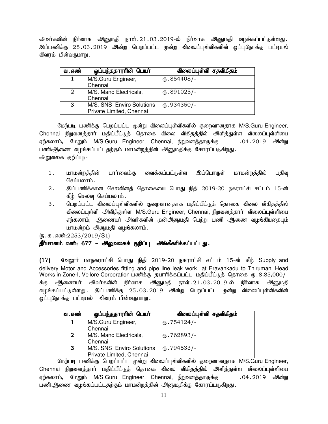அவர்களின் நிர்வாக அனுமதி நாள்.21.03.2019-ல் நிர்வாக அனுமதி வழங்கப்பட்டுள்ளது. இப்பணிக்கு 25.03.2019 அன்று பெறப்பட்ட முன்று விலைப்புள்ளிகளின் ஒப்புநோக்கு பட்டியல் விவாம் பின்வருமாறு.

| வ . எண்        | ஒப்பந்ததாரரின் பெயர்                                  | விலைப்புள்ளி சதவிகிதம்          |
|----------------|-------------------------------------------------------|---------------------------------|
|                | M/S.Guru Engineer,<br>Chennai                         | $(b.854408/-$                   |
| $\overline{2}$ | M/S. Mano Electricals,<br>Chennai                     | $\omega$ <sub>5</sub> .891025/- |
| 3              | M/S. SNS Enviro Solutions<br>Private Limited, Chennai | $(D.934350)$ -                  |

மேற்படி பணிக்கு பெறப்பட்ட முன்று விலைப்புள்ளிகளில் குறைவானதாக M/S.Guru Engineer, Chennai நிறுவனத்தார் மதிப்பீட்டுத் தொகை விலை விகிதத்தில் அளித்துள்ள விலைப்புள்ளியை ஏற்கலாம், மேலும் M/S.Guru Engineer, Chennai, நிறுவனத்தாருக்கு .04.2019 அன்று பணிஆணை வழங்கப்பட்டதற்கும் மாமன்றத்தின் அனுமதிக்கு கோரப்படுகிறது. அலுவலக குறிப்பு:-

- 1. மாமன்றத்தின் பார்வைக்கு வைக்கப்பட்டுள்ள இப்பொருள் மாமன்றத்தில் பதிவு செய்யலாம்.
- 2. இப்பணிக்கான செலவினத் தொகையை பொது நிதி 2019-20 நகராட்சி சட்டம் 15-ன் கீம் செலவ செய்யலாம்.
- 3. பெறப்பட்ட விலைப்புள்ளிகளில் குறைவானதாக மதிப்பீட்டுத் தொகை விலை விகிதத்தில் விலைப்புள்ளி அளித்துள்ள M/S.Guru Engineer, Chennai, நிறுவனத்தார் விலைப்புள்ளியை ஏற்கலாம், அிணையர் அவர்களின் முன்அனுமதி பெற்று பணி ஆணை வழங்கியதையும் மாமன்றம் அனுமதி வழங்கலாம்.

 $(\mathbf{b}.\mathbf{a}.\mathbf{a} \cdot \mathbf{w}:2253/2019/S1)$ 

## தீர்மானம் எண்: 677 – அலுவலகக் குறிப்பு அங்கீகரிக்கப்பட்டது.

 $(17)$  கேலூர் மாநகராட்சி பொது நிதி 2019-20 நகராட்சி சட்டம் 15-ன் கீழ் Supply and delivery Motor and Accessories fitting and pipe line leak work at Eravankadu to Thirumani Head Works in Zone-I, Vellore Corporation பணிக்கு தயாரிக்கப்பட்ட மதிப்பீட்டுத் தொகை ரு. 8,85,000/-.<br>க்கு அூணையர் அவர்களின் நிர்வாக அனுமதி நாள்.21.03.2019-ல் நிர்வாக அனுமதி வழங்கப்பட்டுள்ளது . இப்பணிக்கு 25.03.2019 அன்று பெறப்பட்ட முன்று விலைப்புள்ளிகளின் வப்புநோக்கு பட்டியல் - விவரம் பின்வருமாறு

| வ . எண்     | ஒப்பந்ததாரரின் பெயர்      | விலைப்புள்ளி சதவிகிதம் |
|-------------|---------------------------|------------------------|
|             | M/S.Guru Engineer,        | $(D.754124)$ -         |
|             | Chennai                   |                        |
| $\mathbf 2$ | M/S. Mano Electricals,    | $\mathbf{0}.762893/-$  |
|             | Chennai                   |                        |
| 3           | M/S. SNS Enviro Solutions | $(B.794533/-$          |
|             | Private Limited, Chennai  |                        |

மேற்படி பணிக்கு பெறப்பட்ட முன்று விலைப்புள்ளிகளில் குறைவானதாக M/S.Guru Engineer, Chennai நிறுவனத்தார் மதிப்பீட்டுத் தொகை விலை விகிதத்தில் அளித்துள்ள விலைப்புள்ளியை ஏற்கலாம், மேலும் M/S.Guru Engineer, Chennai, நிறுவனத்தாருக்கு .04.2019 அன்று பணிஆணை வழங்கப்பட்டதற்கும் மாமன்றத்தின் அனுமதிக்கு கோரப்படுகிறது.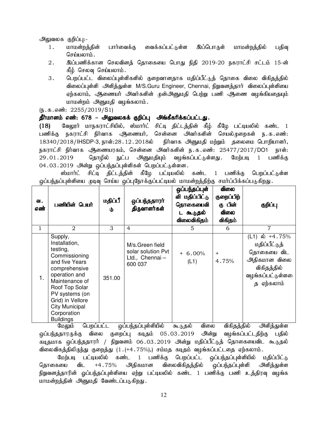#### அலுவலக குறிப்பு:-

- 1. மாமன்றத்தின் பார்வைக்கு வைக்கப்பட்டுள்ள இப்பொருள் மாமன்றத்தில் பதிவு  $G$ சர்யமை $h$ ;
- 2. ng;gzpf;fhd brytpdj; bjhifia bghJ epjp 2019-20 efuhl;rp rl;lk; 15-d; கீழ் செலவு செய்யலாம்.
- 3. பெறப்பட்ட விலைப்புள்ளிகளில் குறைவானதாக மதிப்பீட்டுத் தொகை விலை விகிதத்தில் விலைப்புள்ளி அளித்துள்ள M/S.Guru Engineer, Chennai, நிறுவனத்தார் விலைப்புள்ளியை ஏற்கலாம், ஆணையர் அவர்களின் முன்அனுமதி பெற்று பணி ஆணை வழங்கியதையும் மாமன்றம் அனுமதி வழங்கலாம்.

 $(\mathfrak{g}.\mathfrak{g}.\mathfrak{g}.$   $\ddot{\mathfrak{g}}$ : 2255/2019/S1)

#### தீர்மானம் எண்: 678 – அலுவலகக் குறிப்பு அங்கீகரிக்கப்பட்டது.

(18) மேலூர் மாநகராட்சியில், ஸ்மார்ட் சிட்டி திட்டத்தின் கீழ் கீழே பட்டியலில் கண்ட 1 பணிக்கு நகராட்சி நிர்வாக ஆணையர், சென்னை அவர்களின் செயல்முறைகள் ந.க.எண்:  $18340/2018$ /IHSDP-3, நாள்:28.12.2018ல் நிர்வாக அனுமதி மற்றும் தலைமை பொறியாளர், நகராட்சி நிர்வாக ஆணையரகம், சென்னை அவர்களின் ந.க.எண்: 25477/2017/DO1 நாள்: 29.01.2019 தொழில் நுட்ப அனுமதியும் வழங்கப்பட்டுள்ளது. மேற்படி 1 பணிக்கு 04.03.2019 அன்று ஒப்பந்தப்புள்ளிகள் பெறப்பட்டுள்ளன.

ஸ்மார்ட் சிட்டி திட்டத்தின் கீழே பட்டியலில் கண்ட 1 பணிக்கு பெறப்பட்டுள்ள ஒப்பந்தப்புள்ளியை முடிவு செய்ய ஒப்புநோக்குப்பட்டியல் மாமன்றத்திற்கு சமர்ப்பிக்கப்படுகிறது.

| ഖ.<br>எண் | பணியின் பெயர்                                                                                                                                                                                                                                                                              | மதிப்பீ<br>Φ | ஒப்பந்ததாரா்<br>திருவாளர்கள்                                                                                | ஒப்பந்தப்புள்<br>ளி மதிப்பிட்டு<br>தொகையைவி<br>டகூடுதல்<br>விலைவிகிதம் | ഖിതல<br>குறைப்பிற்<br>கு பின்<br>விலை<br>விகிதம்                                      | குறிப்பு                                                                                                                            |
|-----------|--------------------------------------------------------------------------------------------------------------------------------------------------------------------------------------------------------------------------------------------------------------------------------------------|--------------|-------------------------------------------------------------------------------------------------------------|------------------------------------------------------------------------|---------------------------------------------------------------------------------------|-------------------------------------------------------------------------------------------------------------------------------------|
| 1         | $\mathbf{2}$                                                                                                                                                                                                                                                                               | 3            | 4                                                                                                           | 5                                                                      | 6                                                                                     | 7                                                                                                                                   |
| 1.        | Supply,<br>Installation,<br>testing,<br>Commissioning<br>and five Years<br>comprehensive<br>operation and<br>Maintenance of<br>Roof Top Solar<br>PV systems (on<br>Grid) in Vellore<br><b>City Municipal</b><br>Corporation<br><b>Buildings</b><br>$\bigcap_{n\in\mathbb{N}}$ . $\ldots$ . | 351.00       | M/s.Green field<br>solar solution Pvt<br>Ltd., Chennai-<br>600 037<br>المواكد والمستعين والمستقول والمنافرة | $+6.00%$<br>(L1)<br>$\mathbf{r}$ and $\mathbf{r}$<br>$\Omega$ anan     | $+$<br>4.75%<br>$\mathfrak{D} \oplus \mathfrak{D} = \mathfrak{D} \oplus \mathfrak{D}$ | (L1) ல் +4.75%<br>மதிப்பீட்டுத்<br>தொகையை விட<br>அதிகமான விலை<br>விகிதத்தில்<br>வழங்கப்பட்டுள்ளலை<br>த ஏற்கலாம்<br>$0.22 + 1.2 - 1$ |

மேலும் பெறப்பட்ட ஒப்பந்தப்புள்ளியில் கூடுதல் விலை விகிதத்தில் அளித்துள்ள ஒப்பந்ததாரருக்கு விலை குறைப்பு கடிதம் 05.03.2019 அின்று வழங்கப்பட்டதிற்கு பதில் கடிதமாக ஒப்பந்ததாரர் / நிறுவனம் 06.03.2019 அன்று மதிப்பீட்டுத் தொகையைவிட கூடுதல் விலைவிகத்திலிருந்து குறைத்து (1.(+4.75%),) சம்மத கடிதம் வழங்கப்பட்டதை ஏற்கலாம்.

மேற்படி பட்டியலில் கண்ட 1 பணிக்கு பெறப்பட்ட ஒப்பந்தப்புள்ளியில் மதிப்பிட்டு தொகையை விட +4.75% அதிகமான விலைவிகிதத்தில் ஒப்பந்தப்புள்ளி அளித்துள்ள நிறுவனத்தாரின் ஒப்பந்தப்புள்ளியை ஏற்று பட்டியலில் கண்ட 1 பணிக்கு பணி உத்திரவு வழங்க மாமன்றத்தின் அனுமதி வேண்டப்படுகிறது.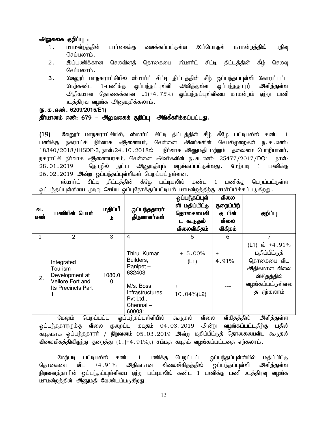#### அலுவலக குறிப்பு :

- 1. மாமன்றத்தின் பார்வைக்கு வைக்கப்பட்டுள்ள இப்பொருள் மாமன்றத்தில் பதிவு செய்யலாம்.
- 2. இப்பணிக்கான செலவினத் தொகையை ஸ்மார்ட் சிட்டி திட்டத்தின் கீழ் செலவு செய்யலாம்.
- 3. வேலூர் மாநகராட்சியில் ஸ்மார்ட் சிட்டி திட்டத்தின் கீழ் ஒப்பந்தப்புள்ளி கோரப்பட்ட மேற்கண்ட 1-பணிக்கு ஒப்பந்தப்புள்ளி அளித்துள்ள ஒப்பந்ததாரர் அளித்துள்ள அதிகமான தொகைக்கான L1(+4.75%) ஒப்பந்தப்புள்ளியை மாமன்றம் ஏற்று பணி உத்திரவு வழங்க அனுமதிக்கலாம்.
- (ந.க.எண். 6209/2015/E1)

## தீர்மானம் எண்: 679 – அலுவலகக் குறிப்பு அங்கீகரிக்கப்பட்டது.

(19) வேலூர் மாநகராட்சியில், ஸ்மார்ட் சிட்டி திட்டத்தின் கீழ் கீழே பட்டியலில் கண்ட 1 பணிக்கு நகராட்சி நிர்வாக ஆணையர், சென்னை அவர்களின் செயல்முறைகள் ந.க.எண்: 18340/2018/IHSDP-3, நாள்:24.10.2018ல் நிர்வாக அனுமதி மற்றும் தலைமை பொறியாளர், நகராட்சி நிர்வாக அூணையரகம், சென்னை அவர்களின் ந.க.எண்: 25477/2017/DO1 நாள்: 28.01.2019 தொழில் நுட்ப அனுமதியும் வழங்கப்பட்டுள்ளது. மேற்படி 1 பணிக்கு 26.02.2019 அீன்று ஒப்பந்தப்புள்ளிகள் பெறப்பட்டுள்ளன.

ஸ்மார்ட் சிட்டி திட்டத்தின் கீழே பட்டியலில் கண்ட 1 பணிக்கு பெறப்பட்டுள்ள ஒப்பந்தப்புள்ளியை முடிவு செய்ய ஒப்புநோக்குப்பட்டியல் மாமன்றத்திற்கு சமர்ப்பிக்கப்படுகிறது.

| வ.<br>எண் | பணியின் பெயர்                                                                     | மதிப்பீ<br>Φ       | ஒப்பந்ததாரா்<br>திருவாளர்கள்                                                                                       | ஒப்பந்தப்புள்<br>ளி மதிப்பிட்டு<br>தொகையைவி<br>டகூடுதல்<br>விலைவிகிதம் | விலை<br>குறைப்பிற்<br>கு பின்<br>விலை<br>விகிதம் | குறிப்பு                                                                                                                    |
|-----------|-----------------------------------------------------------------------------------|--------------------|--------------------------------------------------------------------------------------------------------------------|------------------------------------------------------------------------|--------------------------------------------------|-----------------------------------------------------------------------------------------------------------------------------|
|           | 2                                                                                 | 3                  | $\overline{4}$                                                                                                     | 5                                                                      | 6                                                | 7                                                                                                                           |
| 2.        | Integrated<br>Tourism<br>Development at<br>Vellore Fort and<br>Its Precincts Part | 1080.0<br>$\Omega$ | Thiru. Kumar<br>Builders,<br>Ranipet-<br>632403<br>M/s. Boss<br>Infrastructures<br>Pvt Ltd.,<br>Chennai-<br>600031 | $+ 5.00\%$<br>(L1)<br>$^{+}$<br>$10.04\%$ (L2)                         | $^{+}$<br>4.91%                                  | (L1) $\dot{\omega}$ +4.91%<br>மதிப்பீட்டுத்<br>தொகையை விட<br>அதிகமான விலை<br>விகிதத்தில்<br>வழங்கப்பட்டுள்ளலை<br>த ஏற்கலாம் |

மேலும் பெறப்பட்ட ஒப்பந்தப்புள்ளியில் கூடுதல் விலை விகிதத்தில் அளித்துள்ள .<br>ஒப்பந்ததாரருக்கு விலை குறைப்பு கடிதம் 04.03.2019 அின்று வழங்கப்பட்டதிற்கு பதில் கடிதமாக ஒப்பந்ததாரர் / நிறுவனம் 05.03.2019 அன்று மதிப்பீட்டுத் தொகையைவிட கூடுதல் விலைவிகத்திலிருந்து குறைத்து (1.(+4.91%),) சம்மத கடிதம் வழங்கப்பட்டதை ஏற்கலாம்.

மேற்படி பட்டியலில் கண்ட 1 பணிக்கு பெறப்பட்ட ஒப்பந்தப்புள்ளியில் மதிப்பிட்டு தொகையை விட +4.91% அதிகமான விலைவிகிதத்தில் ஒப்பந்தப்புள்ளி அளித்துள்ள நிறுவனத்தாரின் ஒப்பந்தப்புள்ளியை ஏற்று பட்டியலில் கண்ட 1 பணிக்கு பணி உத்திரவு வழங்க மாமன்றத்தின் அனுமதி வேண்டப்படுகிறது.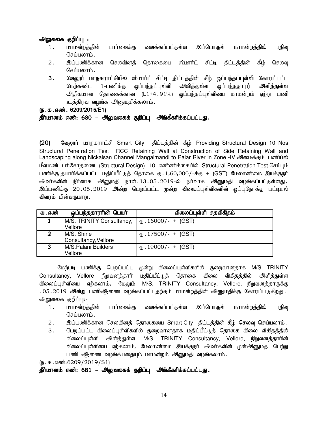#### அலுவலக குறிப்பு :

- 1. மாமன்றத்தின் பார்வைக்கு வைக்கப்பட்டுள்ள இப்பொருள் மாமன்றத்தில் பதிவு  $G$ சர்யமை $h$ ;
- 2. இப்பணிக்கான செலவினத் தொகையை ஸ்மார்ட் சிட்டி திட்டத்தின் கீழ் செலவு செய்யலாம்.
- 3. வேலூர் மாநகராட்சியில் ஸ்மார்ட் சிட்டி திட்டத்தின் கீழ் ஒப்பந்தப்புள்ளி கோரப்பட்ட மேற்கண்ட 1-பணிக்கு ஒப்பந்தப்புள்ளி அளித்துள்ள ஒப்பந்ததாரர் அளித்துள்ள அதிகமான தொகைக்கான (L1+4.91%) ஒப்பந்தப்புள்ளியை மாமன்றம் ஏற்று பணி உத்திரவு வழங்க அனுமதிக்கலாம்.
- (ந.க.எண். 6209/2015/E1)

#### தீர்மானம் எண்: 680 – அலுவலகக் குறிப்பு அங்கீகரிக்கப்பட்டது.

(20) தேலூர் மாநகராட்சி Smart City திட்டத்தின் கீம் Providing Structural Design 10 Nos Structural Penetration Test RCC Retaining Wall at Construction of Side Retaining Wall and Landscaping along Nickalsan Channel Mangaimandi to Palar River in Zone -IV அமைக்கும் பணியில் மீளமண் பரிசோதணை (Structural Design) 10 எண்ணிக்கையில் Structural Penetration Test செய்யும் பணிக்கு தயாரிக்கப்பட்ட மதிப்பீட்டுத் தொகை ரு. 1,60,000/-க்கு + (GST) மேலாண்மை இயக்குநர் அவர்களின் நிர்வாக அனுமதி நாள்.13.05.2019-ல் நிர்வாக அனுமதி வழங்கப்பட்டுள்ளது. இப்பணிக்கு 20.05.2019 அன்று பெறப்பட்ட முன்று விலைப்புள்ளிகளின் ஒப்புநோக்கு பட்டியல் விவரம் பின்வருமாறு .

| வ . எண்               | ஒப்பந்ததாரரின் பெயர்      | விலைப்புள்ளி சதவிகிதம்   |
|-----------------------|---------------------------|--------------------------|
|                       | M/S. TRINITY Consultancy, | $\phi$ . 16000/- + (GST) |
|                       | Vellore                   |                          |
| $\mathbf{2}^{\prime}$ | M/S. Shine                | $\phi$ . 17500/- + (GST) |
|                       | Consultancy, Vellore      |                          |
| 3                     | M/S.Palani Builders       | $(B. 19000/- + (GST)$    |
|                       | Vellore                   |                          |

மேற்படி பணிக்கு பெறப்பட்ட முன்று விலைப்புள்ளிகளில் குறைவானதாக M/S. TRINITY Consultancy, Vellore நிறுவனத்தார் மதிப்பீட்டுத் தொகை விலை விகிதத்தில் அளித்துள்ள விலைப்புள்ளியை ஏற்கலாம், மேலும் M/S. TRINITY Consultancy, Vellore, நிறுவனத்தாருக்கு .05.2019 அன்று பணிஆணை வழங்கப்பட்டதற்கும் மாமன்றத்தின் அனுமதிக்கு கோரப்படுகிறது. அலுவலக குறிப்பு:-

- 1. மாமன்றத்தின் பார்வைக்கு வைக்கப்பட்டுள்ள இப்பொருள் மாமன்றத்தில் பதிவு செய்யலாம்.
- 2. ng;gzpf;fhd brytpdj; bjhifia Smart City jpl;lj;jpd; fPH; bryt[ bra;ayhk;.
- 3. பெறப்பட்ட விலைப்புள்ளிகளில் குறைவானதாக மதிப்பீட்டுத் தொகை விலை விகிதத்தில் விலைப்புள்ளி அளித்துள்ள M/S. TRINITY Consultancy, Vellore, நிறுவனத்தாரின் விலைப்புள்ளியை ஏற்கலாம், மேலாண்மை இயக்குநர் அவர்களின் முன்அனுமதி பெற்று பணி ஆணை வழங்கியதையும் மாமன்றம் அனுமதி வழங்கலாம்.

 $(D.5.5.5\text{...}0209/2019/S1)$ 

## தீர்மானம் எண்: 681 – அலுவலகக் குறிப்பு அங்கீகரிக்கப்பட்டது.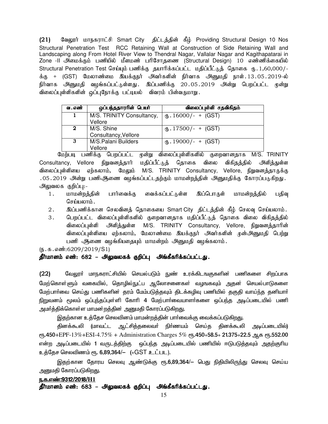(21) மேலூர் மாநகராட்சி Smart City திட்டத்தின் கீழ் Providing Structural Design 10 Nos Structural Penetration Test RCC Retaining Wall at Construction of Side Retaining Wall and Landscaping along From Hotel River View to Thendral Nagar, Vallalar Nagar and Kagithapatarai in Zone -II அமைக்கும் பணியில் மீளமண் பரிசோதணை (Structural Design) 10 எண்ணிக்கையில் Structural Penetration Test செய்யும் பணிக்கு தயாரிக்கப்பட்ட மதிப்பீட்டுத் தொகை ரு. 1,60,000/-க்கு + (GST) மேலாண்மை இயக்குநர் அவர்களின் நிர்வாக அனுமதி நாள்.13.05.2019-ல் நிர்வாக அனுமதி வழங்கப்பட்டுள்ளது .இப்பணிக்கு 20.05.2019 அன்று பெறப்பட்ட முன்று விலைப்புள்ளிகளின் ஒப்புநோக்கு பட்டியல் விவரம் பின்வருமாறு

| வ . எண் | ஒப்பந்ததாரரின் பெயர்      | விலைப்புள்ளி சதவிகிதம்                      |
|---------|---------------------------|---------------------------------------------|
| 1       | M/S. TRINITY Consultancy, | $(B. 16000/- + (GST)$                       |
|         | Vellore                   |                                             |
| 2       | M/S. Shine                | $\langle 0, 17500 \rangle - + (\text{GST})$ |
|         | Consultancy, Vellore      |                                             |
| 3       | M/S.Palani Builders       | $\langle 0, 19000 \rangle - + (\text{GST})$ |
|         | Vellore                   |                                             |

மேற்படி பணிக்கு பெறப்பட்ட முன்று விலைப்புள்ளிகளில் குறைவானதாக M/S. TRINITY Consultancy, Vellore நிறுவனத்தார் மதிப்பீட்டுத் தொகை விலை விகிதத்தில் அளித்துள்ள விலைப்புள்ளியை ஏற்கலாம், மேலும் M/S. TRINITY Consultancy, Vellore, நிறுவனத்தாருக்கு .05.2019 அன்று பணிஆ்ணை வழங்கப்பட்டதற்கும் மாமன்றத்தின் அனுமதிக்கு கோரப்படுகிறது. அலுவலக குறிப்பு:-

- 1. மாமன்றத்தின் பார்வைக்கு வைக்கப்பட்டுள்ள இப்பொருள் மாமன்றத்தில் பதிவு செய்யலாம் $\,$ .
- 2. ng;gzpf;fhd brytpdj; bjhifia Smart City jpl;lj;jpd; fPH; bryt[ bra;ayhk;.
- 3. பெறப்பட்ட விலைப்புள்ளிகளில் குறைவானதாக மதிப்பீட்டுத் தொகை விலை விகிதத்தில் விலைப்புள்ளி அளித்துள்ள M/S. TRINITY Consultancy, Vellore, நிறுவனத்தாரின் விலைப்புள்ளியை ஏற்கலாம், மேலாண்மை இயக்குநர் அவர்களின் முன்அனுமதி பெற்று பணி ஆணை வழங்கியதையும் மாமன்றம் அனுமதி வழங்கலாம்.

 $(\mathbb{F} \cdot \mathbb{F} \cdot \mathbb{F} \cdot \mathbb{F} \cdot \mathbb{F} \cdot \mathbb{F} \cdot \mathbb{F} \cdot \mathbb{F} \cdot \mathbb{F} \cdot \mathbb{F} \cdot \mathbb{F} \cdot \mathbb{F} \cdot \mathbb{F} \cdot \mathbb{F} \cdot \mathbb{F} \cdot \mathbb{F} \cdot \mathbb{F} \cdot \mathbb{F} \cdot \mathbb{F} \cdot \mathbb{F} \cdot \mathbb{F} \cdot \mathbb{F} \cdot \mathbb{F} \cdot \mathbb{F} \cdot \mathbb{F} \cdot \mathbb{F} \cdot \mathbb{F} \cdot \mathbb$ 

#### தீர்மானம் எண்: 682 – அலுவலகக் குறிப்பு அங்கீகரிக்கப்பட்டது.

(22) மேலூர் மாநகராட்சியில் செயல்படும் நுண் உரக்கிடஙகுகளின் பணிகளை சிறப்பாக மேற்கொள்ளும் வகையில், தொழில்நுட்ப ஆலோசனைகள் வழஙகவும் அதன் செயல்பாடுகளை மேற்பாா்வை செய்து பணிகளின் தரம் மேம்படுத்தவும் திடக்கழிவு பணியில் தகுதி வாய்ந்த தனியாா் நிறுவனம் மூலம் ஒப்புந்தப்புள்ளி கோரி 4 மேற்பார்வையாளர்களை ஒப்பந்த அடிப்படையில் பணி அமா்த்திக்கொள்ள மாமன்றத்தின் அனுமதி கோரப்படுகிறது.

இதற்கான உத்தேச செலவினம் மாமன்றத்தின் பார்வைக்கு வைக்கப்படுகிறது.

தினக்கூலி (மாவட்ட ஆட்சித்தலைவர் நிர்ணயம் செய்த தினக்கூலி அடிப்படையில்)  $\rm \ell m.450+EPF-13\%+ESI-4.75\% + Administration~Chargest~5\%~\rm \ell m.450+58.5+21.375+22.5$  ஆக  $\rm \ell m.552.00$ என்ற அடிப்படையில் 1 வருடத்திற்கு ஒப்பந்த அடிப்படையில் பணியில் ஈடுபடுத்தவும் அதற்குரிய உத்தேச செலவிணம் ரூ. 6,89,364/— (+GST உட்பட).

இதற்கான தோரய செலவு ஆண்டுக்கு ரூ.6,89,364/— பெது நிதியிலிருந்து செலவு செய்ய அனுமதி கோரப்படுகிறது.

## ந.க.எண்:9312/2018/H1 தீர்மானம் எண்: 683 – அலுவலகக் குறிப்பு அங்கீகரிக்கப்பட்டது.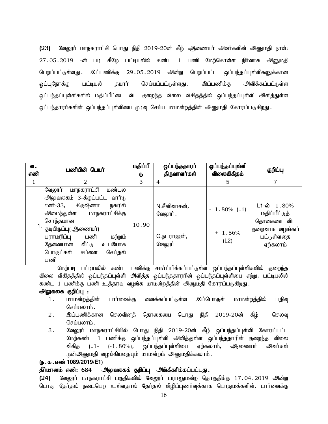(23) வேலூர் மாநகராட்சி பொது நிதி 2019-20ன் கீழ் அணையர் அவர்களின் அனுமதி நாள்: 27.05.2019 -ன் படி கீழே பட்டியலில் கண்ட 1 பணி மேற்கொள்ள நிர்வாக அனுமதி பெறப்பட்டுள்ளது . இப்பணிக்கு 29 05 2019 அன்று பெறப்பட்ட ஒப்பந்தப்புள்ளிகளுக்கான ஒப்புநோக்கு பட்டியல் தயார் செய்யப்பட்டுள்ளது . இப்பணிக்கு அளிக்கப்பட்டுள்ள ஒப்பந்தப்புள்ளிகளில் மதிப்பீட்டை விட குறைந்த விலை விகிதத்தில் ஒப்பந்தப்புள்ளி அளித்துள்ள <u>ஒ</u>ப்பந்தாரர்களின் ஒப்பந்தப்புள்ளியை முடிவு செய்ய மாமன்றத்தின் அனுமதி கோரப்படுகிறது.

| வ.<br>எண் | பணியின் பெயர்                                                                                                                                                                                                                                                            | மதிப்பீ<br>৬ | ஒப்பந்ததாரா்<br>திருவாளர்கள்                             | ஒப்பந்தப்புள்ளி<br>விலைவிகிதம்     | குறிப்பு                                                                                             |
|-----------|--------------------------------------------------------------------------------------------------------------------------------------------------------------------------------------------------------------------------------------------------------------------------|--------------|----------------------------------------------------------|------------------------------------|------------------------------------------------------------------------------------------------------|
| 1         | 2                                                                                                                                                                                                                                                                        | 3            | 4                                                        | 5                                  | 7                                                                                                    |
|           | மாநகராட்சி<br>மண்டல<br>வேலூர்<br>அலுவலகம் 3-க்குட்பட்ட வார்டு<br>கிருஷ்ணா<br>நகரில்<br>எண்:33,<br>மாநகராட்சிக்கு<br>அமைந்துள்ள<br>சொந்தமான<br>குடியிருப்பு(ஆணையர்)<br>பராமரிப்பு<br>பணி<br>மற்றும்<br>வீட்டு<br>உபயோக<br>தேவையான<br>பொருட்கள்<br>சப்ளை<br>செய்தல்<br>பணி | 10.90        | N.சீனிவாசன்,<br>வேலூர் .<br>C.நடராஜன் <i>,</i><br>வேலூர் | $-1.80\%$ (L1)<br>$+1.56%$<br>(L2) | $L1-\dot{\omega}$ -1.80%<br>மதிப்பீட்டுத்<br>தொகையை விட<br>குறைவாக வழங்கப்<br>பட்டுள்ளதை<br>ஏற்கலாம் |

மேற்படி பட்டியலில் கண்ட பணிக்கு சமாப்பிக்கப்பட்டுள்ள ஒப்பந்தப்புள்ளிகளில் குறைந்த விலை விகிதத்தில் ஒப்பந்தப்புள்ளி அளித்த ஒப்பந்ததாரரின் ஒப்பந்தப்புள்ளியை ஏற்று, பட்டியலில் கண்ட 1 பணிக்கு பணி உத்தரவு வழங்க மாமன்றத்தின் அனுமதி கோரப்படுகிறது.

## அலுவலக குறிப்பு :

- 1. மாமன்றத்தின் பார்வைக்கு வைக்கப்பட்டுள்ள இப்பொருள் மாமன்றத்தில் பதிவு செய்யலாம்.
- 2. இப்பணிக்கான செலவினத் தொகையை பொது நிதி 2019-20ன் கீழ் செலவு  $G$ சர்யமை $h$ ;
- 3. வேலூர் மாநகராட்சியில் பொது நிதி 2019-20ன் கீழ் ஒப்பந்தப்புள்ளி கோரப்பட்ட மேற்கண்ட 1 பணிக்கு ஒப்பந்தப்புள்ளி அளித்துள்ள ஒப்பந்ததாரின் குறைந்த விலை விகித (L1- (-1.80%), ஒப்பந்தப்புள்ளியை ஏற்கலாம், அிணையர் அவர்கள் முன்அனுமதி வழங்கியதையும் மாமன்றம் அனுமதிக்கலாம்.

## (ந.க.எண் 1089/2019/E1)

## தீர்மானம் எண்: 684 – அலுவலகக் குறிப்பு அங்கீகரிக்கப்பட்டது.

(24) வேலூர் மாநகராட்சி பகுதிகளில் வேலூர் பராளுமன்ற தொகுதிக்கு 17.04.2019 அன்று பொது தேர்தல் நடைபெற உள்ளதால் தேர்தல் விழிப்புணர்வுக்காக பொதுமக்களின், பார்வைக்கு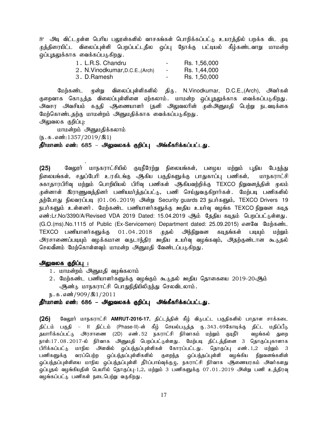8' அடி விட்டமுள்ள பெரிய பலூன்களில் வாசகங்கள் பொறிக்கப்பட்டு உயரத்தில் பறக்க விட முடி முத்திரையிட்ட விலைப்புள்ளி பெறப்பட்டதில ஒப்பு நோக்கு பட்டியல் கீழ்கண்டவாறு மாமன்ற ஒப்புதலுக்காக வைக்கப்படுகிறது.

| 1. L.R.S. Chandru                | $\sim$                   | Rs. 1,56,000 |
|----------------------------------|--------------------------|--------------|
| 2. N. Vinodkumar, D.C.E., (Arch) | $\overline{\phantom{a}}$ | Rs. 1,44,000 |
| 3. D.Ramesh                      | $\overline{\phantom{a}}$ | Rs. 1,50,000 |

மேற்கண்ட முன்று விலைப்புள்ளிகளில் திரு. N.Vinodkumar, D.C.E.,(Arch), அவர்கள் குறைவாக கொடுத்த விலைப்புள்ளிளை ஏற்கலாம். மாமன்ற ஒப்புதலுக்காக வைக்கப்படுகிறது. அவசர அவசியம் கருதி ஆணையாளர் (தனி அலுவலரின் முன்அனுமதி பெற்று நடவடிக்கை மேற்கொண்டதற்கு மாமன்றம் அனுமதிக்காக வைக்கப்படுகிறது. அலுவலக குறிப்பு:

மாமன்றம் அனுமதிக்கலாம்

.

 $(\mathbf{b}.\mathbf{a}.\mathbf{a} \cdot \mathbf{w}:1357/2019/\mathbf{A}1)$ 

#### தீர்மானம் எண்: 685 – அலுவலகக் குறிப்பு அங்கீகரிக்கப்பட்டது.

(25) கேலூர் மாநகராட்சியில் குடிநீரேற்று நிலையங்கள், பழைய மற்றும் புதிய பேருந்து நிலையங்கள், சதுப்பேரி உரகிடங்கு ஆகிய பகுதிகளுக்கு பாதுகாப்பு பணிகள், மாநகராட்சி சுகாதாரபிரிவு மற்றும் பொறியியல் பிரிவு பணிகள் ஆகியவற்றிக்கு TEXCO நிறுவனத்தின் மூலம் முன்னாள் இராணுவத்தினர் பணியமர்த்தப்பட்டு, பணி செய்துவருகிறார்கள். மேற்படி பணிகளில் தற்போது நிலவரப்படி (01.06.2019) அன்று Security guards 23 நபர்களும், TEXCO Drivers 19 நபர்களும் உள்ளனர். மேற்கண்ட பணியாளர்களுக்கு ஊதிய உயர்வு வழங்க TEXCO நிறுவன கடித எண்:Lr.No/3390/A/Revised VDA 2019 Dated: 15.04.2019 ஆம் தேதிய கடிதம் பெறப்பட்டுள்ளது. (G.O.(ms).No.1115 of Public (Ex-Servicemen) Department dated: 25.09.2015) எனவே மேற்கண்ட TEXCO பணியாளர்களுக்கு 01.04.2018 முதல் அந்நிறுவன கடிதங்கள் படியும் மற்றும் அரசாணைப்படியும் வழக்கமான வருடாந்திர ஊதிய உயர்வு வழங்கவும், அதற்குண்டான கூடுதல் செலவீனம் மேற்கொள்ளவும் மாமன்ற அனுமதி வேண்டப்படுகிறது.

#### அலுவலக குறிப்பு :

- 1. மாமன்றம் அனுமதி வழங்கலாம்
- 2. மேற்கண்ட பணியாளர்களுக்கு வழங்கும் கூடுதல் ஊதிய தொகையை 2019-20ஆிம் ஆண்டு மாநகராட்சி பொதுநிதியிலிருந்து செலவிடலாம்.
- ந.க.எண்்/909/இ $1/2011$

## தீர்மானம் எண்: 686 – அலுவலகக் குறிப்பு அங்கீகரிக்கப்பட்டது.

(26) வேலூர் மாநகராட்சி **AMRUT-2016-17**, திட்டத்தின் கீழ் விடுபட்ட பகுதிகளில் பாதாள சாக்கடை திட்டம் பகுதி – II திட்டம் (Phase-II)-ன் கீழ் செயல்படுத்த ரு.343.69கோடிக்கு திட்ட மதிப்பீடு தயாரிக்கப்பட்டு அரசாணை (2D) எண்.52 நகராட்சி நிர்வாகம் மற்றும் குடிநீர் வழங்கல் துறை நாள்:17.08.2017-ல் நிர்வாக அனுமதி பெறப்பட்டுள்ளது. மேற்படி திட்டத்தினை 3 தொகுப்புகாளாக பிரிக்கப்பட்டு மாநில அளவில் ஒப்பந்தப்புள்ளிகள் கோரப்பட்டது. தொகுப்பு எண்.1,2 மற்றும் 3 பணிகளுக்கு வரப்பெற்ற ஒப்பந்தப்புள்ளிகளில் குறைந்த ஒப்பந்தப்புள்ளி வழங்கிய நிறுவனங்களின் ஒப்பந்தப்புள்ளியை மாநில ஒப்பந்தப்புள்ளி தீர்ப்பாய்வுக்குழு, நகராட்சி நிர்வாக அ்ணையரகம் அவர்களது ஒப்புதல் வழங்கியதின் பெயரில் தொகுப்பு-1,2, மற்றும் 3 பணிகளுக்கு 07.01.2019 அன்று பணி உத்திரவு வழங்கப்பட்டு பணிகள் நடைபெற்று வருகிறது.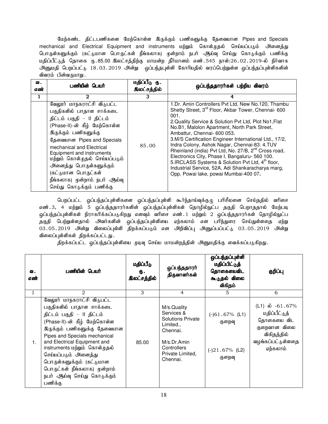மேற்கண்ட திட்டபணிகளை மேற்கொள்ள இருக்கும் பணிகளுக்கு தேவையான Pipes and Specials mechanical and Electrical Equipment and instruments மற்றும் கொள்முதல் செய்யப்படும் அனைத்து பொருள்களுக்கும் (கட்டுமான பொருட்கள் நீங்கலாக) முன்றாம் நபர் ஆய்வு செய்து கொடுக்கும் பணிக்கு மதிப்பீட்டுத் தொகை ரு.85.00 இலட்சத்திற்கு மாமன்ற தீர்மானம் எண்.545 நாள்:26.02.2019-ல் நிர்வாக அனுமதி பெறப்பட்டு 18.03.2019 அன்று ஒப்பந்தபுள்ளி கோரியதில் வரப்பெற்றுள்ள ஒப்பந்தப்புள்ளிகளின் விவரம் பின்வருமாறு.

| வ.<br>எண் | பணியின் பெயர்                                                                                                                                                                                                                                                                                                                                                                          | மதிப்பீடு ரு.<br>இலட்சத்தில் | ஒப்பந்ததாரா்கள் பற்றிய விவரம்                                                                                                                                                                                                                                                                                                                                                                                                                                                                                                                                                                                                                                       |
|-----------|----------------------------------------------------------------------------------------------------------------------------------------------------------------------------------------------------------------------------------------------------------------------------------------------------------------------------------------------------------------------------------------|------------------------------|---------------------------------------------------------------------------------------------------------------------------------------------------------------------------------------------------------------------------------------------------------------------------------------------------------------------------------------------------------------------------------------------------------------------------------------------------------------------------------------------------------------------------------------------------------------------------------------------------------------------------------------------------------------------|
| 1         | 2                                                                                                                                                                                                                                                                                                                                                                                      | 3                            | 4                                                                                                                                                                                                                                                                                                                                                                                                                                                                                                                                                                                                                                                                   |
|           | வேலூர் மாநகராட்சி விடுபட்ட<br>பகுதிகளில் பாதாள சாக்கடை<br>திட்டம் பகுதி – II திட்டம்<br>(Phase-II)-ன் கீழ் மேற்கொள்ள<br>இருக்கும் பணிகளுக்கு<br>தேவையான Pipes and Specials<br>mechanical and Electrical<br>Equipment and instruments<br>மற்றும் கொள்முதல் செய்யப்படும்<br>அனைத்து பொருள்களுக்கும்<br>(கட்டுமான பொருட்கள்<br>நீங்கலாக) முன்றாம் நபர் ஆய்வு<br>செய்து கொடுக்கும் பணிக்கு | 85.00                        | 1.Dr. Amin Controllers Pvt Ltd, New No.120, Thambu<br>Shetty Street, 3 <sup>rd</sup> Floor, Akbar Tower, Chennai-600<br>001.<br>2. Quality Service & Solution Pvt Ltd, Plot No1, Flat<br>No.B1, Malolon Apartment, North Park Street,<br>Ambattur, Chennai- 600 053.<br>3. M/S Certification Engineer International Ltd., 17/2,<br>Indra Colony, Ashok Nagar, Chennai-83. 4.TUV<br>Rheinland (india) Pvt Ltd, No. 27/B, 2 <sup>nd</sup> Cross road,<br>Electronics City, Phase I, Bangaluru- 560 100.<br>5.IRCLASS Systems & Solution Pvt Ltd, 4 <sup>th</sup> floor,<br>Industrial Service, 52A, Adi Shankaracharya marg,<br>Opp. Powai lake, powai Mumbai-400 07. |

பெறப்பட்ட ஒப்பந்தப்புள்ளிகளை ஒப்பந்தப்புள்ளி கூர்ந்தாய்வுக்குழு பரிசீலனை செய்ததில் வரிசை எண்.3, 4 மற்றும் 5 ஒப்பந்ததாரர்களின் ஒப்பந்தப்புள்ளிகள் தொழில்நுட்ப தகுதி பெறாததால் மேற்படி .<br>ஒப்பந்தப்புள்ளிகள் நிராகரிக்கப்படுகிறது எனவும் வரிசை எண்.1 மற்றும் 2 ஒப்பந்ததாரர்கள் தொழில்நுட்ப தகுதி பெற்றுள்ளதால் அவர்களின் ஒப்பந்தப்புள்ளியை ஏற்கலாம் என பரிந்துரை செய்துள்ளதை ஏற்று  $03.05.2019$  அன்று விலைப்புள்ளி திறக்கப்படும் என அறிவிப்பு அனுப்பப்பட்டு  $03.05.2019$  அன்று விலைப்புள்ளிகள் திறக்கப்பட்டது.

திறக்கப்பட்ட ஒப்பந்தப்புள்ளியை முடிவு செய்ய மாமன்றத்தின் அனுமதிக்கு வைக்கப்படுகிறது.

| வ.<br>எண்      | பணியின் பெயர்                                                                                                                                                                                                                                                                                                                                                                          | மதிப்பீடு<br>Ф.<br><b>இலட்சத்தில்</b> | ஒப்பந்ததாரா்<br>திருவாளர்கள்                                                                                                                   | ஒப்பந்தப்புள்ளி<br>மதிப்பிட்டுத்<br>தொகையைவிட<br>கூடுதல் விலை<br>விகிதம் | குறிப்பு                                                                                                                   |
|----------------|----------------------------------------------------------------------------------------------------------------------------------------------------------------------------------------------------------------------------------------------------------------------------------------------------------------------------------------------------------------------------------------|---------------------------------------|------------------------------------------------------------------------------------------------------------------------------------------------|--------------------------------------------------------------------------|----------------------------------------------------------------------------------------------------------------------------|
| 1              | 2                                                                                                                                                                                                                                                                                                                                                                                      | 3                                     | $\overline{4}$                                                                                                                                 | 5                                                                        | 6                                                                                                                          |
| 1 <sub>1</sub> | வேலூர் மாநகராட்சி விடுபட்ட<br>பகுதிகளில் பாதாள சாக்கடை<br>திட்டம் பகுதி – II திட்டம்<br>(Phase-II)-ன் கீழ் மேற்கொள்ள<br>இருக்கும் பணிகளுக்கு தேவையான<br>Pipes and Specials mechanical<br>and Electrical Equipment and<br>instruments மற்றும் கொள்முதல்<br>செய்யப்படும் அனைத்து<br>பொருள்களுக்கும் (கட்டுமான<br>பொருட்கள் நீங்கலாக) முன்றாம்<br>நபர் ஆய்வு செய்து கொடுக்கும்<br>பணிக்கு | 85.00                                 | M/s.Quality<br>Services &<br><b>Solutions Private</b><br>Limited.,<br>Chennai.<br>M/s. Dr. Amin<br>Controllers<br>Private Limited.<br>Chennai. | $(-)61.67%$ (L1)<br>குறைவு<br>$(-)21.67%$ (L2)<br>குறைவு                 | (L1) $\dot{\omega}$ -61.67%<br>மதிப்பீட்டுத்<br>தொகையை விட<br>குறைவான விலை<br>விகிதத்தில்<br>வழங்கப்பட்டுள்ளதை<br>ஏற்கலாம் |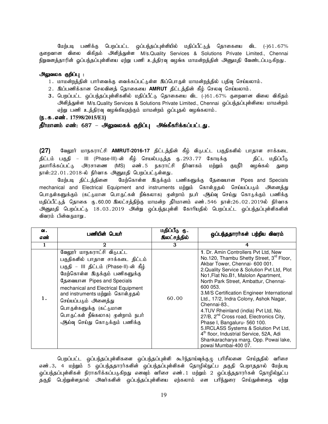மேற்படி பணிக்கு பெறப்பட்ட ஒப்பந்தப்புள்ளியில் மதிப்பீட்டுத் தொகையை விட (-)61.67% குறைவான விலை விகிதம் அளித்துள்ள M/s.Quality Services & Solutions Private Limited., Chennai நிறுவனத்தாரின் ஒப்பந்தப்புள்ளியை ஏற்று பணி உத்திரவு வழங்க மாமன்றத்தின் அனுமதி வேண்டப்படுகிறது.

#### அலுவலக குறிப்பு :

- 1. மாமன்றத்தின் பார்வைக்கு வைக்கப்பட்டுள்ள இப்பொருள் மாமன்றத்தில் பதிவு செய்யலாம்.
- 2. இப்பணிக்கான செலவினத் தொகையை **AMRUT** திட்டத்தின் கீழ் செலவு செய்யலாம்.
- 3. பெறப்பட்ட ஒப்பந்தப்புள்ளிகளில் மதிப்பீட்டு தொகையை விட (-)61.67% குறைவான விலை விகிதம் அளித்துள்ள M/s.Quality Services & Solutions Private Limited., Chennai ஒப்பந்தப்புள்ளியை மாமன்றம் ஏற்று பணி உத்திரவு வழங்கியதற்கும் மாமன்றம் ஒப்புதல் வழங்கலாம்.
- (**ந.க.எண்.** 17598/2015/E1)

#### தீர்மானம் எண்: 687 – அலுவலகக் குறிப்பு அங்கீகரிக்கப்பட்டது.

(27) வேலூர் மாநகராட்சி **AMRUT-2016-17** திட்டத்தின் கீழ் விடுபட்ட பகுதிகளில் பாதாள சாக்கடை திட்டம் பகுதி – III (Phase-III)-ன் கீழ் செயல்படுத்த ரு. 293.77 கோடிக்கு திட்ட மதிப்பீடு தயாரிக்கப்பட்<sub>ம்</sub> அரசாணை (MS) எண்..5 நகராட்சி நிர்வாகம் மற்றும் குடிநீர் வழங்கல் துறை நாள்:22.01.2018-ல் நிர்வாக அனுமதி பெறப்பட்டுள்ளது.

மேற்படி திட்டத்தினை மேற்கொள்ள இருக்கும் பணிகளுக்கு தேவையான Pipes and Specials mechanical and Electrical Equipment and instruments மற்றும் கொள்முதல் செய்யப்படும் அனைத்து பொருள்களுக்கும் (கட்டுமான பொருட்கள் நீங்கலாக) முன்றாம் நபர் ஆய்வு செய்து கொடுக்கும் பணிக்கு மதிப்பீட்டுத் தொகை ரு.60.00 இலட்சத்திற்கு மாமன்ற தீர்மானம் எண்.546 நாள்:26.02.2019ல் நிர்வாக அனுமதி பெறப்பட்டு 18.03.2019 அன்று ஒப்பந்தபுள்ளி கோரியதில் பெறப்பட்ட ஒப்பந்தப்புள்ளிகளின் விவரம் பின்வருமாறு.

| ഖ.<br>எண் | பணியின் பெயர்                                                                                                                                                                                                                                                                                                                                                                   | மதிப்பீடு ரு.<br><b>இலட்சத்தில்</b> | ஒப்பந்ததாரர்கள் பற்றிய விவரம்                                                                                                                                                                                                                                                                                                                                                                                                                                                                                                                                                                                                                                       |
|-----------|---------------------------------------------------------------------------------------------------------------------------------------------------------------------------------------------------------------------------------------------------------------------------------------------------------------------------------------------------------------------------------|-------------------------------------|---------------------------------------------------------------------------------------------------------------------------------------------------------------------------------------------------------------------------------------------------------------------------------------------------------------------------------------------------------------------------------------------------------------------------------------------------------------------------------------------------------------------------------------------------------------------------------------------------------------------------------------------------------------------|
|           | $\mathbf 2$                                                                                                                                                                                                                                                                                                                                                                     | 3                                   | 4                                                                                                                                                                                                                                                                                                                                                                                                                                                                                                                                                                                                                                                                   |
|           | வேலூர் மாநகராட்சி விடுபட்ட<br>பகுதிகளில் பாதாள சாக்கடை திட்டம்<br>பகுதி – III திட்டம் (Phase-II)-ன் கீழ்<br>மேற்கொள்ள இருக்கும் பணிகளுக்கு<br>தேவையான Pipes and Specials<br>mechanical and Electrical Equipment<br>and instruments மற்றும் கொள்முதல்<br>செய்யப்படும் அனைத்து<br>பொருள்களுக்கு (கட்டுமான<br>பொருட்கள் நீங்கலாக) முன்றாம் நபர்<br>ஆய்வு செய்து கொடுக்கும் பணிக்கு | 60.00                               | 1. Dr. Amin Controllers Pvt Ltd, New<br>No.120, Thambu Shetty Street, 3rd Floor,<br>Akbar Tower, Chennai- 600 001.<br>2. Quality Service & Solution Pvt Ltd, Plot<br>No1, Flat No.B1, Malolon Apartment,<br>North Park Street, Ambattur, Chennai-<br>600 053<br>3.M/S Certification Engineer International<br>Ltd., 17/2, Indra Colony, Ashok Nagar,<br>Chennai-83.<br>4.TUV Rheinland (india) Pvt Ltd, No.<br>27/B, 2 <sup>nd</sup> Cross road, Electronics City,<br>Phase I, Bangaluru- 560 100.<br>5.IRCLASS Systems & Solution Pvt Ltd,<br>4 <sup>th</sup> floor, Industrial Service, 52A, Adi<br>Shankaracharya marg, Opp. Powai lake,<br>powai Mumbai-400 07. |

பெறப்பட்ட ஒப்பந்தப்புள்ளிகளை ஒப்பந்தப்புள்ளி கூர்ந்தாய்வுக்குழு பரிசீலனை செய்ததில் வரிசை எண்.3, 4 மற்றும் 5 ஒப்பந்ததாரர்களின் ஒப்பந்தப்புள்ளிகள் தொழில்நுட்ப தகுதி பெறாததால் மேற்படி <u>ஒ</u>ப்பந்தப்புள்ளிகள் நிராகரிக்கப்படுகிறது எனவும் வரிசை எண். 1 மற்றும் 2 ஒப்பந்ததாரர்கள் தொழில்நுட்ப தகுதி பெற்றுள்ளதால் அவர்களின் ஒப்பந்தப்புள்ளியை ஏற்கலாம் என பரிந்துரை செய்துள்ளதை ஏற்று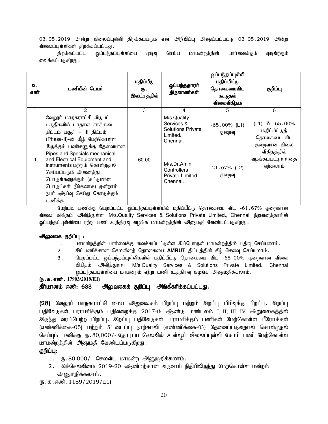03.05.2019 அன்று விலைப்புள்ளி திறக்கப்படும் என அறிவிப்பு அனுப்பப்பட்டு 03.05.2019 அன்று விலைப்புள்ளிகள் திறக்கப்பட்டது.

திறக்கப்பட்ட ஒப்பந்தப்புள்ளியை முடிவு செய்ய மாமன்றத்தின் பார்வைக்கும் முடிவிற்கும் வைக்கப்படுகிறது .

| வ.<br>எண் | பணியின் பெயர்                                                                                                                                                                                                                                                                                                                                                                           | மதிப்பீடு<br>Ф.<br><b>இலட்சத்தில்</b> | ஒப்பந்ததாரா்<br>திருவாளர்கள்                                                                                                               | ஒப்பந்தப்புள்ளி<br>மதிப்பிட்டு<br>தொகையைவிட<br>கூடுதல்<br>விலைவிகிதம் | குறிப்பு                                                                                                                   |
|-----------|-----------------------------------------------------------------------------------------------------------------------------------------------------------------------------------------------------------------------------------------------------------------------------------------------------------------------------------------------------------------------------------------|---------------------------------------|--------------------------------------------------------------------------------------------------------------------------------------------|-----------------------------------------------------------------------|----------------------------------------------------------------------------------------------------------------------------|
| 1         | $\mathfrak{D}_{1}$                                                                                                                                                                                                                                                                                                                                                                      | 3                                     | 4                                                                                                                                          | 5                                                                     | 6                                                                                                                          |
| 1.        | வேலூர் மாநகராட்சி விடுபட்ட<br>பகுதிகளில் பாதாள சாக்கடை<br>திட்டம் பகுதி - III திட்டம்<br>(Phase-II)-ன் கீழ் மேற்கொள்ள<br>இருக்கும் பணிகளுக்கு தேவையான<br>Pipes and Specials mechanical<br>and Electrical Equipment and<br>instruments மற்றும் கொள்முதல்<br>செய்யப்படும் அனைத்து<br>பொருள்களுக்கும் (கட்டுமான<br>பொருட்கள் நீங்கலாக) முன்றாம்<br>நபர் ஆய்வு செய்து கொடுக்கும்<br>பணிக்கு | 60.00                                 | M/s.Quality<br>Services &<br><b>Solutions Private</b><br>Limited<br>Chennai.<br>M/s.Dr.Amin<br>Controllers<br>Private Limited,<br>Chennai. | $-65.00\%$ (L1)<br>குறைவு<br>$-21.67\%$ (L2)<br>குறைவு                | (L1) $\dot{\omega}$ -65.00%<br>மதிப்பீட்டுத்<br>தொகையை விட<br>குறைவான விலை<br>விகிதத்தில்<br>வழங்கப்பட்டுள்ளதை<br>ஏற்கலாம் |

மேற்படி பணிக்கு பெறப்பட்ட ஒப்பந்தப்புள்ளியில் மதிப்பீட்டு தொகையை விட -61.67% குறைவான விலை விகிதம் அளித்துள்ள M/s.Quality Services & Solutions Private Limited., Chennai நிறுவனத்தாரின் ஓப்பந்தப்புள்ளியை ஏற்று பணி உத்திரவு வழங்க மாமன்றத்தின் அனுமதி வேண்டப்படுகிறது.

## அலுவலக குறிப்பு :

- 1. khr மன்றத்தின் பார்வைக்கு வைக்கப்பட்டுள்ள இப்பொருள் மாமன்றத்தில் பதிவு செய்யலாம்.
- 2. இப்பணிக்கான செலவினத் தொகையை **AMRUT** திட்டத்தின் கீழ் செலவு செய்யலாம்.
- 3. பெறப்பட்ட ஒப்பந்தப்புள்ளிகளில் மதிப்பீட்டு தொகையை விட -65.00% குறைவான விலை விகிதம் அளித்துள்ள M/s.Quality Services & Solutions Private Limited., Chennai ஒப்பந்தப்புள்ளியை மாமன்றம் ஏற்று பணி உத்திரவு வழங்க அனுமதிக்கலாம்.

## (**ந.க.எண்.** 17903/2019/E1)

## தீர்மானம் எண்: 688 – அலுவலகக் குறிப்பு அங்கீகரிக்கப்பட்டது.

(28) வேலூர் மாநகராட்சி மைய அலுவலகம் பிறப்பு மற்றும் இறப்பு பிரிவுக்கு பிறப்பு, இறப்பு பதிவேடுகள் பராமரிக்கும் பதிவறைக்கு 2017-ம் ஆண்டு மண்டலம் I, II, III, IV அலுவலகத்தில் இருந்து வரப்பெற்ற பிறப்பு, இறப்பு பதிவேடுகள் பராமரிக்கும் பணிகள் மேற்கொள்ள பீரோக்கள் (எண்ணிக்கை-05) மற்றும் S' டைப்பு நாற்காலி (எண்ணிக்கை-03) தேவைப்படுவதால் கொள்முதல் செய்யும் பணிக்கு ரூ.80,000/- தோராய செலவில் உள்ளூர் விலைப்புள்ளி கோரி பணி மேற்கொள்ள மாமன்றத்தின் அனுமதி வேண்டப்படுகிறது.

#### குறிப்பு:

- $1.$  ரு.  $80,000/$  செலவிட மாமன்ற அனுமதிக்கலாம்.
- 2. இச்செலவினம் 2019-20 ஆண்டிற்கான வருவாய் நிதியிலிருந்து மேற்கொள்ள மன்றம் அனுமதிக்கலாம்.

 $(\mathbf{b}.\mathbf{a}.\mathbf{a} \cdot \mathbf{w}.\mathbf{b}.\mathbf{b}.\mathbf{b}.\mathbf{b}.\mathbf{b}.\mathbf{b}$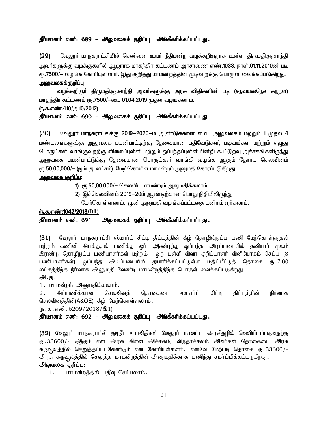#### தீர்மானம் எண்: 689 – அலுவலகக் குறிப்பு அங்கீகரிக்கப்பட்டது.

(29) மேலூர் மாநகராட்சியில் சென்னை உயர் நீதிமன்ற வழக்கறிஞராக உள்ள திருமதி.ஞ.சாந்தி அவா்களுக்கு வழக்குகளில் ஆஜராக மாதந்திர கட்டணம் அரசாணை எண்.1033, நாள்.01.11.2010ன் படி ரூ.7500/— வழங்க கோரியுள்ளார். இது குறித்து மாமன்றத்தின் முடிவிற்க்கு பொருள் வைக்கப்படுகிறது.

#### <u>அலுவலகக்குறிப்பு</u>

வழக்கறிஞா் திருமதி.ஞ.சாந்தி அவா்களுக்கு அரசு விதிகளின் படி (சநவயதைேச கநநள) மாதந்திர கட்டணம் ரூ.7500/-யை 01.04.2019 முதல் வழங்கலாம்.

#### (ந.க.எண்.410/அ10/2012)

#### தீர்மானம் எண்: 690 – அலுவலகக் குறிப்பு அங்கீகரிக்கப்பட்டது.

(30) மேலூர் மாநகராட்சிக்கு 2019-2020-ம் ஆண்டுக்கான மைய அலுவலகம் மற்றும் 1 முதல் 4 ் மண்டலங்களுக்கு அலுவலக பயன்பாட்டிற்கு தேவையான பதிவேடுகள், படிவங்கள மற்றும் எழுது பொருட்கள் வாங்குவதற்கு விலைப்புள்ளி மற்றும் ஒப்பந்தப்புள்ளியின்றி கூட்டுறவு அச்சகங்களிரு<u>ந்து</u> அலுவலக பயன்பாட்டுக்கு தேவையான பொருட்கள் வாங்கி வழங்க ஆகும் தோரய செலவினம் ரூ.50,00,000/— (ஜம்பது லட்சம்) மேற்கொள்ள மாமன்றம் அனுமதி கோரப்படுகிறது.

#### <u>அலுவலக குறிப்பு:</u>

- 1)  $\epsilon$ ரு.50,00,000/- செலவிட மாமன்றம் அனுமதிக்கலாம்.
- 2) இச்செலவினம் 2019-20ம் ஆண்டிற்கான பொது நிதியிலிருந்து
	- மேற்கொள்ளலாம். முன் அனுமதி வழங்கப்பட்டதை மன்றம் ஏற்கலாம்.

#### (ந.க.எண்:1042/2018/D1)

#### தீர்மானம் எண்: 691 – அலுவலகக் குறிப்பு அங்கீகரிக்கப்பட்டது.

(31) வேலூர் மாநகராட்சி ஸ்மார்ட் சிட்டி திட்டத்தின் கீழ் தொழில்நுட்ப பணி மேற்கொள்ளுதல் மற்றும் கணினி இயக்குதல் பணிக்கு ஓர் ஆண்டிற்கு ஒப்பந்த அடிப்படையில் தனியார் மூலம் இரண்டு தொழிநுட்ப பணியாளர்கள் மற்றும் . ஒரு புள்ளி விவர குறிப்பாளர் வினியோகம் செய்ய (3 பணியாளர்கள்) ஒப்பந்த அடிப்படையில் தயாரிக்கப்பட்டுள்ள மதிப்பீட்டுத் தொகை ரூ.7.60 லட்சத்திற்கு நிர்வாக அனுமதி வேண்டி மாமன்றத்திற்கு பொருள் வைக்கப்படுகிறது.

#### அ.கு.

1. மாமன்றம் அனுமதிக்கலாம்.

2. இப்பணிக்கான செலவினத் தொகையை ஸ்மார்ட் சிட்டி திட்டத்தின் நிர்வாக செலவினத்தின்(A&OE) கீம் மேற்கொள்ளலாம்.

 $(\mathbf{b}.\mathbf{\Phi}.\mathbf{\Phi}.\mathbf{\Phi}.\mathbf{\Phi}^{\dagger}.\mathbf{6209}/2018/\mathbf{21})$ 

#### $p$ ீர்மானம் எண்: 692 – அலுவலகக் குறிப்பு அங்கீகரிக்கப்பட்டது.

(32) வேலூர் மாநகராட்சி குடிநீர் உபவிதிகள் வேலூர் மாவட்ட அரசிதழில் வெளியிடப்படுவதற்கு ரு.33600/- ஆகும் என அரசு கிளை அச்சகம், விருதாச்சலம் அவர்கள் தொகையை அரசு கருவுலத்தில் செ<u>லுத்</u>தப்படவேண்டும் என கோரியுள்ளனர். எனவே மேற்படி தொகை ரூ.33600/-அரசு கருவுலத்தில் செலுத்த மாமன்றத்தின் அனுமதிக்காக பணிந்து சமர்ப்பிக்கப்படுகிறது.

## அலுவலக குறிப்பு: -

1. மாமன்றத்தில் பதிவு செய்யலாம்.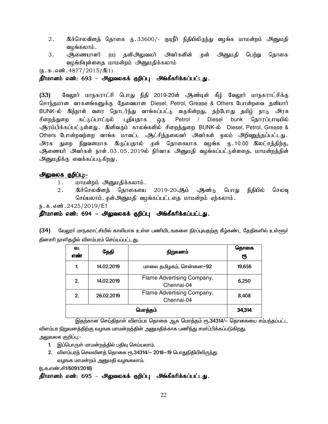- 2 . இச்செலவினத் தொகை ரு .33600/- குடிநீர் நிதியிலிருந்து வழங்க மாமன்றம் அனுமதி வழங்கலாம்.
- 3. அணையாளர் (ம) தனிஅலுவலர் அவர்களின் முன் அனுமதி பெற்று தொகை வழங்கியுள்ளதை மாமன்றம் அனுமதிக்கலாம்

 $(n.5.5.5)$   $(15/2015/201)$ 

தீர்மானம் எண்: 693 – அலுவலகக் குறிப்பு அங்கீகரிக்கப்பட்டது.

(33) கேலூர் மாநகராட்சி பொது நிதி 2019-20ன் ஆண்டின் கீழ் வேலூர் மாநகராட்சிக்கு சொந்தமான வாகனங்களுக்கு தேவையான Diesel, Petrol, Grease & Others போன்றவை தனியார் BUNK-ல் இந்நாள் வரை தொடர்ந்து வாங்கப்பட்டு வருகின்றது, தற்போது தமிழ் நாடு அரசு சிறைத்துறை கட்டுப்பாட்டில் புதியதாக ஒரு Petrol / Diesel bunk தொரப்பாடியில் ஆரம்பிக்கப்பட்டுள்ளது . இனிவரும் காலங்களில் சிறைத்துறை BUNK-ல் Diesel, Petrol, Grease & Others போன்றவற்றை வாங்க மாவட்ட ஆட்சித்தலைவர் அவர்கள் முலம் அறிவுறுத்தப்பட்டது. அரசு துறை நிறுவனமாக இருப்பதால் முன் தொகையாக வழங்க ரு.10.00 இலட்சத்திற்கு*,* <u>ஆ</u>ணையர் அவர்கள் நாள்.03.05.2019ல் நிர்வாக அனுமதி வழங்கப்பட்டுள்ளதை, மாமன்றத்தின் அனுமதிக்கு வைக்கப்படுகிறது.

#### அலுவலக குறிப்பு:-

- 1. மாமன்றம் அனுமதிக்கலாம்.
- 2. இச்செலவினக் கொகையை 2019-20ஆம் ஆண்டு பொது நிதியில் செலவு செய்யலாம். முன்அனுமதி வழங்கப்பட்டதை மாமன்றம் ஏற்கலாம்.

ந.க.எண்.2425/2019/E1

தீர்மானம் எண்: 694 – அலுவலகக் குறிப்பு அங்கீகரிக்கப்பட்டது.

(34) கேலூர் மாநகராட்சியில் காலியாக உள்ள பணியிடஙகளை நிரப்புவதற்கு கீழ்கண்ட தேதிகளில் உள்ளூர் தினசரி நாளிதழில் விளம்பரம் செய்யப்பட்ட<u>த</u>ு.

| வ.<br>எண்    | தேதி       | நிறுவனம்                                 | தொகை<br>ரூ |
|--------------|------------|------------------------------------------|------------|
| $\mathbf{1}$ | 14.02.2019 | மாலை தமிழகம், சென்னை—92                  | 19,656     |
| 2.           | 14.02.2019 | Flame Advertising Company,<br>Chennai-04 | 6,250      |
| 2.           | 26.02.2019 | Flame Advertising Company,<br>Chennai-04 | 8,408      |
|              | 34,314     |                                          |            |

இதற்கான செய்திதாள் விளம்பர தொக<mark>ை</mark> ஆக மொத்தம் ரூ.34314/— தொகையை சம்பந்தப்பட்ட <u>விளம்பர நிறுவனத்திற்கு வழஙக மாமன்றத்தின் அனுமதிக்காக பணிந்து சமா்ப்பிக்கப்படுகிறது.</u>

அலுவலக குறிப்பு:-

- 1. இப்பொருள் மாமன்றத்தில் பதிவு செய்யலாம்.
- 2. விளம்பரத் செலவினத் தொகை ரூ.34314/- 2018–19 பொதுநிதியிலிருந்து வழஙக மாமன்றம் அனுமதி வழஙகலாம்.

(ந.க.எண்.சி1/6091/2018)

தீர்மானம் எண்: 695 – அலுவலகக் குறிப்பு அங்கீகரிக்கப்பட்டது.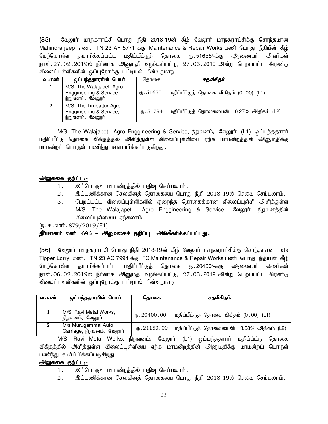(35) கேலூர் மாநகராட்சி பொது நிதி 2018-19ன் கீழ் வேலூர் மாநகராட்சிக்கு சொந்தமான Mahindra jeep எண். TN 23 AF 5771 க்கு Maintenance & Repair Works பணி பொது நிதியின் கீழ் மேற்கொள்ள தயாரிக்கப்பட்ட மதிப்பீட்டுத் தொகை ரு. 51655/-க்கு அிணையர் அவர்கள் நாள்.27.02.2019ல் நிர்வாக அனுமதி வழங்கப்பட்டு, 27.03.2019 அன்று பெறப்பட்ட இரண்டு விலைப்புள்ளிகளின் ஒப்புநோக்கு பட்டியல் பின்வருமாறு

| வ . எண் | ஒப்பந்ததாரரின் பெயர்                                                    | கொகை           | சதவிகிதம்                                 |
|---------|-------------------------------------------------------------------------|----------------|-------------------------------------------|
|         | M/S. The Walajapet Agro<br>Enggineering & Service,<br>நிறுவனம், வேலூர்  | $\times 51655$ | மதிப்பீட்டுத் தொகை விகிதம் (0.00) (L1)    |
| 2       | M/S. The Tirupattur Agro<br>Enggineering & Service,<br>நிறுவனம், வேலூர் | (B.51794)      | மதிப்பீட்டுத் தொகையைவிட 0.27% அதிகம் (L2) |

M/S. The Walajapet Agro Enggineering & Service, நிறுவனம், வேலூர் (L1) ஒப்பந்ததாரர் மதிப்பீட்டு தொகை விகிதத்தில் அளித்துள்ள விலைப்புள்ளியை ஏற்க மாமன்றத்தின் அனுமதிக்கு மாமன்றப் பொருள் பணிந்து சமர்ப்பிக்கப்படுகிறது.

## அலுவலக குறிப்பு:-

- 1. இப்பொருள் மாமன்றத்தில் பதிவு செய்யலாம்.
- 2. இப்பணிக்கான செலவினத் தொகையை பொது நிதி 2018-19ல் செலவு செய்யலாம்.
- 3. பெறப்பட்ட விலைப்புள்ளிகளில் குறைந்த தொகைக்கான விலைப்புள்ளி அளித்துள்ள M/S. The Walajapet Agro Enggineering & Service, வேலூர் நிறுவனத்தின் விலைப்புள்ளியை ஏற்கலாம்.

 $(\mathbf{b}.\mathbf{a}.\mathbf{a} \cdot \mathbf{w}.\mathbf{a} \cdot \mathbf{v}.\mathbf{b}.\mathbf{b}.\mathbf{b}.\mathbf{b}$ 

## தீர்மானம் எண்: 696 – அலுவலகக் குறிப்பு அங்கீகரிக்கப்பட்டது.

(36) வேலூர் மாநகராட்சி பொது நிதி 2018-19ன் கீழ் வேலூர் மாநகராட்சிக்கு சொந்தமான Tata Tipper Lorry எண். TN 23 AC 7994 க்கு FC,Maintenance & Repair Works பணி பொது நிதியின் கீழ் மேற்கொள்ள தயாரிக்கப்பட்ட மதிப்பீட்டுத் தொகை ரூ.20400/-க்கு அிணையர் அவர்கள் நாள்.06.02.2019ல் நிர்வாக அனுமதி வழங்கப்பட்டு, 27.03.2019 அன்று பெறப்பட்ட இரண்டு விலைப்புள்ளிகளின் ஒப்புநோக்கு பட்டியல் பின்வருமாறு

| வ . எண் | ஒப்பந்ததாரரின் பெயர்                              | தொகை         | சதவிகிதம்                                 |
|---------|---------------------------------------------------|--------------|-------------------------------------------|
|         | M/S. Ravi Metal Works,<br>நிறுவனம், வேலூர்        | (B.20400.00) | மதிப்பீட்டுத் தொகை விகிதம் (0.00) (L1)    |
| 2       | M/s Murugammal Auto<br>Carriage, நிறுவனம், வேலூர் | (D.21150.00) | மதிப்பீட்டுத் தொகையைவிட 3.68% அதிகம் (L2) |

M/S. Ravi Metal Works, நிறுவனம், வேலூர் (L1) ஒப்பந்ததாரர் மதிப்பீட்டு தொகை விகிதத்தில் அி்த்துள்ள விலைப்புள்ளியை ஏற்க மாமன்றத்தின் அனுமதிக்கு மாமன்றப் பொருள் பணிந்து சமர்ப்பிக்கப்படுகிறது.

- 1. இப்பொருள் மாமன்றத்தில் பதிவு செய்யலாம்.
- $2.$  இப்பணிக்கான செலவினத் தொகையை பொது நிதி  $2018$ -19ல் செலவு செய்யலாம்.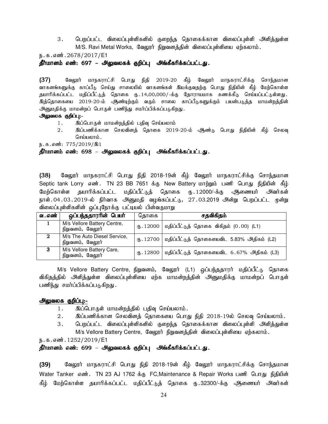3. பெறப்பட்ட விலைப்புள்ளிகளில் குறைந்த தொகைக்கான விலைப்புள்ளி அளித்துள்ள M/S. Ravi Metal Works, வேலூர் நிறுவனத்தின் விலைப்புள்ளியை ஏற்கலாம்.

ந.க.எண்.2678/2017/E1

தீர்மானம் எண்: 697 – அலுவலகக் குறிப்பு அங்கீகரிக்கப்பட்டது.

 $(37)$  Bீ கேலூர் மாநகராட்சி பொது நிதி 2019-20 கீழ் வேலூர் மாநகராட்சிக்கு சொந்தமான வாகனங்களுக்கு காப்பீடு செய்து சாலையில் வாகனங்கள் இயக்குவதற்கு பொது நிதியின் கீழ் மேற்கொள்ள தயாரிக்கப்பட்ட மதிப்பீட்டுத் தொகை ரு. 14,00,000/-க்கு தோராயமாக கணக்கீடு செய்யப்பட்டுள்ளது. இத்தொகையை 2019-20-ம் ஆண்டிற்கும் வரும் சாலை காப்பீடுகளுக்கும் பயன்படுத்த மாமன்றத்தின் அனுமதிக்கு மாமன்றப் பொருள் பணிந்து சமர்ப்பிக்கப்படுகிறது.

#### அலுவலக குறிப்பு:-

- 1. இப்பொருள் மாமன்றத்தில் பதிவு செய்யலாம்
- 2. இப்பணிக்கான செலவினத் தொகை 2019-20-ம் ஆண்டு பொது நிதியின் கீழ் செலவு செய்யலாம்.

ந.க.எண்: 775/2019/இ1

#### தீர்மானம் எண்: 698 – அலுவலகக் குறிப்பு அங்கீகரிக்கப்பட்டது.

(38) கேலூர் மாநகராட்சி பொது நிதி 2018-19ன் கீழ் வேலூர் மாநகராட்சிக்கு சொந்தமான Septic tank Lorry எண். TN 23 BB 7651 க்கு New Battery மாற்றும் பணி பொது நிதியின் கீம் மேற்கொள்ள தயாரிக்கப்பட்ட மதிப்பீட்டுத் தொகை ரு. $12000$ /-க்கு அிணையர் அவர்கள் நாள்.04.03.2019-ல் நிர்வாக அனுமதி வழங்கப்பட்டு, 27.03.2019 அன்று பெறப்பட்ட முன்று விலைப்புள்ளிகளின் ஒப்புநோக்கு பட்டியல் பின்வருமாறு

| வ . எண்  | ஒப்பந்ததாரரின் பெயர்                             | தொகை      | சதவிகிதம்                                            |
|----------|--------------------------------------------------|-----------|------------------------------------------------------|
|          | M/s Vellore Battery Centre,<br>நிறுவனம், வேலூர்  |           | ரு. 12000   மதிப்பீட்டுத் தொகை விகிதம் $(0.00)$ (L1) |
| $\bf{2}$ | M/s The Auto Diesel Service,<br>நிறுவனம், வேலூர் | (B.12700) | மதிப்பீட்டுத் தொகையைவிட 5.83% அதிகம் (L2)            |
| -3       | M/s Vellore Battery Care,<br>நிறுவனம், வேலூர்    | (հ. 12800 | மதிப்பீட்டுத் தொகையைவிட 6.67% அதிகம் (L3)            |

M/s Vellore Battery Centre, நிறுவனம், வேலூர் (L1) ஒப்பந்ததாரர் மதிப்பீட்டு தொகை விகிதத்தில் அளித்துள்ள விலைப்புள்ளியை ஏற்க மாமன்றத்தின் அனுமதிக்கு மாமன்றப் பொருள் பணிந்து சமர்ப்பிக்கப்படுகிறது.

#### அலுவலக குறிப்பு:-

- 1. இப்பொருள் மாமன்றத்தில் பதிவு செய்யலாம்.
- 2. இப்பணிக்கான செலவினத் தொகையை பொது நிதி 2018-19ல் செலவு செய்யலாம்.
- 3. பெறப்பட்ட விலைப்புள்ளிகளில் குறைந்த தொகைக்கான விலைப்புள்ளி அளித்துள்ள M/s Vellore Battery Centre, வேலூர் நிறுவனத்தின் விலைப்புள்ளியை ஏற்கலாம்.

ந.க.எண். 1252/2019/E1

## தீர்மானம் எண்: 699 – அலுவலகக் குறிப்பு அங்கீகரிக்கப்பட்டது.

(39) வேலூர் மாநகராட்சி பொது நிதி 2018-19ன் கீழ் வேலூர் மாநகராட்சிக்கு சொந்தமான Water Tanker எண். TN 23 AJ 1762 க்கு FC,Maintenance & Repair Works பணி பொது நிதியின் கீம் மேற்கொள்ள தயாரிக்கப்பட்ட மதிப்பீட்டுக் கொகை ரு.32300/-க்கு ஆணையர் அவர்கள்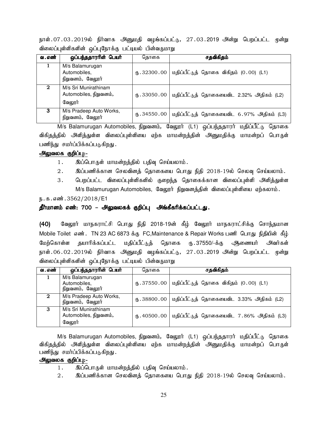நாள்.07.03.2019ல் நிர்வாக அனுமதி வழங்கப்பட்டு, 27.03.2019 அன்று பெறப்பட்ட முன்று விலைப்புள்ளிகளின் ஒப்புநோக்கு பட்டியல் பின்வருமாறு

| வ . எண் | ஒப்பந்ததாரரின் பெயர்                                     | தொகை                           | சதவிகிதம்                                 |
|---------|----------------------------------------------------------|--------------------------------|-------------------------------------------|
|         | M/s Balamurugan<br>Automobiles,<br>நிறுவனம், வேலூர்      | (B.32300.00)                   | மதிப்பீட்டுத் தொகை விகிதம் (0.00) (L1)    |
| 2       | M/s Sri Munirathinam<br>Automobiles, நிறுவனம்,<br>வேலூர் | (B.33050.00)                   | மதிப்பீட்டுத் தொகையைவிட 2.32% அதிகம் (L2) |
| 3       | M/s Pradeep Auto Works,<br>நிறுவனம், வேலூர்              | $\langle 6, .34550.00 \rangle$ | மதிப்பீட்டுத் தொகையைவிட 6.97% அதிகம் (L3) |

M/s Balamurugan Automobiles, நிறுவனம், வேலூர் (L1) ஒப்பந்ததாரர் மதிப்பீட்டு தொகை விகிதத்தில் அளித்துள்ள விலைப்புள்ளியை ஏற்க மாமன்றத்தின் அனுமதிக்கு மாமன்றப் பொருள் பணிந்து சமா்ப்பிக்கப்படுகிறது.

#### அலுவலக குறிப்பு:-

- 1. இப்பொருள் மாமன்றத்தில் பதிவு செய்யலாம்.
- $2.$  இப்பணிக்கான செலவினத் தொகையை பொது நிதி  $2018$ -19ல் செலவு செய்யலாம்.
- 3. பெறப்பட்ட விலைப்புள்ளிகளில் குறைந்த தொகைக்கான விலைப்புள்ளி அளித்துள்ள M/s Balamurugan Automobiles, வேலூர் நிறுவனத்தின் விலைப்புள்ளியை ஏற்கலாம்.

ந.க.எண்.3562/2018/E1

#### தீர்மானம் எண்: 700 – அலுவலகக் குறிப்பு அங்கீகரிக்கப்பட்டது.

(40) வேலூர் மாநகராட்சி பொது நிதி 2018-19ன் கீழ் வேலூர் மாநகராட்சிக்கு சொந்தமான Mobile Toilet எண். TN 23 AC 6873 க்கு FC,Maintenance & Repair Works பணி பொது நிதியின் கீழ் மேற்கொள்ள தயாரிக்கப்பட்ட மதிப்பீட்டுத் தொகை ரு. 37550/-க்கு அிணையர் அவர்கள் நாள்.06.02.2019ல் நிர்வாக அனுமதி வழங்கப்பட்டு, 27.03.2019 அன்று பெறப்பட்ட முன்று விலைப்புள்ளிகளின் ஒப்புநோக்கு பட்டியல் பின்வருமாறு

| வ . எண்     | ஒப்பந்ததாரரின் பெயர்                                     | தொகை | சதவிகிதம்                                                |
|-------------|----------------------------------------------------------|------|----------------------------------------------------------|
|             | M/s Balamurugan<br>Automobiles,<br>நிறுவனம், வேலூர்      |      | ரு. 37550.00   மதிப்பீட்டுத் தொகை விகிதம் $(0.00)$ (L1)  |
| $\mathbf 2$ | M/s Pradeep Auto Works,<br>நிறுவனம், வேலூர்              |      | ரு. 38800.00   மதிப்பீட்டுத் தொகையைவிட 3.33% அதிகம் (L2) |
| 3           | M/s Sri Munirathinam<br>Automobiles, நிறுவனம்,<br>வேலூர் |      | ரு. 40500.00   மதிப்பீட்டுத் தொகையைவிட 7.86% அதிகம் (L3) |

M/s Balamurugan Automobiles, நிறுவனம், வேலூர் (L1) ஒப்பந்ததாரர் மதிப்பீட்டு தொகை விகிதத்தில் அளித்துள்ள விலைப்புள்ளியை ஏற்க மாமன்றத்தின் அனுமதிக்கு மாமன்றப் பொருள் பணிந்து சமர்ப்பிக்கப்படுகிறது.

- 1. இப்பொருள் மாமன்றத்தில் பதிவு செய்யலாம்.
- $2.$  இப்பணிக்கான செலவினத் தொகையை பொது நிதி  $2018$ -19ல் செலவு செய்யலாம்.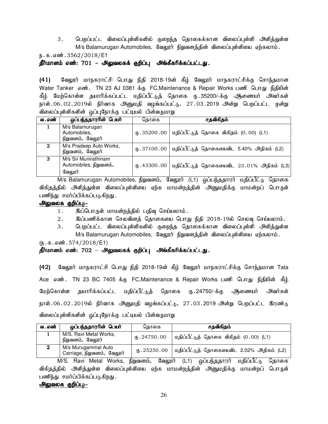3. பெறப்பட்ட விலைப்புள்ளிகளில் குறைந்த தொகைக்கான விலைப்புள்ளி அளித்துள்ள M/s Balamurugan Automobiles, வேலூர் நிறுவனத்தின் விலைப்புள்ளியை ஏற்கலாம்.

ந.க.எண்.3562/2018/E1

<u>தீர்மானம் எண்: 701 – அலுவலகக் குறிப்பு</u> அங்கீகரிக்கப்பட்டது.

(41) வேலூர் மாநகராட்சி பொது நிதி 2018-19ன் கீழ் வேலூர் மாநகராட்சிக்கு சொந்தமான Water Tanker எண். TN 23 AJ 0381 க்கு FC,Maintenance & Repair Works பணி பொது நிதியின் கீழ் மேற்கொள்ள தயாரிக்கப்பட்ட மதிப்பீட்டுத் தொகை ரு. 35200/-க்கு ஆணையர் அவர்கள் நாள்.06.02.2019ல் நிர்வாக அீனுமதி வழங்கப்பட்டு, 27.03.2019 அன்று பெறப்பட்ட முன்று விலைப்புள்ளிகளின் ஒப்புநோக்கு பட்டியல் பின்வருமாறு

| வ . எண் | ஒப்பந்ததார <del>ாி</del> ன் பெயர்                        | தொகை            | சதவிகிதம்                                                |
|---------|----------------------------------------------------------|-----------------|----------------------------------------------------------|
|         | M/s Balamurugan<br>Automobiles,<br>நிறுவனம், வேலூர்      |                 | ரு. 35200.00   மதிப்பீட்டுத் தொகை விகிதம் $(0.00)$ (L1)  |
| 2       | M/s Pradeep Auto Works,<br>நிறுவனம், வேலூர்              |                 | ரு. 37100.00   மதிப்பீட்டுத் தொகையைவிட 5.40% அதிகம் (L2) |
| з       | M/s Sri Munirathinam<br>Automobiles, நிறுவனம்,<br>வேலூர் | $($ [5.43300.00 | மதிப்பீட்டுத் தொகையைவிட 23.01% அதிகம் (L3)               |

M/s Balamurugan Automobiles, நிறுவனம், வேலூர் (L1) ஒப்பந்ததாரர் மதிப்பீட்டு தொகை விகிதத்தில் அளித்துள்ள விலைப்புள்ளியை ஏற்க மாமன்றத்தின் அனுமதிக்கு மாமன்றப் பொருள் பணிந்து சமர்ப்பிக்கப்படுகிறது.

#### அலுவலக குறிப்பு:-

- 1. இப்பொருள் மாமன்றத்தில் பதிவு செய்யலாம்.
- $2.$   $\,$  இப்பணிக்கான செலவினத் தொகையை பொது நிதி  $2018$ -19ல் செலவு செய்யலாம்.
- 3. பெறப்பட்ட விலைப்புள்ளிகளில் குறைந்த தொகைக்கான விலைப்புள்ளி அளித்துள்ள M/s Balamurugan Automobiles, வேலூர் நிறுவனத்தின் விலைப்புள்ளியை ஏற்கலாம்.

 $(\mathfrak{h}.\mathfrak{g}.\mathfrak{g}.$  எண். 574/2018/E1)

## தீர்மானம் எண்: 702 – அலுவலகக் குறிப்பு அங்கீகரிக்கப்பட்டது.

(42) வேலூர் மாநகராட்சி பொது நிதி 2018-19ன் கீழ் வேலூர் மாநகராட்சிக்கு சொந்தமான Tata Ace எண். TN 23 BC 7405 க்கு FC,Maintenance & Repair Works பணி பொது நிதியின் கீழ் மேற்கொள்ள தயாரிக்கப்பட்ட மதிப்பீட்டுத் தொகை ரு. 24750/-க்கு ஆணையர் அவர்கள் நாள்.06.02.2019ல் நிர்வாக அனுமதி வழங்கப்பட்டு, 27.03.2019 அன்று பெறப்பட்ட இரண்டு விலைப்புள்ளிகளின் ஒப்புநோக்கு பட்டியல் பின்வருமாறு

| வ . எண் | ஒப்பந்ததாரரின் பெயர்                              | கொகை         | சதவிகிதம்                                 |
|---------|---------------------------------------------------|--------------|-------------------------------------------|
|         | M/S. Ravi Metal Works,<br>நிறுவனம், வேலூர்        | (B.24750.00) | மதிப்பீட்டுத் தொகை விகிதம் (0.00) (L1)    |
| റ       | M/s Murugammal Auto<br>Carriage, நிறுவனம், வேலூர் | (B.25250.00) | மதிப்பீட்டுத் தொகையைவிட 2.02% அதிகம் (L2) |

M/S. Ravi Metal Works, நிறுவனம், வேலூர் (L1) ஒப்பந்ததாரர் மதிப்பீட்டு தொகை விகிதத்தில் அளித்துள்ள விலைப்புள்ளியை ஏற்க மாமன்றத்தின் அனுமதிக்கு மாமன்றப் பொருள் பணிந்து சமர்ப்பிக்கப்படுகிறது.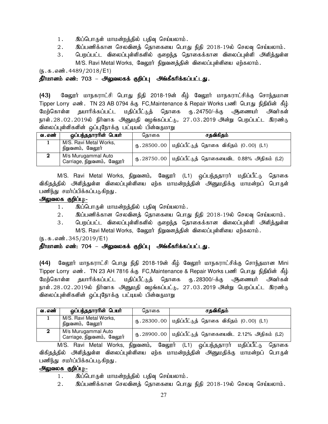- 1. இப்பொருள் மாமன்றத்தில் பதிவு செய்யலாம்.
- $2.$  இப்பணிக்கான செலவினத் தொகையை பொது நிதி  $2018$ -19ல் செலவு செய்யலாம்.
- 3. பெறப்பட்ட விலைப்புள்ளிகளில் குறைந்த தொகைக்கான விலைப்புள்ளி அளித்துள்ள M/S. Ravi Metal Works, வேலூர் நிறுவனத்தின் விலைப்புள்ளியை ஏற்கலாம்.

 $(5.5.5.5\text{...})$  . 4489/2018/E1)

## தீர்மானம் எண்: 703 – அலுவலகக் குறிப்பு அங்கீகரிக்கப்பட்டது.

(43) மேலூர் மாநகராட்சி பொது நிதி 2018-19ன் கீழ் வேலூர் மாநகராட்சிக்கு சொந்தமான Tipper Lorry எண். TN 23 AB 0794 க்கு FC,Maintenance & Repair Works பணி பொது நிதியின் கீழ் மேற்கொள்ள தயாரிக்கப்பட்ட மதிப்பீட்டுத் தொகை ரு. 24750/-க்கு ஆணையர் அவர்கள் நாள். 28 . 02 . 2019ல் நிர்வாக அனுமதி வழங்கப்பட்டு, 27 . 03 . 2019 அன்று பெறப்பட்ட இரண்டு விலைப்புள்ளிகளின் ஒப்புநோக்கு பட்டியல் பின்வருமாறு

| வ . எண் | ஒப்பந்ததாரரின் பெயர்                              | கொகை | சதவிகிதம்                                                  |
|---------|---------------------------------------------------|------|------------------------------------------------------------|
|         | M/S. Ravi Metal Works,<br>நிறுவனம், வேலூர்        |      | ரு. 28500.00   மதிப்பீட்டுத் தொகை விகிதம் $(0.00)$ (L1)    |
|         | M/s Murugammal Auto<br>Carriage, நிறுவனம், வேலூர் |      | ரு $.28750.00$   மதிப்பீட்டுத் தொகையைவிட 0.88% அதிகம் (L2) |

M/S. Ravi Metal Works, நிறுவனம், வேலூர் (L1) ஒப்பந்ததாரர் மதிப்பீட்டு தொகை விகிதத்தில் அளித்துள்ள விலைப்புள்ளியை ஏற்க மாமன்றத்தின் அனுமதிக்கு மாமன்றப் பொருள் பணிந்து சமர்ப்பிக்கப்படுகிறது.

## அலுவலக குறிப்பு:-

- 1. இப்பொருள் மாமன்றத்தில் பதிவு செய்யலாம்.
- $2.$  இப்பணிக்கான செலவினத் தொகையை பொது நிதி  $2018$ -19ல் செலவு செய்யலாம்.
- 3. பெறப்பட்ட விலைப்புள்ளிகளில் குறைந்த தொகைக்கான விலைப்புள்ளி அளித்துள்ள M/S. Ravi Metal Works, வேலூர் நிறுவனத்தின் விலைப்புள்ளியை ஏற்கலாம்.

 $(5.5.5.5\text{...})$ 

## தீர்மானம் எண்: 704 – அலுவலகக் குறிப்பு அங்கீகரிக்கப்பட்டது.

(44) மேலூர் மாநகராட்சி பொது நிதி 2018-19ன் கீழ் வேலூர் மாநகராட்சிக்கு சொந்தமான Mini Tipper Lorry எண். TN 23 AH 7816 க்கு FC,Maintenance & Repair Works பணி பொது நிதியின் கீழ் மேற்கொள்ள தயாரிக்கப்பட்ட மதிப்பீட்டுத் தொகை ரு. 28300/-க்கு ஆணையர் அவர்கள் நாள். $28.02.2019$ ல் நிர்வாக அனுமதி வழங்கப்பட்டு,  $27.03.2019$  அன்று பெறப்பட்ட இரண்டு விலைப்புள்ளிகளின் ஒப்புநோக்கு பட்டியல் பின்வருமாறு

| வ . எண் | ஒப்பந்ததாரரின் பெயர்                              | கொகை | சதவிகிதம்                                                          |
|---------|---------------------------------------------------|------|--------------------------------------------------------------------|
|         | M/S. Ravi Metal Works,<br>நிறுவனம், வேலூர்        |      | ரு. 28300.00   மதிப்பீட்டுத் தொகை விகிதம் $(0.00)$ (L1)            |
|         | M/s Murugammal Auto<br>Carriage, நிறுவனம், வேலூர் |      | $\bigoplus$ . 28900.00   மதிப்பீட்டுத் தொகையைவிட 2.12% அதிகம் (L2) |

M/S. Ravi Metal Works, நிறுவனம், வேலூர் (L1) ஒப்பந்ததாரர் மதிப்பீட்டு தொகை விகிதத்தில் அி்வத்துள்ள விலைப்புள்ளியை ஏற்க மாமன்றத்தின் அனுமதிக்கு மாமன்றப் பொருள் பணிந்து சமர்ப்பிக்கப்படுகிறது.

- 1. இப்பொருள் மாமன்றத்தில் பதிவு செய்யலாம்.
- $2.$  இப்பணிக்கான செலவினத் தொகையை பொது நிதி  $2018$ -19ல் செலவு செய்யலாம்.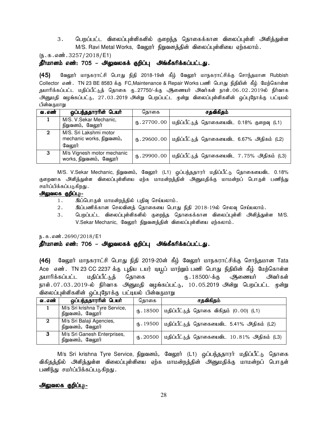3. பெறப்பட்ட விலைப்புள்ளிகளில் குறைந்த தொகைக்கான விலைப்புள்ளி அளித்துள்ள M/S. Ravi Metal Works, வேலூர் நிறுவனத்தின் விலைப்புள்ளியை ஏற்கலாம்.

 $(\mathbf{5}.\mathbf{5}.\mathbf{6}.\mathbf{w}$ : 3257/2018/E1)

#### <u>தீர்மானம் எண்: 705 – அலுவலகக் குறிப்பு</u> அங்கீகரிக்கப்பட்டது.

(45) வேலூர் மாநகராட்சி பொது நிதி 2018-19ன் கீழ் வேலூர் மாநகராட்சிக்கு சொந்தமான Rubbish Collector எண். TN 23 BE 8583 க்கு FC,Maintenance & Repair Works பணி பொது நிதியின் கீம் மேற்கொள்ள தயாரிக்கப்பட்ட மதிப்பீட்டுத் தொகை ரு.27750/-க்கு <del>அ</del>ணையர் அவர்கள் நாள்.06.02.2019ல் நிர்வாக அனுமதி வழங்கப்பட்டு, 27.03.2019 அன்று பெறப்பட்ட முன்று விலைப்புள்ளிகளின் ஒப்புநோக்கு பட்டியல் பின்வருமாறு

| வ . எண்     | ஒப்பந்ததாரரின் பெயர்                                          | தொகை | சதவிகிதம்                                                |
|-------------|---------------------------------------------------------------|------|----------------------------------------------------------|
|             | M/S. V.Sekar Mechanic,<br>நிறுவனம், வேலூர்                    |      | ரு. 27700.00   மதிப்பீட்டுத் தொகையைவிட 0.18% குறைவு (L1) |
| $\mathbf 2$ | M/S. Sri Lakshmi motor<br>mechanic works, நிறுவனம்,<br>வேலூர் |      | ரு. 29600.00   மதிப்பீட்டுத் தொகையைவிட 6.67% அதிகம் (L2) |
| З           | M/s Vignesh motor mechanic<br>works, நிறுவனம், வேலூர்         |      | ரு. 29900.00   மதிப்பீட்டுத் தொகையைவிட 7.75% அதிகம் (L3) |

M/S. V.Sekar Mechanic, நிறுவனம், வேலூர் (L1) ஒப்பந்ததாரர் மதிப்பீட்டு தொகையைவிட 0.18% குறைவாக அளித்துள்ள விலைப்புள்ளியை ஏற்க மாமன்றத்தின் அனுமதிக்கு மாமன்றப் பொருள் பணிந்து சமர்ப்பிக்கப்படுகிறது .

#### அலுவலக குறிப்பு:-

- 1. இப்பொருள் மாமன்றத்தில் பதிவு செய்யலாம்.
- $2.$   $\,$  இப்பணிக்கான செலவினத் தொகையை பொது நிதி  $2018$ -19ல் செலவு செய்யலாம்.
- 3. பெறப்பட்ட விலைப்புள்ளிகளில் குறைந்த தொகைக்கான விலைப்புள்ளி அளித்துள்ள M/S. V.Sekar Mechanic, வேலூர் நிறுவனத்தின் விலைப்புள்ளியை ஏற்கலாம்.

ந.க.எண்.2690/2018/E1

## <u>தீர்மானம் எண்: 706 – அலுவலகக் குறிப்பு</u> அங்கீகரிக்கப்பட்டது.

(46) மேலூர் மாநகராட்சி பொது நிதி 2019-20ன் கீழ் வேலூர் மாநகராட்சிக்கு சொந்தமான Tata Ace எண். TN 23 CC 2237 க்கு புதிய டயர் டியூப் மாற்றும் பணி பொது நிதியின் கீழ் மேற்கொள்ள தயாரிக்கப்பட்ட மதிப்பீட்டுத் தொகை ரூ. 18500/-க்கு ஆணையர் அவர்கள் நாள்.07.03.2019-ல் நிர்வாக அனுமதி வழங்கப்பட்டு, 10.05.2019 அன்று பெறப்பட்ட முன்று விலைப்புள்ளிகளின் ஒப்புநோக்கு பட்டியல் பின்வருமாறு

| வ . எண் | ஒப்பந்ததாரரின் பெயர்                              | கொகை | சதவிகிதம்                                                        |
|---------|---------------------------------------------------|------|------------------------------------------------------------------|
|         | M/s Sri krishna Tyre Service,<br>நிறுவனம், வேலூர் |      | ரு. 18500   மதிப்பீட்டுத் தொகை விகிதம் $(0.00)$ (L1)             |
| -2      | M/s Sri Balaji Agencies,<br>நிறுவனம், வேலூர்      |      | ரு. 19500   மதிப்பீட்டுத் தொகையைவிட 5.41% அதிகம் (L2)            |
| 3       | M/s Sri Ganesh Enterprises,<br>நிறுவனம், வேலூர்   |      | $\bigoplus$ . 20500   மதிப்பீட்டுத் தொகையைவிட 10.81% அதிகம் (L3) |

M/s Sri krishna Tyre Service, நிறுவனம், வேலூர் (L1) ஒப்பந்ததாரர் மதிப்பீட்டு தொகை விகிதத்தில் அளித்துள்ள விலைப்புள்ளியை ஏற்க மாமன்றத்தின் அனுமதிக்கு மாமன்றப் பொருள் பணிந்து சமர்ப்பிக்கப்படுகிறது.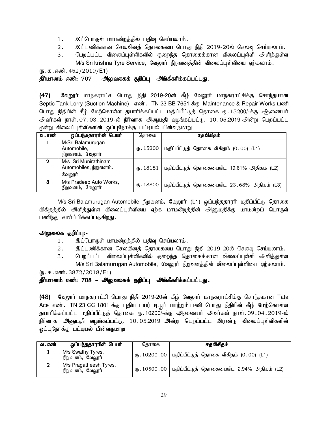- 1. இப்பொருள் மாமன்றத்தில் பதிவு செய்யலாம்.
- 2. இப்பணிக்கான செலவினத் தொகையை பொது நிதி 2019-20ல் செலவு செய்யலாம்.
- 3. பெறப்பட்ட விலைப்புள்ளிகளில் குறைந்த தொகைக்கான விலைப்புள்ளி அளித்துள்ள M/s Sri krishna Tyre Service, வேலூர் நிறுவனத்தின் விலைப்புள்ளியை ஏற்கலாம்.

 $(\mathbf{b}.\mathbf{A}.\mathbf{a} \cdot \mathbf{w}$  $\mathbf{b}.\mathbf{A}$  = 452/2019/E1)

## தீர்மானம் எண்: 707 – அலுவலகக் குறிப்பு அங்கீகரிக்கப்பட்டது.

(47) வேலூர் மாநகராட்சி பொது நிதி 2019-20ன் கீழ் வேலூர் மாநகராட்சிக்கு சொந்தமான Septic Tank Lorry (Suction Machine) எண். TN 23 BB 7651 க்கு Maintenance & Repair Works பணி பொது நிதியின் கீழ் மேற்கொள்ள தயாரிக்கப்பட்ட மதிப்பீட்டுத் தொகை ரு. 15200/-க்கு ஆணையர் <u>அ</u>வர்கள் நாள்.07.03.2019-ல் நிர்வாக அனுமதி வழங்கப்பட்டு, 10.05.2019 அன்று பெறப்பட்ட மூன்று விலைப்புள்ளிகளின் ஒப்புநோக்கு பட்டியல் பின்வருமாறு

| வ . எண் | ஒப்பந்ததாராின் பெயா்                                     | கொகை                       | சதவிகிதம்                                  |
|---------|----------------------------------------------------------|----------------------------|--------------------------------------------|
|         | M/Sri Balamurugan<br>Automobile,<br>நிறுவனம், வேலூர்     | (15200)                    | மதிப்பீட்டுத் தொகை விகிதம் (0.00) (L1)     |
| 2       | M/s Sri Munirathinam<br>Automobiles, நிறுவனம்,<br>வேலூர் | (B.18181)                  | மதிப்பீட்டுத் தொகையைவிட 19.61% அதிகம் (L2) |
| 3       | M/s Pradeep Auto Works,<br>நிறுவனம், வேலூர்              | $($ <sup>[6</sup> ]. 18800 | மதிப்பீட்டுத் தொகையைவிட 23.68% அதிகம் (L3) |

M/s Sri Balamurugan Automobile, நிறுவனம், வேலூர் (L1) ஒப்பந்ததாரர் மதிப்பீட்டு தொகை விகிதத்தில் அளித்துள்ள விலைப்புள்ளியை ஏற்க மாமன்றத்தின் அனுமதிக்கு மாமன்றப் பொருள் பணிந்து சமர்ப்பிக்கப்படுகிறது.

## அலுவலக குறிப்பு:-

- 1. இப்பொருள் மாமன்றத்தில் பதிவு செய்யலாம்.
- $2.$   $\;$  இப்பணிக்கான செலவினத் தொகையை பொது நிதி 2019-20ல் செலவு செய்யலாம்.
- 3. பெறப்பட்ட விலைப்புள்ளிகளில் குறைந்த தொகைக்கான விலைப்புள்ளி அளித்துள்ள M/s Sri Balamurugan Automobile, வேலூர் நிறுவனத்தின் விலைப்புள்ளியை ஏற்கலாம்.

 $(\mathfrak{h}.\mathfrak{g}.\mathfrak{g}.$  எண். 3872/2018/E1)

## தீர்மானம் எண்: 708 – அலுவலகக் குறிப்பு அங்கீகரிக்கப்பட்டது.

(48) வேலூர் மாநகராட்சி பொது நிதி 2019-20ன் கீழ் வேலூர் மாநகராட்சிக்கு சொந்தமான Tata Ace எண். TN 23 CC 1801 க்கு புதிய டயர் டியூப் மாற்றும்பணி பொது நிதியின் கீழ் மேற்கொள்ள தயாரிக்கப்பட்ட மதிப்பீட்டுத் தொகை ரு.10200/-க்கு ஆணையர் அவர்கள் நாள்.09.04.2019-ல் நிர்வாக அனுமதி வழங்கப்பட்டு, 10.05.2019 அன்று பெறப்பட்ட இரண்டு விலைப்புள்ளிகளின் ஒப்புநோக்கு பட்டியல் பின்வருமாறு

| வ . எண் | ஒப்பந்ததாரரின் பெயர்                       | கொகை | சதவிகிதம்                                                                 |
|---------|--------------------------------------------|------|---------------------------------------------------------------------------|
|         | M/s Swathy Tyres,<br>நிறுவனம், வேலூர்      |      | ரு. 10200.00   மதிப்பீட்டுத் தொகை விகிதம் $(0.00)$ (L1)                   |
| റ       | M/s Pragatheesh Tyres,<br>நிறுவனம், வேலூர் |      | $\bigcirc$ . 10500 . 00 $\big $ மதிப்பீட்டுத் தொகையைவிட 2.94% அதிகம் (L2) |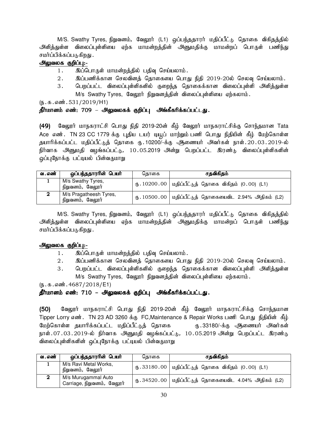M/S. Swathy Tyres, நிறுவனம், வேலூர் (L1) ஒப்பந்ததாரர் மதிப்பீட்டு தொகை விகிதத்தில் அளித்துள்ள விலைப்புள்ளியை ஏற்க மாமன்றத்தின் அனுமதிக்கு மாமன்றப் பொருள் பணிந்து சமர்ப்பிக்கப்படுகிறது .

## அலுவலக குறிப்பு:-

- 1. இப்பொருள் மாமன்றத்தில் பதிவு செய்யலாம்.
- $2.$  இப்பணிக்கான செலவினத் தொகையை பொது நிதி 2019-20ல் செலவு செய்யலாம்.
- 3. பெறப்பட்ட விலைப்புள்ளிகளில் குறைந்த தொகைக்கான விலைப்புள்ளி அளித்துள்ள M/s Swathy Tyres, வேலூர் நிறுவனத்தின் விலைப்புள்ளியை ஏற்கலாம்.

 $(5.5.5.531/2019/H1)$ 

## தீர்மானம் எண்: 709 – அலுவலகக் குறிப்பு அங்கீகரிக்கப்பட்டது.

(49) வேலூர் மாநகராட்சி பொது நிதி 2019-20ன் கீழ் வேலூர் மாநகராட்சிக்கு சொந்தமான Tata Ace எண். TN 23 CC 1779 க்கு புதிய டயர் டியூப் மாற்றும்பணி பொது நிதியின் கீழ் மேற்கொள்ள தயாரிக்கப்பட்ட மதிப்பீட்டுத் தொகை ரு.10200/-க்கு ஆணையர் அவர்கள் நாள்.20.03.2019-ல் நிர்வாக அனுமதி வழங்கப்பட்டு, 10.05.2019 அன்று பெறப்பட்ட இரண்டு விலைப்புள்ளிகளின் ஒப்புநோக்கு பட்டியல் பின்வருமாறு

| வ . எண் | ஒப்பந்ததாரரின் பெயர்                       | கொகை | சதவிகிதம்                                                |
|---------|--------------------------------------------|------|----------------------------------------------------------|
|         | M/s Swathy Tyres,<br>நிறுவனம், வேலூர்      |      | ரு. 10200.00   மதிப்பீட்டுத் தொகை விகிதம் $(0.00)$ (L1)  |
|         | M/s Pragatheesh Tyres,<br>நிறுவனம், வேலூர் |      | ரு. 10500.00   மதிப்பீட்டுத் தொகையைவிட 2.94% அதிகம் (L2) |

M/S. Swathy Tyres, நிறுவனம், வேலூர் (L1) ஒப்பந்ததாரர் மதிப்பீட்டு தொகை விகிதத்தில் அளித்துள்ள விலைப்புள்ளியை ஏற்க மாமன்றத்தின் அனுமதிக்கு மாமன்றப் பொருள் பணிந்து சமர்ப்பிக்கப்படுகிறது .

## அலுவலக குறிப்பு<u>:-</u>

- 1. இப்பொருள் மாமன்றத்தில் பதிவு செய்யலாம்.
- 2. இப்பணிக்கான செலவினத் தொகையை பொது நிதி 2019-20ல் செலவு செய்யலாம்.
- 3. பெறப்பட்ட விலைப்புள்ளிகளில் குறைந்த தொகைக்கான விலைப்புள்ளி அளித்துள்ள M/s Swathy Tyres, வேலூர் நிறுவனத்தின் விலைப்புள்ளியை ஏற்கலாம்.

 $(\mathbf{b}.\mathbf{t}.\mathbf{s}.\mathbf{s}.\mathbf{w}$ : 4687/2018/E1)

## தீர்மானம் எண்: 710 – அலுவலகக் குறிப்பு அங்கீகரிக்கப்பட்டது.

(50) வேலூர் மாநகராட்சி பொது நிதி 2019-20ன் கீழ் வேலூர் மாநகராட்சிக்கு சொந்தமான Tipper Lorry எண். TN 23 AD 3260 க்கு FC,Maintenance & Repair Works பணி பொது நிதியின் கீழ் மேற்கொள்ள தயாரிக்கப்பட்ட மதிப்பீட்டுத் தொகை ரூ.33180/-க்கு அிணையர் அவர்கள் நாள்.07.03.2019-ல் நிர்வாக அனுமதி வழங்கப்பட்டு, 10.05.2019 அன்று பெறப்பட்ட இரண்டு விலைப்புள்ளிகளின் ஒப்புநோக்கு பட்டியல் பின்வருமாறு

| வ . எண் | ஒப்பந்ததாரரின் பெயர்                              | தொகை | சதவிகிதம்                                                  |
|---------|---------------------------------------------------|------|------------------------------------------------------------|
|         | M/s Ravi Metal Works,<br>நிறுவனம், வேலூர்         |      | ரு. 33180.00   மதிப்பீட்டுத் தொகை விகிதம் $(0.00)$ (L1)    |
|         | M/s Murugammal Auto<br>Carriage, நிறுவனம், வேலூர் |      | ரு $.34520.00$   மதிப்பீட்டுத் தொகையைவிட 4.04% அதிகம் (L2) |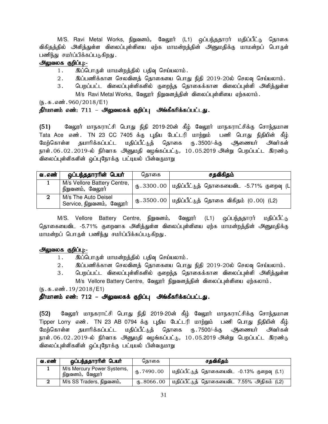M/S. Ravi Metal Works, நிறுவனம், வேலூர் (L1) ஒப்பந்ததாரர் மதிப்பீட்டு தொகை விகிதத்தில் அளித்துள்ள விலைப்புள்ளியை ஏற்க மாமன்றத்தின் அனுமதிக்கு மாமன்றப் பொருள் பணிந்து சமர்ப்பிக்கப்படுகிறது.

## அலுவலக குறிப்பு:-

- 1. இப்பொருள் மாமன்றத்தில் பதிவு செய்யலாம்.
- 2. ng;gzpf;fhd brytpdj; bjhifia bghJ epjp 2019-20y; bryt[ bra;ayhk;.
- 3. பெறப்பட்ட விலைப்புள்ளிகளில் குறைந்த தொகைக்கான விலைப்புள்ளி அளித்துள்ள M/s Ravi Metal Works, வேலூர் நிறுவனத்தின் விலைப்புள்ளியை ஏற்கலாம்.

 $(\mathbf{b}.\mathbf{b}.\mathbf{a}.\mathbf{a}$ ண். 960/2018/E1)

## தீர்மானம் எண்: 711 – அலுவலகக் குறிப்பு அங்கீகரிக்கப்பட்டது.

(51) வேலூர் மாநகராட்சி பொது நிதி 2019-20ன் கீழ் வேலூர் மாநகராட்சிக்கு சொந்தமான Tata Ace எண். TN 23 CC 7405 க்கு புதிய பேட்டரி மாற்றும் பணி பொது நிதியின் கீழ் மேற்கொள்ள தயாரிக்கப்பட்ட மதிப்பீட்டுத் தொகை ரு.3500/-க்கு அிணையர் அவர்கள் நாள்.06.02.2019-ல் நிர்வாக அனுமதி வழங்கப்பட்டு, 10.05.2019 அன்று பெறப்பட்ட இரண்டு விலைப்புள்ளிகளின் ஒப்புநோக்கு பட்டியல் பின்வருமாறு

| வ . எண் | ஒப்பந்ததாரரின் பெயர்                             | கொகை | சதவிகிதம்                                                |
|---------|--------------------------------------------------|------|----------------------------------------------------------|
|         | M/s Vellore Battery Centre,<br>நிறுவனம், வேலூர்  |      | ரு.3300.00   மதிப்பீட்டுத் தொகையைவிட -5.71% குறைவு (Ll   |
|         | M/s The Auto Deisel<br>Service, நிறுவனம், வேலூர் |      | ரு $.3500.00$   மதிப்பீட்டுத் தொகை விகிதம் $(0.00)$ (L2) |

M/S. Vellore Battery Centre, நிறுவனம், வேலூர் (L1) ஒப்பந்ததாரர் மதிப்பீட்டு தொகையைவிட -5.71% குறைவாக அளித்துள்ள விலைப்புள்ளியை ஏற்க மாமன்றத்தின் அனுமதிக்கு மாமன்றப் பொருள் பணிந்து சமர்ப்பிக்கப்படுகிறது.

#### அலுவலக குறிப்பு:-

- 1. இப்பொருள் மாமன்றத்தில் பதிவு செய்யலாம்.
- $2.$  இப்பணிக்கான செலவினத் தொகையை பொது நிதி 2019-20ல் செலவு செய்யலாம்.
- 3. பெறப்பட்ட விலைப்புள்ளிகளில் குறைந்த தொகைக்கான விலைப்புள்ளி அளித்துள்ள M/s Vellore Battery Centre, வேலூர் நிறுவனத்தின் விலைப்புள்ளியை ஏற்கலாம்.

 $(\mathbf{b}.\mathbf{b}.\mathbf{a}.\mathbf{a}$ ண். 19/2018/E1)

#### தீர்மானம் எண்: 712 – அலுவலகக் குறிப்பு அங்கீகரிக்கப்பட்டது.

(52) வேலூர் மாநகராட்சி பொது நிதி 2019-20ன் கீழ் வேலூர் மாநகராட்சிக்கு சொந்தமான Tipper Lorry எண். TN 23 AB 0794 க்கு புதிய பேட்டரி மாற்றும் பணி பொது நிதியின் கீழ் மேற்கொள்ள தயாரிக்கப்பட்ட மதிப்பீட்டுத் தொகை ரு.7500/-க்கு அிணையர் அவர்கள் நாள்.06.02.2019-ல் நிர்வாக அனுமதி வழங்கப்பட்டு, 10.05.2019 அன்று பெறப்பட்ட இரண்டு விலைப்புள்ளிகளின் ஒப்புநோக்கு பட்டியல் பின்வருமாறு

| வ . எண் | ஒப்பந்ததாரரின் பெயர்                           | கொகை            | சதவிகிதம்                                  |
|---------|------------------------------------------------|-----------------|--------------------------------------------|
|         | M/s Mercury Power Systems,<br>நிறுவனம், வேலூர் | (1, 7490.00)    | மதிப்பீட்டுத் தொகையைவிட -0.13% குறைவு (L1) |
|         | M/s SS Traders, நிறுவனம்,                      | $M_b$ . 8066.00 | மதிப்பீட்டுத் தொகையைவிட 7.55% அதிகம் (L2)  |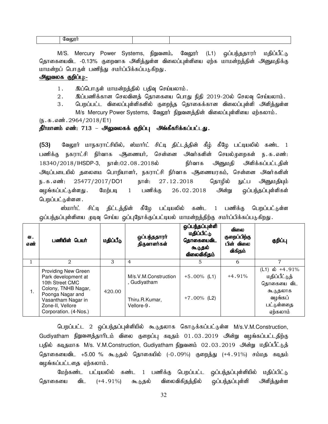| $\sim$ |  |  |
|--------|--|--|
|--------|--|--|

M/S. Mercury Power Systems, நிறுவனம், வேலூர் (L1) ஒப்பந்ததாரர் மதிப்பீட்டு தொகையைவிட -0.13% குறைவாக அளித்துள்ள விலைப்புள்ளியை ஏற்க மாமன்றத்தின் அனுமதிக்கு மாமன்றப் பொருள் பணிந்து சமர்ப்பிக்கப்படுகிறது.

## அலுவலக குறிப்பு:-

1. இப்பொருள் மாமன்றத்தில் பதிவு செய்யலாம்.

- $2.$  இப்பணிக்கான செலவினத் தொகையை பொது நிதி 2019-20ல் செலவு செய்யலாம்.
- 3. பெறப்பட்ட விலைப்புள்ளிகளில் குறைந்த தொகைக்கான விலைப்புள்ளி அளித்துள்ள
	- M/s Mercury Power Systems, வேலூர் நிறுவனத்தின் விலைப்புள்ளியை ஏற்கலாம்.

 $(5.5.5.5\text{...})$  .  $2964/2018$  / E1)

#### தீர்மானம் எண்: 713 – அலுவலகக் குறிப்பு அங்கீகரிக்கப்பட்டது.

(53) மேலூர் மாநகராட்சியில், ஸ்மார்ட் சிட்டி திட்டத்தின் கீழ் கீழே பட்டியலில் கண்ட 1 பணிக்கு நகராட்சி நிர்வாக ஆணையர், சென்னை அவர்களின் செயல்முறைகள் ந.க.எண்: 18340/2018/IHSDP-3, நாள்:02.08.2018ல் நிர்வாக அனுமதி அிளிக்கப்பட்டதின் அடிப்படையில் தலைமை பொறியாளர், நகராட்சி நிர்வாக *அ*ணையரகம், சென்னை அவர்களின் ந.க.எண்: 25477/2017/<mark>DO1 நாள்: 27.12.2018 தொழில் நுட்ப அனு</mark>மதியும் வழங்கப்பட்டுள்ளது . மேற்படி 1 பணிக்கு 26 02 2018 அன்று ஒப்பந்தப்புள்ளிகள் பெறப்பட்டுள்ளன .

ஸ்மார்ட் சிட்டி திட்டத்தின் கீழே பட்டியலில் கண்ட 1 பணிக்கு பெறப்பட்டுள்ள ஒப்பந்தப்புள்ளியை முடிவு செய்ய ஒப்புநோக்குப்பட்டியல் மாமன்றத்திற்கு சமர்ப்பிக்கப்படுகிறது.

| வ.<br>எண் | பணியின் பெயர்                                                                                                                                                                      | மதிப்பீடு | ஒப்பந்ததாரா்<br>திருவாளர்கள்                                         | ஒப்பந்தப்புள்ளி<br>மதிப்பிட்டு<br>தொகையைவிட<br>கூடுதல்<br>விலைவிகிதம் | <b>விலை</b><br>குறைப்பிற்கு<br>பின் விலை<br>விகிதம் | குறிப்பு                                                                                       |
|-----------|------------------------------------------------------------------------------------------------------------------------------------------------------------------------------------|-----------|----------------------------------------------------------------------|-----------------------------------------------------------------------|-----------------------------------------------------|------------------------------------------------------------------------------------------------|
| 1         | $\mathfrak{D}$                                                                                                                                                                     | 3         | 4                                                                    | 5.                                                                    | 6                                                   | 7                                                                                              |
| 1.        | <b>Providing New Green</b><br>Park development at<br>10th Street CMC<br>Colony, TNHB Nagar,<br>Poonga Nagar and<br>Vasantham Nagar in<br>Zone-II, Vellore<br>Corporation. (4-Nos.) | 420.00    | M/s.V.M.Construction<br>, Gudiyatham<br>Thiru.R.Kumar,<br>Vellore-9. | $+5.00\%$ (L1)<br>$+7.00\%$ (L2)                                      | $+4.91%$                                            | (L1) ல் +4.91%<br>மதிப்பீட்டுத்<br>தொகையை விட<br>கூடுதலாக<br>வழங்கப்<br>பட்டுள்ளதை<br>ஏற்கலாம் |

பெறப்பட்ட 2 ஒப்பந்தப்புள்ளியில் கூடுதலாக கொடுக்கப்பட்டுள்ள M/s.V.M.Construction, Gudiyatham நிறுவனத்தாரிடம் விலை குறைப்பு கடிதம் 01.03.2019 அன்று வழங்கப்பட்டதிற்கு பதில் கடிதமாக M/s. V.M.Construction, Gudiyatham நிறுவனம் 02 $\,$ .03 $\,$ .2019 அன்று மதிப்பீட்டுத் தொகையைவிட +5.00 % கூடுதல் தொகையில் (-0.09%) குறைத்து (+4.91%) சம்மத கடிதம் வழங்கப்பட்டகை ஏற்கலாம்.

மேற்கண்ட பட்டியலில் கண்ட 1 பணிக்கு பெறப்பட்ட ஒப்பந்தப்புள்ளியில் மதிப்பிட்டு தொகையை விட (+4.91%) கூடுதல் விலைவிகிதத்தில் ஒப்பந்தப்புள்ளி அளித்துள்ள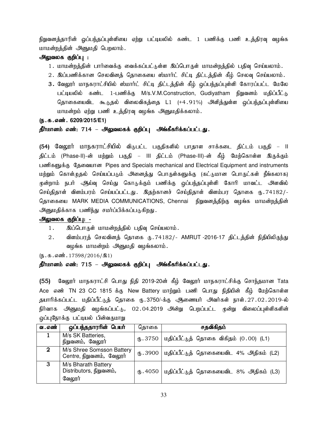நிறுவனத்தாரின் ஓப்பந்தப்புள்ளியை ஏற்று பட்டியலில் கண்ட 1 பணிக்கு பணி உத்திரவு வழங்க மாமன்றத்தின் அனுமதி பெறலாம்.

## அலுவலக குறிப்பு :

- 1. மாமன்றத்தின் பார்வைக்கு வைக்கப்பட்டுள்ள இப்பொருள் மாமன்றத்தில் பதிவு செய்யலாம்.
- 2. இப்பணிக்கான செலவினத் தொகையை ஸ்மார்ட் சிட்டி திட்டத்தின் கீழ் செலவு செய்யலாம்.
- 3. வேலூர் மாநகராட்சியில் ஸ்மார்ட் சிட்டி திட்டத்தின் கீழ் ஒப்பந்தப்புள்ளி கோரப்பட்ட மேலே பட்டியலில் கண்ட 1-பணிக்கு M/s.V.M.Construction, Gudiyatham நிறுவனம் மதிப்பீட்டு தொகையைவிட கூடுதல் விலைவிகத்தை L1 (+4.91%) அளித்துள்ள ஒப்பந்தப்புள்ளியை மாமன்றம் ஏற்று பணி உத்திரவு வழங்க அனுமதிக்கலாம்.

#### (ந.க.எண். 6209/2015/E1)

## தீர்மானம் எண்: 714 – அலுவலகக் குறிப்பு அங்கீகரிக்கப்பட்டது.

(54) வேலூர் மாநகராட்சியில் விடுபட்ட பகுதிகளில் பாதாள சாக்கடை திட்டம் பகுதி – II திட்டம் (Phase-II)-ன் மற்றும் பகுதி – III திட்டம் (Phase-III)-ன் கீழ் மேற்கொள்ள இருக்கும் பணிகளுக்கு தேவையான Pipes and Specials mechanical and Electrical Equipment and instruments மற்றும் கொள்முதல் செய்யப்படும் அனைத்து பொருள்களுக்கு (கட்டுமான பொருட்கள் நீங்கலாக) முன்றாம் நபர் ஆய்வு செய்து கொடுக்கும் பணிக்கு ஒப்பந்தப்புள்ளி கோரி மாவட்ட அளவில் செய்திதாள் விளம்பரம் செய்யப்பட்டது. இதற்கானச் செய்திதாள் விளம்பர தொகை ரு.74182/-தொகையை MARK MEDIA COMMUNICATIONS, Chennai நிறுவனத்திற்கு வழங்க மாமன்றத்தின் <u>அனு</u>மதிக்காக பணிந்து சமா்ப்பிக்கப்படுகிறது.

## அலுவலக குறிப்பு: -

- 1. இப்பொருள் மாமன்றத்தில் பதிவு செய்யலாம்.
- 2 . விளம்பரத் செலவினத் தொகை ரு . 74182/- AMRUT -2016-17 திட்டத்தின் நிதியிலிருந்து வழங்க மாமன்றம் அனுமதி வழங்கலாம்.

 $(\mathfrak{h}.\mathfrak{g}.\mathfrak{g}.m\mathfrak{g}.\mathfrak{g}.\mathfrak{g}.\mathfrak{g}.\mathfrak{g}.\mathfrak{g}.\mathfrak{g}.\mathfrak{g}.\mathfrak{g}.\mathfrak{g}.\mathfrak{g}.\mathfrak{g}.\mathfrak{g}.\mathfrak{g}.\mathfrak{g}.\mathfrak{g}.\mathfrak{g}.\mathfrak{g}.\mathfrak{g}.\mathfrak{g}.\mathfrak{g}.\mathfrak{g}.\mathfrak{g}.\mathfrak{g}.\mathfrak{g}.\mathfrak{g}.\mathfrak{g}.\mathfrak{g}.\math$ 

#### தீர்மானம் எண்: 715 – அலுவலகக் குறிப்பு அங்கீகரிக்கப்பட்டது.

(55) மேலூர் மாநகராட்சி பொது நிதி 2019-20ன் கீழ் வேலூர் மாநகராட்சிக்கு சொந்தமான Tata Ace எண் TN 23 CC 1815 க்கு New Battery மாற்றும் பணி பொது நிதியின் கீழ் மேற்கொள்ள தயாரிக்கப்பட்ட மதிப்பீட்டுத் தொகை ரு.3750/-க்கு ஆணையர் அவர்கள் நாள்.27.02.2019-ல் நிர்வாக அனுமதி வழங்கப்பட்டு, 02.04.2019 அன்று பெறப்பட்ட முன்று விலைப்புள்ளிகளின் ஒப்புநோக்கு பட்டியல் பின்வருமாறு

| வ . எண்     | ஒப்பந்ததாரரின் பெயர்                                     | தொகை                      | சதவிகிதம்                                           |
|-------------|----------------------------------------------------------|---------------------------|-----------------------------------------------------|
|             | M/s SK Batteries,<br>நிறுவனம், வேலூர்                    |                           | ரு. 3750   மதிப்பீட்டுத் தொகை விகிதம் $(0.00)$ (L1) |
| $\mathbf 2$ | M/s Shree Somsson Battery<br>Centre, நிறுவனம், வேலூர்    | (B.3900)                  | மதிப்பீட்டுத் தொகையைவிட 4% அதிகம் (L2)              |
| -3          | M/s Bharath Battery<br>Distributors, நிறுவனம்,<br>வேலூர் | $\langle 0, 4050 \rangle$ | மதிப்பீட்டுத் தொகையைவிட 8% அதிகம் (L3)              |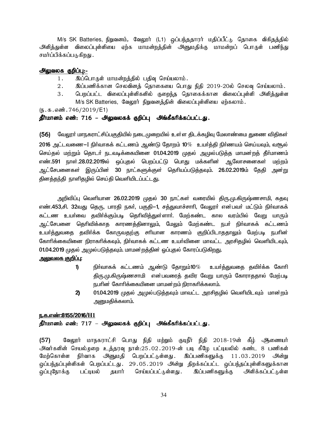M/s SK Batteries, நிறுவனம், வேலூர் (L1) ஒப்பந்ததாரர் மதிப்பீட்டு தொகை விகிதத்தில் அளித்துள்ள விலைப்புள்ளியை ஏற்க மாமன்றத்தின் அனுமதிக்கு மாமன்றப் பொருள் பணிந்து சமர்ப்பிக்கப்படுகிறது .

## அலுவலக குறிப்பு:-

- 1. இப்பொருள் மாமன்றத்தில் பதிவு செய்யலாம்.
- 2. இப்பணிக்கான செலவினத் தொகையை பொது நிதி 2019-20ல் செலவு செய்யலாம்.
- 3. பெறப்பட்ட விலைப்புள்ளிகளில் குறைந்த தொகைக்கான விலைப்புள்ளி அளித்துள்ள M/s SK Batteries, வேலூர் நிறுவனத்தின் விலைப்புள்ளியை ஏற்கலாம்.

 $(\mathbf{b}.\mathbf{t}.\mathbf{b}.\mathbf{a}$ ண். 746/2019/E1)

## தீர்மானம் எண்: 716 – அலுவலகக் குறிப்பு அங்கீகரிக்கப்பட்டது.

(56) வேலூா் மாநகராட்சிப்பகுதியில் நடைமுறையில் உள்ள திடக்கழிவு மேலாண்மை துணை விதிகள்  $20$ 16 அட்டவணை $-$ I நிர்வாகக் கட்டணம் ஆண்டு தோறம் 10 $\%$  உயர்த்தி நிர்ணயம் செய்யவும், வசூல் செய்தல் மற்றும் தொடா் நடவடிக்கையினை 01.04.2019 முதல் அமுல்படுத்த மாமன்றத் தீா்மாணம் எண்.591 நாள்.28.02.2019ல் ஒப்புதல் பெறப்பட்டு பொது மக்களின் ஆலோசனைகள் மற்றம் ஆட்சேபனைகள் இருப்பின் 30 நாட்களுக்குள் தெரியப்படுத்தவும். 26.02.2019ம் தேதி அன்று தினத்தந்தி நாளிதழில் செய்தி வெளியிடப்பட்ட<u>து</u>.

அறிவிப்பு வெளியான 26.02.2019 முதல் 30 நாட்கள் வரையில் திரு.மு.கிருஷ்ணசாமி, கதவு எண்.453,சி. 32வது தெரு, பாரதி நகர், பகுதி–1, சத்துவாச்சாரி, வேலூர் என்பவர் மட்டும் நிர்வாகக் கட்டண உயா்வை தவிா்க்கும்படி தொிவித்துள்ளாா். மேற்கண்ட கால வரம்பில் வேறு யாரும் அட்சேபனை தெரிவிக்காத காரணத்தினாலும், மேலும் மேற்கண்ட நபர் நிர்வாகக் கட்டணம்<sub>.</sub> உயா்த்துவதை தவிா்க்க கோருவதற்கு சாியான காரணம் குறிப்பிடாததாலும் மேற்படி நபாின் கோரிக்கையினை நிராகரிக்கவும், நிா்வாகக் கட்டண உயா்வினை மாவட்ட அரசிதழில் வெளியிடவும், 01.04.2019 முதல் அமுல்படுத்தவும். மாமன்றத்தின் ஒப்புதல் கோரப்படுகிறது.

## <u>அலுவலக குறிப்பு:</u>

- ${\bf 1)}$  நிா்வாகக் கட்டணம் ஆண்டு தோறும் ${\bf 10}\%$  உயா்த்துவதை தவிா்க்க கோாி திரு.மு.கிருஷ்ணசாமி என்பவரைத் தவிர வேறு யாரும் கோராததால் மேற்படி நபரின் கோரிக்கையினை மாமன்றம் நிராகரிக்கலாம்.
- $2$ ) 01.04.2019 முதல் அமுல்படுத்தவும் மாவட்ட அரசிதழில் வெளியிடவும் மான்றம் அறைமகிக்கலாம்.

#### <u>ந.க.எண்:8155/2016/H1</u>

## தீர்மானம் எண்: 717 – அலுவலகக் குறிப்பு அங்கீகரிக்கப்பட்டது.

(57) வேலூர் மாநகராட்சி பொது நிதி மற்றும் குடிநீர் நிதி 2018-19ன் கீழ் அணையர் அவர்களின் செயல்முறை உத்தரவு நாள்:25.02.2019-ன் படி கீழே பட்டியலில் கண்ட 8 பணிகள் மேற்கொள்ள நிர்வாக அனுமதி பெறப்பட்டுள்ளது. இப்பணிகளுக்கு 11.03.2019 அன்று <u>ஒ</u>ப்பந்தப்புள்ளிகள் பெறப்பட்டது. 29.05.2019 அன்று திறக்கப்பட்ட ஒப்பந்தப்புள்ளிகளுக்கான ஒப்புநோக்கு பட்டியல் தயார் செய்யப்பட்டுள்ளது . இப்பணிகளுக்கு அளிக்கப்பட்டுள்ள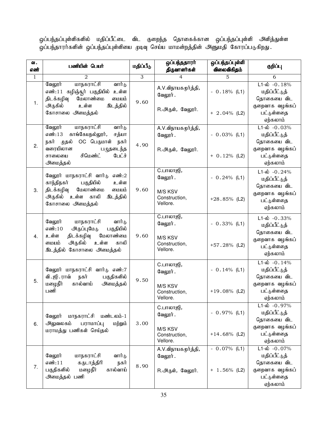ஒப்பந்தப்புள்ளிகளில் மதிப்பீட்டை விட குறைந்த தொகைக்கான ஒப்பந்தப்புள்ளி அளித்துள்ள ஒப்பந்தாராகளின் ஒப்பந்தப்புள்ளியை முடிவு செய்ய மாமன்றத்தின் அனுமதி கோரப்படுகிறது.

| வ.<br>எண்    | பணியின் பெயர்                                                                                                                                 | மதிப்பீடு | ஒப்பந்ததாரா்<br>திருவாளர்கள்         | ஒப்பந்தப்புள்ளி<br>விலைவிகிதம் | குறிப்பு                                                                   |
|--------------|-----------------------------------------------------------------------------------------------------------------------------------------------|-----------|--------------------------------------|--------------------------------|----------------------------------------------------------------------------|
| $\mathbf{1}$ | $\mathfrak{D}_{1}$                                                                                                                            | 3         | $\overline{4}$                       | 5                              | 6                                                                          |
| 1.           | <u>மாநகராட்சி</u><br>வேலூர்<br>வார்டு<br>எண்:11 கழிஞ்சூர் பகுதியில்<br>உள்ள<br>மேலாண்மை<br>திடக்கழிவு<br>மையம்<br>உள்ள<br>இடத்தில்<br>அருகில் | 9.60      | A.V.விநாயகமூர்த்தி,<br>வேலூர்.       | $-0.18%$ (L1)                  | $L1-\dot{\omega}$ -0.18%<br>மதிப்பீட்டுத்<br>தொகையை விட<br>குறைவாக வழங்கப் |
|              | கோசாலை அமைத்தல்                                                                                                                               |           | R.அருள், வேலூர்.                     | $+ 2.04\%$ (L2)                | பட்டுள்ளதை<br>ஏற்கலாம்                                                     |
|              | வேலூர்<br>மாநகராட்சி<br>வார்டு<br>காங்கேயநல்லூர்,<br>எண்:13<br>சத்யா<br>முதல்<br>OC பெருமாள்<br>நகர்<br>நகர்                                  |           | A.V.விநாயகமூர்த்தி,<br>வேலூர்.       | $-0.03%$ (L1)                  | $L1 - \dot{\omega} - 0.03\%$<br>மதிப்பீட்டுத்<br>தொகையை விட                |
| 2.           | வரையிலான<br>பழுதடைந்த<br>சிமெண்ட்<br>பேட்ச்<br>சாலையை<br>அமைத்தல்                                                                             | 4.90      | R.அருள், வேலூர்.                     | $+ 0.12%$ (L2)                 | குறைவாக வழங்கப்<br>பட்டுள்ளதை<br>ஏற்கலாம்                                  |
|              | வேலூர் மாநகராட்சி வார்டு<br>எண்:2<br>பகுதியில்<br>உள்ள<br>காந்திநகர்                                                                          |           | C.பாலாஜி,<br>வேலூர்.                 | $-0.24%$ (L1)                  | $L1-\dot{\omega}$ -0.24%<br>மதிப்பீட்டுத்<br>தொகையை விட                    |
| 3.           | மேலாண்மை<br>திடக்கழிவு<br>மையம்<br>அருகில் உள்ள<br>காலி<br>இடத்தில்<br>கோசாலை அமைத்தல்                                                        | 9.60      | M/S KSV<br>Construction,<br>Vellore. | $+28.85\%$ (L2)                | குறைவாக வழங்கப்<br>பட்டுள்ளதை<br>ஏற்கலாம்                                  |
|              | வேலூர்<br>மாநகராட்சி<br>வார்டு<br>பகுதியில்<br>எண்:10<br>அருப்புமேடு                                                                          |           | C.பாலாஜி,<br>வேலூர்.                 | $-0.33%$ (L1)                  | $L1-\dot{\omega}$ -0.33%<br>மதிப்பீட்டுத்<br>தொகையை விட                    |
| 4.           | மேலாண்மை<br>உள்ள<br>திடக்கழிவு<br>அருகில்<br>உள்ள<br>காலி<br>மையம்<br>இடத்தில் கோசாலை அமைத்தல்                                                | 9.60      | M/S KSV<br>Construction,<br>Vellore. | $+57.28%$ (L2)                 | குறைவாக வழங்கப்<br>பட்டுள்ளதை<br>ஏற்கலாம்                                  |
|              | வேலூர் மாநகராட்சி வார்டு எண்:7<br>வி. ஜி. ராவ்<br>நகர்<br>பகுதிகளில்                                                                          |           | C.பாலாஜி,<br>வேலூர்.                 | $-0.14%$ (L1)                  | $L1-\dot{\omega} - 0.14\%$<br>மதிப்பீட்டுத்<br>தொகையை விட                  |
| 5.           | மழைநீர்<br>கால்வாய்<br>அமைத்தல்<br>பணி                                                                                                        | 9.50      | M/S KSV<br>Construction,<br>Vellore  | $+19.08\%$ (L2)                | குறைவாக வழங்கப்<br>பட்டுள்ளதை<br>ஏற்கலாம்                                  |
|              | மண்டலம்-1<br>வேலூர்<br>மாநகராட்சி<br>அலுவலகம்<br>பராமாப்பு<br>மற்றும்<br>மராமத்து பணிகள் செய்தல்                                              | 3.00      | C.பாலாஜி,<br>வேலூர்.                 | $-0.97\%$ (L1)                 | $L1-\dot{\omega} - 0.97\%$<br>மதிப்பீட்டுத்<br>தொகையை விட                  |
| 6.           |                                                                                                                                               |           | M/S KSV<br>Construction,<br>Vellore. | $+14.68\%$ (L2)                | குறைவாக வழங்கப்<br>பட்டுள்ளதை<br>ஏற்கலாம்                                  |
|              | மாநகராட்சி<br>வேலூர்<br>வார்டு<br>எண்:11<br>கருடாத்திரி<br>நகர்                                                                               |           | A.V.விநாயகமூர்த்தி,<br>வேலூர்.       | $-0.07\%$ (L1)                 | $L1-\dot{\omega} - 0.07\%$<br>மதிப்பீட்டுத்<br>தொகையை விட                  |
| 7.           | பகுதிகளில்<br>மழைநீர்<br>கால்வாய்<br>அமைத்தல் பணி                                                                                             | 8.90      | R.அருள், வேலூர்.                     | $+ 1.56\%$ (L2)                | குறைவாக வழங்கப்<br>பட்டுள்ளதை<br>ஏற்கலாம்                                  |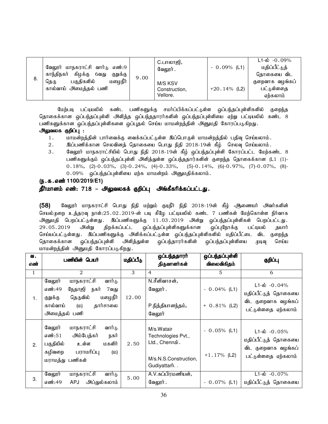| 8. | வேலூர் மாநகராட்சி வார்டு எண்:9<br>காந்திநகர்<br>கிழக்கு<br>குறுக்கு<br>6வது<br>மழைநீர்<br>பகுதிகளில்<br>தெரு<br>கால்வாய் அமைத்தல் பணி | 9.00 | C.பாலாஜி,<br>வேலூர் .                | $-0.09%$ (L1)   | $L1 - \dot{\omega}$ - 0.09%<br>மதிப்பீட்டுத்<br>தொகையை விட |
|----|---------------------------------------------------------------------------------------------------------------------------------------|------|--------------------------------------|-----------------|------------------------------------------------------------|
|    |                                                                                                                                       |      | M/S KSV<br>Construction.<br>Vellore. | $+20.14\%$ (L2) | குறைவாக வழங்கப்<br>பட்டுள்ளதை<br>ஏற்கலாம்                  |

மேற்படி பட்டியலில் கண்ட பணிகளுக்கு சமர்ப்பிக்கப்பட்டுள்ள ஒப்பந்தப்புள்ளிகளில் குறைந்த தொகைக்கான ஒப்பந்தப்புள்ளி அளித்த ஒப்பந்ததாரர்களின் ஒப்பந்தப்புள்ளியை ஏற்று பட்டியலில் கண்ட 8 பணிகளுக்கான ஒப்பந்தப்புள்ளிகளை ஒப்புதல் செய்ய மாமன்றத்தின் அனுமதி கோரப்படுகிறது.

#### அலுவலக குறிப்பு :

- 1. khkd;wj;jpd; ghh;itf;F itf;fg;gl;Ls;s ng;bghUs; khkd;wj;jpy; gjpt[ bra;ayhk;.
- 2. இப்பணிக்கான செலவினத் தொகையை பொது நிதி 2018-19ன் கீழ் செலவு செய்யலாம்.
- 3. கேலூர் மாநகராட்சியில் பொது நிதி 2018-19ன் கீழ் ஒப்பந்தப்புள்ளி கோரப்பட்ட மேற்கண்ட 8 பணிகளுக்கும் ஒப்பந்தப்புள்ளி அளித்துள்ள ஒப்பந்ததார்களின் குறைந்த தொகைக்கான (L1 (1)-0.18%, (2)-0.03%, (3)-0.24%, (4)-0.33%, (5)-0.14%, (6)-0.97%, (7)-0.07%, (8)-  $0.09\%$  ஒப்பந்தப்புள்ளியை ஏற்க மாமன்றம் அனுமதிக்கலாம்.

#### (ந.க.எண் 1100/2019/E1)

## <u>தீர்மானம் எண்: 718 – அலுவலகக் குறிப்பு</u> அங்கீகரிக்கப்பட்டது.

(58) வேலூர் மாநகராட்சி பொது நிதி மற்றும் குடிநீர் நிதி 2018-19ன் கீழ் ஆணையர் அவர்களின் செயல்முறை உத்தரவு நாள்:25.02.2019-ன் படி கீழே பட்டியலில் கண்ட 7 பணிகள் மேற்கொள்ள நிர்வாக அனுமதி பெறப்பட்டுள்ளது. இப்பணிகளுக்கு 11.03.2019 அன்று ஒப்பந்தப்புள்ளிகள் பெறப்பட்டது.<br>29.05.2019 அன்று திறக்கப்பட்ட ஒப்பந்தப்புள்ளிகளுக்கான ஒப்புநோக்கு பட்டியல் தயார் 29.05.2019 அன்று திறக்கப்பட்ட ஒப்பந்தப்புள்ளிகளுக்கான ஒப்புநோக்கு பட்டியல் தயார் செய்யப்பட்டுள்ளது . இப்பணிகளுக்கு அளிக்கப்பட்டுள்ள ஒப்பந்தப்புள்ளிகளில் மதிப்பீட்டை விட குறைந்த தொகைக்கான ஒப்பந்தப்புள்ளி அளித்துள்ள ஒப்பந்தாரர்களின் ஒப்பந்தப்புள்ளியை முடிவு செய்ய மாமன்றத்தின் அனுமதி கோரப்படுகிறது.

| ഖ.<br>எண்    | பணியின் பெயர்                                                                                                                                               | மதிப்பீடு | ஒப்பந்ததாரர்<br>திருவாளர்கள்                                                              | ஒப்பந்தப்புள்ளி<br>விலைவிகிதம்    | குறிப்பு                                                                                       |
|--------------|-------------------------------------------------------------------------------------------------------------------------------------------------------------|-----------|-------------------------------------------------------------------------------------------|-----------------------------------|------------------------------------------------------------------------------------------------|
| $\mathbf{1}$ | $\mathfrak{D}$                                                                                                                                              | 3         | $\overline{4}$                                                                            | $\overline{5}$                    | 6                                                                                              |
| 1.           | வார்டு<br><u>மாநகராட்சி</u><br>வேலூர்<br>எண்:49<br>நேதாஜி<br>நகர்<br>7வது<br>மழைநீர்<br>தெருவில்<br>குறுக்கு<br>கால்வாய்<br>தார்சாலை<br>(D)<br>அமைத்தல் பணி | 12.00     | N.சீனிவாசன்,<br>வேலூர்.<br>P.நித்தியானந்தம்,<br>வேலூர்                                    | $-0.04\%$ (L1)<br>$+ 0.81\%$ (L2) | $L1-\dot{\omega}$ -0.04%<br>மதிப்பீட்டுத் தொகையை<br>விட குறைவாக வழங்கப்<br>பட்டுள்ளதை ஏற்கலாம் |
| 2.           | வேலூர்<br>மாநகராட்சி<br>வார்டு<br>அம்பேத்கர்<br>எண்:51<br>நகர்<br>மகளிர்<br>பகுதியில்<br>உள்ள<br>பராமரிப்பு<br>கழிவறை<br>(D)<br>மராமத்து பணிகள்             | 2.50      | M/s.Watair<br>Technologies Pvt.,<br>Ltd., Chennai.<br>M/s.N.S.Construction,<br>Gudiyattam | $-0.05\%$ (L1)<br>$+1.17%$ (L2)   | $L1-\dot{\omega}$ -0.05%<br>மதிப்பீட்டுத் தொகையை<br>விட குறைவாக வழங்கப்<br>பட்டுள்ளதை ஏற்கலாம் |
| 3.           | வேலூர்<br>மாநகராட்சி<br>வார்டு<br>எண்:49<br>அப்துல்கலாம்<br><b>APJ</b>                                                                                      | 5.00      | A.V.சுப்பிரமணியன்,<br>வேலூர்.                                                             | $-0.07\%$ (L1)                    | $L1 - \dot{\omega}$ - 0.07%<br>மதிப்பீட்டுத் தொகையை                                            |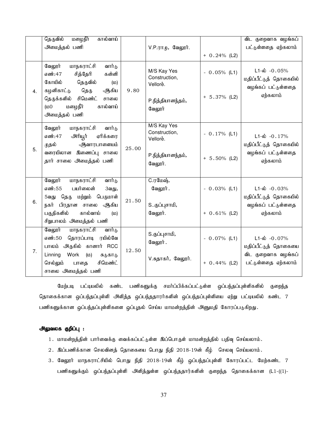|    | தெருவில்<br><u>மழைநீா்</u><br>கால்வாய்                                                                                                                                                                          |       |                                                                          |                                   | விட குறைவாக வழங்கப்                                                                            |
|----|-----------------------------------------------------------------------------------------------------------------------------------------------------------------------------------------------------------------|-------|--------------------------------------------------------------------------|-----------------------------------|------------------------------------------------------------------------------------------------|
|    | அமைத்தல் பணி                                                                                                                                                                                                    |       | $V.P.\pi\pi\psi$ , வேலூர்.                                               |                                   | பட்டுள்ளதை ஏற்கலாம்                                                                            |
|    |                                                                                                                                                                                                                 |       |                                                                          | $+ 0.24\%$ (L2)                   |                                                                                                |
| 4. | மாநகராட்சி<br>வேலூர்<br>வார்டு<br>எண்:47<br>சித்தேரி<br>கன்னி<br>கோயில்<br>தெருவில்<br>(D)<br>கழனிகாட்டு<br>தெரு<br>ஆகிய<br>சிமெண்ட்<br>தெருக்களில்<br>சாலை<br>மழைநீர்<br>கால்வாய்<br>$0\omega$<br>அமைத்தல் பணி | 9.80  | M/S Kay Yes<br>Construction,<br>Vellore.<br>P.நித்தியானந்தம்,<br>வேலூர்  | $-0.05%$ (L1)<br>$+ 5.37\%$ (L2)  | $L1-\dot{\omega}$ -0.05%<br>மதிப்பீட்டுத் தொகையில்<br>வழங்கப் பட்டுள்ளதை<br>ஏற்கலாம்           |
| 5. | மாநகராட்சி<br>வேலூர்<br>வார்டு<br>எண்:47<br><u>அரியூர்</u><br>ஏரிக்கரை<br>ஆ்வாரபாளையம்<br>முதல்<br>வரையிலான இணைப்பு சாலை<br>தார் சாலை அமைத்தல் பணி                                                              | 25.00 | M/S Kay Yes<br>Construction,<br>Vellorė.<br>P.நித்தியானந்தம்,<br>வேலூர். | $-0.17\%$ (L1)<br>$+ 5.50\%$ (L2) | $L1-\dot{\omega}$ -0.17%<br>மதிப்பீட்டுத் தொகையில்<br>வழங்கப் பட்டுள்ளதை<br>ஏற்கலாம்           |
| 6. | வேலூர்<br><u>மாநகராட்சி</u><br>வார்டு<br>எண்:55<br>பயர்லைன்<br>3வது,<br>மற்றும்<br>பெருமாள்<br>தெரு<br>5வது<br>நகர் பிரதான சாலை ஆகிய<br>பகுதிகளில்<br>கால்வாய்<br>(D)<br>சிறுபாலம் அமைத்தல் பணி                 | 21.50 | <b>C.ரமேஷ்,</b><br>வேலூர்.<br>Sகுப்புசாமி,<br>வேலூர்.                    | $-0.03%$ (L1)<br>$+ 0.61\%$ (L2)  | $L1-\dot{\omega}$ -0.03%<br>மதிப்பீட்டுத் தொகையில்<br>வழங்கப் பட்டுள்ளதை<br>ஏற்கலாம்           |
| 7. | <u>மாநகராட்சி</u><br>வார்டு<br>வேலூர்<br>எண்:50<br>தொரப்பாடி ரயில்வே<br>பாலம் அருகில் கானார் RCC<br>Work<br>Linning<br>(D)<br>சுடுகாடு<br>செல்லும்<br>சிமெண்ட்<br>பாதை<br>சாலை அமைத்தல் பணி                     | 12.50 | S.குப்புசாமி <i>,</i><br>வேலூர்.<br>V.சுதாகர், வேலூர்.                   | $-0.07\%$ (L1)<br>$+ 0.44\%$ (L2) | $L1-\dot{\omega}$ -0.07%<br>மதிப்பீட்டுத் தொகையை<br>விட குறைவாக வழங்கப்<br>பட்டுள்ளதை ஏற்கலாம் |

மேற்படி பட்டியலில் கண்ட பணிகளுக்கு சமர்ப்பிக்கப்பட்டுள்ள ஒப்பந்தப்புள்ளிகளில் குறைந்த தொகைக்கான ஒப்பந்தப்புள்ளி அளித்த ஒப்பந்ததாரர்களின் ஒப்பந்தப்புள்ளியை ஏற்று பட்டியலில் கண்ட 7 பணிகளுக்கான ஒப்பந்தப்புள்ளிகளை ஒப்புதல் செய்ய மாமன்றத்தின் அனுமதி கோரப்படுகிறது.

- 1. மாமன்றத்தின் பார்வைக்கு வைக்கப்பட்டுள்ள இப்பொருள் மாமன்றத்தில் பதிவு செய்யலாம்.
- $2.$  இப்பணிக்கான செலவினத் தொகையை பொது நிதி  $2018$ -19ன் கீழ் செலவு செய்யலாம்.
- 3. வேலூர் மாநகராட்சியில் பொது நிதி 2018-19ன் கீழ் ஒப்பந்தப்புள்ளி கோரப்பட்ட மேற்கண்ட 7 பணிகளுக்கும் ஒப்பந்தப்புள்ளி அளித்துள்ள ஒப்பந்ததார்களின் குறைந்த தொகைக்கான (L1-((1)-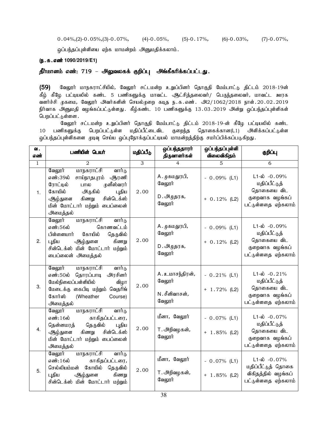$0.04\%/2$  |  $-0.05\%/3$  |  $-0.07\%$ ,  $(4)$   $-0.05\%$ ,  $(5)$   $-0.17\%$ ,  $(6)$   $-0.03\%$ ,  $(7)$   $-0.07\%$ ,

ஒப்பந்தப்புள்ளியை ஏற்க மாமன்றம் அனுமதிக்கலாம்.

#### (ந.க.எண் 1090/2019/E1)

## தீர்மானம் எண்: 719 – அலுவலகக் குறிப்பு அங்கீகரிக்கப்பட்டது.

(59) வேலூர் மாநகராட்சியில், வேலூர் சட்டமன்ற உறுப்பினர் தொகுதி மேம்பாட்டு திட்டம் 2018-19ன் கீழ் கீழே பட்டியலில் கண்ட 5 பணிகளுக்கு மாவட்ட <del>அ</del>ட்சித்தலைவர்/ பெருந்தலைவர், மாவட்ட ஊரக வளர்ச்சி முகமை, வேலூர் அவர்களின் செயல்முறை கடித ந.க.எண். அ2/1062/2018 நாள்.20.02.2019 நிர்வாக அனுமதி வழங்கப்பட்டுள்ளது. கீழ்கண்ட 10 பணிகளுக்கு 13.03.2019 அன்று ஒப்பந்தப்புள்ளிகள் பெறப்பட்டுள்ளன.

வேலூர் சட்டமன்ற உறுப்பினர் தொகுதி மேம்பாட்டு திட்டம் 2018-19-ன் கீழே பட்டியலில் கண்ட 10 பணிகளுக்கு பெறப்பட்டுள்ள மதிப்பீட்டைவிட குறைந்த தொகைக்கான(L1) அளிக்கப்பட்டுள்ள ஒப்பந்தப்புள்ளிகளை முடிவு செய்ய ஒப்புநோக்குப்பட்டியல் மாமன்றத்திற்கு சமா்ப்பிக்கப்படுகிறது.

| ഖ.<br>எண்      | பணியின் பெயர்                                                                                                                                                                                                  | மதிப்பீடு      | ஒப்பந்ததாரா்<br>திருவாளர்கள்                                  | ஒப்பந்தப்புள்ளி<br>விலைவிகிதம்    | குறிப்பு                                                                                            |
|----------------|----------------------------------------------------------------------------------------------------------------------------------------------------------------------------------------------------------------|----------------|---------------------------------------------------------------|-----------------------------------|-----------------------------------------------------------------------------------------------------|
| $\mathbf{1}$   | $\mathfrak{D}_{1}^{(1)}$                                                                                                                                                                                       | $\overline{3}$ | 4                                                             | $\overline{5}$                    | 6                                                                                                   |
| $\mathbf{1}$ . | வேலூர்<br>மாநகராட்சி<br>வார்டு<br>எண்:39ல்<br>சாய்நாதபுரம் ஆரணி<br>முனீஸ்வரர்<br>ரோட்டில்<br>பால<br>கோயில்<br>அருகில்<br>புதிய<br>சின்டெக்ஸ்<br>கிணறு<br>ஆழ்துளை<br>மின் மோட்டார் மற்றும் பைப்லைன்<br>அமைத்தல் | 2.00           | A. முகமதுரபி,<br>வேலூர்<br>D. அழுதரசு,<br>வேலூர்              | $-0.09\%$ (L1)<br>$+ 0.12%$ (L2)  | $L1-\dot{\omega}$ -0.09%<br>மதிப்பீட்டுத்<br>தொகையை விட<br>குறைவாக வழங்கப்<br>பட்டுள்ளதை ஏற்கலாம்   |
| 2.             | வேலூர்<br><u>மாநகராட்சி</u><br>வார்டு<br>எண்:56ல்<br>கொணவட்டம்<br>பிள்ளையார்<br>கோயில்<br>தெருவில்<br>கிணறு<br>புதிய<br>ஆழ்துளை<br>சின்டெக்ஸ் மின் மோட்டார் மற்றும்<br><u>பைப்லைன்</u> அமைத்தல்                | 2.00           | A. முகமதுரபி,<br>வேலூர்<br>D. அ <sub></sub> ழுதரசு,<br>வேலூர் | $-0.09\%$ (L1)<br>$+ 0.12%$ (L2)  | $L1-\dot{\omega}$ -0.09%<br>மதிப்பீட்டுத்<br>தொகையை விட<br>குறைவாக வழங்கப்<br>பட்டுள்ளதை ஏற்கலாம்   |
| 3.             | வேலூர்<br>வார்டு<br>மாநகராட்சி<br>எண்:50ல் தொரப்பாடி<br>அரசினர்<br>மேல்நிலைப்பள்ளியில்<br>விழா<br>மேடைக்கு கைபிடி மற்றும் வெதரிங்<br>கோர்ஸ்<br>(Wheather<br>Course)<br>அமைத்தல்                                | 2.00           | A. உமாசந்திரன்,<br>வேலூர்<br>N.சீனிவாசன்,<br>வேலூர்           | $-0.21\%$ (L1)<br>$+ 1.72%$ (L2)  | $L1-\dot{\omega} - 0.21\%$<br>மதிப்பீட்டுத்<br>தொகையை விட<br>குறைவாக வழங்கப்<br>பட்டுள்ளதை ஏற்கலாம் |
| 4.             | வேலூர்<br><u>மாநகராட்சி</u><br>வார்டு<br>எண்:16ல்<br>காகிதப்பட்டரை,<br>தெருவில்<br>தென்னமரத்<br>புதிய<br>கிணறு<br>சின்டெக்ஸ்<br>ஆழ்துளை<br>மின் மோட்டார் மற்றும் பைப்லைன்<br>அமைத்தல்                          | 2.00           | மீனா, வேலூர்<br>T. அறிவழகன்,<br>வேலூர்                        | $-0.07\%$ (L1)<br>$+ 1.85\%$ (L2) | $L1-\dot{\omega} - 0.07\%$<br>மதிப்பீட்டுத்<br>தொகையை விட<br>குறைவாக வழங்கப்<br>பட்டுள்ளதை ஏற்கலாம் |
| 5.             | வேலூர்<br>மாநகராட்சி<br>வார்டு<br>எண்:16ல்<br>காகிதப்பட்டரை,<br>செல்லியம்மன் கோயில்<br>தெருவில்<br>கிணறு<br>புதிய<br>ஆழ்துளை<br>சின்டெக்ஸ் மின் மோட்டார் மற்றும்                                               | 2.00           | மீனா, வேலூர்<br>T. அறிவழகன்,<br>வேலூர்                        | $-0.07\%$ (L1)<br>$+ 1.85\%$ (L2) | $L1-\omega$ -0.07%<br>மதிப்பீட்டுத் தொகை<br>விகிதத்தில் வழங்கப்<br>பட்டுள்ளதை ஏற்கலாம்              |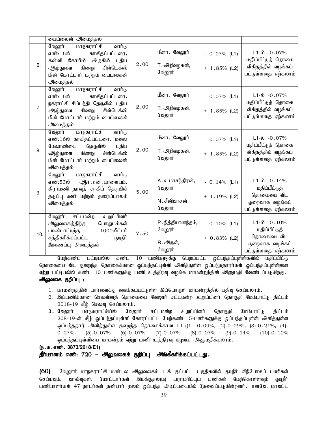|     | <u>பைப்லைன்</u> அமைத்தல்                                                                                                                                                              |      |                                                     |                                   |                                                                                                   |
|-----|---------------------------------------------------------------------------------------------------------------------------------------------------------------------------------------|------|-----------------------------------------------------|-----------------------------------|---------------------------------------------------------------------------------------------------|
| 6.  | வேலூர் மாநகராட்சி<br>வார்டு<br>எண்:16ல்<br>காகிதப்பட்டரை,<br>கன்னி கோயில் அருகில் புதிய<br>சின்டெக்ஸ்<br>கிணறு<br>ஆழ்துளை<br>மின் மோட்டார் மற்றும் பைப்லைன்<br>அமைத்தல்               | 2.00 | மீனா, வேலூர்<br>T. அறிவழகன் <i>,</i><br>வேலூர்      | $-0.07\%$ (L1)<br>$+ 1.85\%$ (L2) | $L1-\omega$ -0.07%<br>மதிப்பீட்டுத் தொகை<br>விகிதத்தில் வழங்கப்<br>பட்டுள்ளதை ஏற்கலாம்            |
| 7.  | வேலூர் மாநகராட்சி<br>வார்டு<br>எண்:16ல்<br>காகிதப்பட்டரை,<br>நகராட்சி சிப்பந்தி தெருவில் புதிய<br>கிணறு<br>சின்டெக்ஸ்<br>ஆழ்துளை<br>மின் மோட்டார் மற்றும் பைப்லைன்<br>அமைத்தல்        | 2.00 | மீனா, வேலூர்<br>T. அறிவழகன்,<br>வேலூர்              | $-0.07\%$ (L1)<br>$+ 1.85\%$ (L2) | $L1 - \phi$ -0.07%<br>மதிப்பீட்டுத் தொகை<br>விகிதத்தில் வழங்கப்<br>பட்டுள்ளதை ஏற்கலாம்            |
| 8.  | <u>மாநகராட்சி</u><br>வேலூர்<br>வார்டு<br>எண்:16ல் காகிதப்பட்டரை, மலை<br>மேலாண்டை<br>தெருவில்<br>புதிய<br>சின்டெக்ஸ்<br>கிணறு<br>ஆழ்துளை<br>மின் மோட்டார் மற்றும் பைப்லைன்<br>அமைத்தல் | 2.00 | மீனா, வேலூர்<br>T. அறிவழகன் <i>,</i><br>வேலூர்      | $-0.07\%$ (L1)<br>$+ 1.85\%$ (L2) | $L1-\omega$ -0.07%<br>மதிப்பீட்டுத் தொகை<br>விகிதத்தில் வழங்கப்<br>பட்டுள்ளதை ஏற்கலாம்            |
| 9.  | மாநகராட்சி<br>வேலூர்<br>வார்டு<br>எண்:53ல்<br>ஆர் . என் . பாளையம்,<br>கிராமணி தாவுத் சாகிப் தெருவில்<br>தடுப்பு சுவர் மற்றும் தரைப்பாலம்<br>அமைத்தல்                                  | 5.00 | A. உமாசந்திரன்,<br>வேலூர்<br>N.சீனிவாசன்,<br>வேலூர் | $-0.14%$ (L1)<br>$+ 1.19%$ (L2)   | $L1-\dot{\omega}$ -0.14%<br>மதிப்பீட்டுத்<br>தொகையை விட<br>குறைவாக வழங்கப்<br>பட்டுள்ளதை ஏற்கலாம் |
| 10. | உறுப்பினர்<br>வேலூர் சட்டமன்ற<br>பொதுமக்கள்<br>அலுவலகத்திற்கு<br>1000லிட்டர்<br>பயன்பாட்டிற்கு<br>சுத்திகரிக்கப்பட்ட<br>குடிநீர்<br>இணைப்பு அமைத்தல்                                  | 7.50 | P. நித்தியானந்தம்,<br>வேலூர்<br>R.அருள்,<br>வேலூர்  | $-0.10\%$ (L1)<br>$+ 0.83\%$ (L2) | $L1-\omega$ -0.10%<br>மதிப்பீட்டுத்<br>தொகையை விட<br>குறைவாக வழங்கப்<br>பட்டுள்ளதை ஏற்கலாம்       |

மேற்கண்ட பட்டியலில் கண்ட 10 பணிகளுக்கு பெறப்பட்ட ஒப்பந்தப்புள்ளிகளில் மதிப்பிட்டு தொகையை விட குறைந்த தொகைக்கான ஒப்பந்தப்புள்ளி அளித்துள்ள ஒப்பந்ததாரர்கள் ஒப்பந்தப்புள்ளிளை ஏற்று பட்டியலில் கண்ட 10 பணிகளுக்கு பணி உத்திரவு வழங்க மாமன்றத்தின் அனுமதி வேண்டப்படுகிறது. அலுவலக குறிப்பு :

- 1. மாமன்றத்தின் பார்வைக்கு வைக்கப்பட்டுள்ள இப்பொருள் மாமன்றத்தில் பதிவு செய்யலாம்.
- 2. இப்பணிக்கான செலவினத் தொகையை வேலூர் சட்டமன்ற உறுப்பினர் தொகுதி மேம்பாட்டு திட்டம்  $2018-19$  கீழ் செலவு செய்யலாம்.
- 3. வேலூர் மாநகராட்சியில் வேலூர் சட்டமன்ற உறுப்பினர் தொகுதி மேம்பாட்டு திட்டம் 208-19-ன் கீழ் ஒப்பந்தப்புள்ளி கோரப்பட்ட மேற்கண்ட 5-பணிகளுக்கு ஒப்பந்தப்புள்ளி அளித்துள்ள <u>ஓ</u>ப்பந்ததார் அளித்துள்ள குறைந்த தொகைக்கான L1-((1- 0.09%, (2)-0.09%, (3)-0.21%, (4)-0.07%, (5)-0.07% (6)-0.07% (7)-0.07% (8)-0.07% (9)-0.14% (10)-0.10% ஒப்பந்தப்புள்ளியை மாமன்றம் ஏற்று பணி உத்திரவு வழங்க அனுமதிக்கலாம்.

```
(ந.க.எண். 3873/2018/E1)
```
தீர்மானம் எண்: 720 – அலுவலகக் குறிப்பு அங்கீகரிக்கப்பட்டது.

(60) வேலூர் மாநகராட்சி மண்டல அலுவலகம் 1-க் குட்பட்ட பகுதிகளில் குடிநீர் விநியோகப் பணிகள் செய்யவும், வால்வுகள், மோட்டார்கள் இயக்குதல்(ம) பராமரிப்புப் பணிகள் மேற்கொள்ளவும் குடிநீர் பணியாளர்கள் 47 நாபர்கள் தனியார் முலம் ஒப்பந்த அடிப்படையில் தேவைப்படுகின்றனர். எனவே, மாவட்ட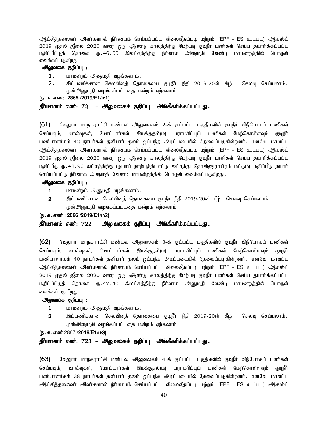ஆட்சித்தலைவர் அவர்களால் நிர்ணயம் செய்யப்பட்ட விலைவீதப்படி மற்றும் (EPF + ESI உட்பட) ஆகஸ்ட் 2019 முதல் ஜீலை 2020 வரை ஒரு ஆண்டு காலத்திற்கு மேற்படி குடிநீர் பணிகள் செய்ய தயாரிக்கப்பட்ட மதிப்பீட்டுத் தொகை ரு. 46 . 00 இலட்சத்திற்கு நிர்வாக அனுமதி வேண்டி மாமன்றத்தில் பொருள் வைக்கப்படுகிறது .

#### அலுவலக குறிப்பு :

- $1.$   $\mu$  மாமன்றம் அனுமதி வழங்கலாம்.
- $2.$  இப்பணிக்கான செலவினக் கொகையை குடிநீர் நிதி 2019-20ன் கீம் செலவு செய்யலாம். ருன்அனுமதி வழங்கப்பட்டதை மன்றம் ஏற்கலாம்.

(ந.க.எண்: 2865 /2019/E1/ம1)

<u>தீர்மானம் எண்: 721 – அலுவலகக் குறிப்பு</u> அங்கீகரிக்கப்பட்டது.

(61) வேலூார் மாநகராட்சி மண்டல அலுவலகம் 2-க் குட்பட்ட பகுதிகளில் குடிநீர் விநியோகப் பணிகள் செய்யவும், வால்வுகள், மோட்டார்கள் இயக்குதல்(ம) பராமரிப்புப் பணிகள் மேற்கொள்ளவும் குடிநீர் பணியாளர்கள் 42 நாபர்கள் தனியார் முலம் ஒப்பந்த அடிப்படையில் தேவைப்படுகின்றனர். எனவே, மாவட்ட <u>ஆட்சித்</u>தலைவர் அவர்களால் நிர்ணயம் செய்யப்பட்ட விலைவீதப்படி மற்றும் (EPF + ESI உட்பட) ஆகஸ்ட் 2019 முதல் ஜீலை 2020 வரை ஒரு ஆண்டு காலத்திற்கு மேற்படி குடிநீர் பணிகள் செய்ய தயாரிக்கப்பட்ட மதிப்பீடு ரு.48.90 லட்சத்திற்கு (ருபாய் நாற்பத்தி எட்டு லட்சத்து தொன்னுராயிரம் மட்டும்) மதிப்பீடு தயார் செய்யப்பட்டு நிர்வாக அனுமதி வேண்டி மாமன்றத்தில் பொருள் வைக்கப்படுகிறது.

#### அலுவலக குறிப்பு :

- 1. மாமன்றம் அனுமதி வழங்கலாம்.
- $2.$   $\;$  இப்பணிக்கான செலவினத் தொகையை குடிநீர் நிதி 2019-20ன் கீழ் செலவு செய்யலாம். முன்அனுமதி வழங்கப்பட்டதை மன்றம் ஏற்கலாம்.

#### (**ந.க.எண்: 2866 /2019/E1/**ம2)

#### தீர்மானம் எண்: 722 – அலுவலகக் குறிப்பு அங்கீகரிக்கப்பட்டது.

(62) மேலுார் மாநகராட்சி மண்டல அலுவலகம் 3-க் குட்பட்ட பகுதிகளில் குடிநீர் விநியோகப் பணிகள் செய்யவும், வால்வுகள், மோட்டார்கள் இயக்குதல்(ம) பராமரிப்புப் பணிகள் மேற்கொள்ளவும் குடிநீர் பணியாளர்கள் 40 நாபர்கள் தனியார் முலம் ஒப்பந்த அடிப்படையில் தேவைப்படுகின்றனர். எனவே, மாவட்ட <u>ஆட்சித்</u>தலைவர் அவர்களால் நிர்ணயம் செய்யப்பட்ட விலைவீதப்படி மற்றும் (EPF + ESI உட்பட) ஆகஸ்ட் 2019 முதல் ஜீலை 2020 வரை ஒரு ஆண்டு காலத்திற்கு மேற்படி குடிநீர் பணிகள் செய்ய தயாரிக்கப்பட்ட மதிப்பீட்டுத் தொகை ரு. 47. 40 இலட்சத்திற்கு நிர்வாக அனுமதி வேண்டி மாமன்றத்தில் பொருள் வைக்கப்படுகிறது .

#### அலுவலக குறிப்பு :

- 1. மாமன்றம் அனுமதி வழங்கலாம்.
- $2.$  இப்பணிக்கான செலவினத் தொகையை குடிநீர் நிதி 2019-20ன் கீழ் செலவு செய்யலாம். ருன்அனுமதி வழங்கப்பட்டதை மன்றம் ஏற்கலாம்.

#### (**ந.க.எண்** 2867 /2019/E1/ம3)

#### தீர்மானம் எண்: 723 – அலுவலகக் குறிப்பு அங்கீகரிக்கப்பட்டது.

(63) வேலூர் மாநகராட்சி மண்டல அலுவலகம் 4-க் குட்பட்ட பகுதிகளில் குடிநீர் விநியோகப் பணிகள் செய்யவும், வால்வுகள், மோட்டார்கள் இயக்குதல்(ம) பராமரிப்புப் பணிகள் மேற்கொள்ளவும் குடிநீர் பணியாளர்கள் 38 நாபர்கள் தனியார் மூலம் ஒப்பந்த அடிப்படையில் தேவைப்படுகின்றனர். எனவே, மாவட்ட ஆட்சித்தலைவர் அவர்களால் நிர்ணயம் செய்யப்பட்ட விலைவீதப்படி மற்றும் (EPF + ESI உட்பட) ஆகஸ்ட்